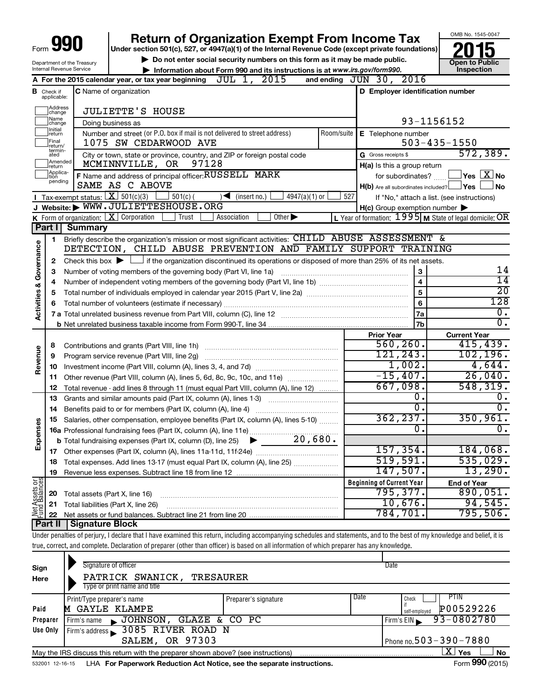| Form<br>Department of the Treasury |                               |                                | <b>Return of Organization Exempt From Income Tax</b>                                                                                                                                  |                         |                                                                                                                  | OMB No. 1545-0047                       |  |
|------------------------------------|-------------------------------|--------------------------------|---------------------------------------------------------------------------------------------------------------------------------------------------------------------------------------|-------------------------|------------------------------------------------------------------------------------------------------------------|-----------------------------------------|--|
|                                    |                               |                                | Under section 501(c), 527, or 4947(a)(1) of the Internal Revenue Code (except private foundations)                                                                                    |                         |                                                                                                                  |                                         |  |
|                                    |                               |                                | Do not enter social security numbers on this form as it may be made public.                                                                                                           |                         | <b>Open to Public</b>                                                                                            |                                         |  |
|                                    |                               | Internal Revenue Service       | Information about Form 990 and its instructions is at www.irs.gov/form990.                                                                                                            | Inspection              |                                                                                                                  |                                         |  |
|                                    |                               |                                | A For the 2015 calendar year, or tax year beginning $JUL$ 1, $2015$                                                                                                                   |                         | and ending $JUN$ 30, $2016$                                                                                      |                                         |  |
|                                    | <b>B</b> Check if applicable: | C Name of organization         | D Employer identification number                                                                                                                                                      |                         |                                                                                                                  |                                         |  |
|                                    | Address<br>change             |                                | <b>JULIETTE'S HOUSE</b>                                                                                                                                                               |                         |                                                                                                                  |                                         |  |
|                                    | Name<br>change                |                                | Doing business as                                                                                                                                                                     |                         | 93-1156152                                                                                                       |                                         |  |
|                                    | Initial<br>return             |                                | Number and street (or P.O. box if mail is not delivered to street address)                                                                                                            | Room/suite              | E Telephone number                                                                                               |                                         |  |
|                                    | Final<br>return/              |                                | 1075 SW CEDARWOOD AVE                                                                                                                                                                 |                         |                                                                                                                  | $503 - 435 - 1550$                      |  |
|                                    | termin-<br>ated               |                                | City or town, state or province, country, and ZIP or foreign postal code                                                                                                              |                         | G Gross receipts \$                                                                                              | 572, 389.                               |  |
|                                    | Amended<br>return             |                                | MCMINNVILLE, OR 97128                                                                                                                                                                 |                         | H(a) Is this a group return                                                                                      |                                         |  |
|                                    | Applica-<br>tion<br>pending   |                                | F Name and address of principal officer: RUSSELL MARK                                                                                                                                 |                         | for subordinates?                                                                                                | $\Box$ Yes $[\overline{\mathrm{X}}]$ No |  |
|                                    |                               |                                | SAME AS C ABOVE                                                                                                                                                                       |                         | $H(b)$ Are all subordinates included? $\Box$ Yes                                                                 | No                                      |  |
|                                    |                               |                                | <b>I</b> Tax-exempt status: $\boxed{\mathbf{X}}$ 501(c)(3) $\boxed{\phantom{0}}$ 501(c)(<br>$\sqrt{\frac{1}{1}}$ (insert no.)<br>$4947(a)(1)$ or<br>J Website: WWW.JULIETTESHOUSE.ORG | 527                     | If "No," attach a list. (see instructions)                                                                       |                                         |  |
|                                    |                               |                                | K Form of organization: $X$ Corporation<br>Trust<br>Association<br>Other $\blacktriangleright$                                                                                        |                         | $H(c)$ Group exemption number $\blacktriangleright$<br>L Year of formation: $1995$ M State of legal domicile: OR |                                         |  |
|                                    | Part I                        | <b>Summary</b>                 |                                                                                                                                                                                       |                         |                                                                                                                  |                                         |  |
|                                    |                               |                                | Briefly describe the organization's mission or most significant activities: CHILD ABUSE ASSESSMENT &                                                                                  |                         |                                                                                                                  |                                         |  |
|                                    | 1                             |                                | DETECTION, CHILD ABUSE PREVENTION AND FAMILY SUPPORT TRAINING                                                                                                                         |                         |                                                                                                                  |                                         |  |
| Governance                         |                               |                                |                                                                                                                                                                                       |                         |                                                                                                                  |                                         |  |
|                                    | $\mathbf{2}$                  |                                | Check this box $\blacktriangleright \Box$ if the organization discontinued its operations or disposed of more than 25% of its net assets.                                             |                         | 3                                                                                                                | 14                                      |  |
|                                    | З                             |                                | Number of voting members of the governing body (Part VI, line 1a)                                                                                                                     |                         | $\overline{\mathbf{4}}$                                                                                          | $\overline{14}$                         |  |
|                                    | 4                             |                                |                                                                                                                                                                                       |                         |                                                                                                                  | $\overline{20}$                         |  |
|                                    | 5                             |                                | 5                                                                                                                                                                                     |                         |                                                                                                                  |                                         |  |
| <b>Activities &amp;</b>            | 6                             |                                | 6                                                                                                                                                                                     | 128<br>$\overline{0}$ . |                                                                                                                  |                                         |  |
|                                    |                               |                                |                                                                                                                                                                                       |                         | 7a                                                                                                               | $\overline{0}$ .                        |  |
|                                    |                               |                                |                                                                                                                                                                                       |                         | 7b                                                                                                               |                                         |  |
|                                    |                               |                                |                                                                                                                                                                                       |                         | <b>Prior Year</b>                                                                                                | <b>Current Year</b>                     |  |
|                                    | 8                             |                                |                                                                                                                                                                                       |                         | 560, 260.                                                                                                        | 415,439.                                |  |
| Revenue                            | 9                             |                                | Program service revenue (Part VIII, line 2g)                                                                                                                                          |                         | 121,243.                                                                                                         | 102, 196.                               |  |
|                                    | 10                            |                                |                                                                                                                                                                                       |                         | 1,002.                                                                                                           | 4,644.                                  |  |
|                                    | 11                            |                                | Other revenue (Part VIII, column (A), lines 5, 6d, 8c, 9c, 10c, and 11e)                                                                                                              |                         | $-15,407.$                                                                                                       | 26,040.                                 |  |
|                                    | 12                            |                                | Total revenue - add lines 8 through 11 (must equal Part VIII, column (A), line 12)                                                                                                    |                         | 667,098.                                                                                                         | 548, 319.                               |  |
|                                    | 13                            |                                | Grants and similar amounts paid (Part IX, column (A), lines 1-3) <i></i>                                                                                                              |                         | $\overline{0}$ .                                                                                                 | 0.                                      |  |
|                                    | 14                            |                                | Benefits paid to or for members (Part IX, column (A), line 4)                                                                                                                         |                         | $\overline{0}$ .                                                                                                 | $\overline{0}$ .                        |  |
| œ                                  | 15                            |                                | Salaries, other compensation, employee benefits (Part IX, column (A), lines 5-10)                                                                                                     |                         | 362, 237.                                                                                                        | 350, 961.                               |  |
| Expens                             |                               |                                |                                                                                                                                                                                       |                         | $\overline{0}$ .                                                                                                 | $\mathbf 0$ .                           |  |
|                                    |                               |                                |                                                                                                                                                                                       |                         |                                                                                                                  |                                         |  |
|                                    | 17                            |                                |                                                                                                                                                                                       |                         | $157,354$ .                                                                                                      | 184,068.                                |  |
|                                    | 18                            |                                | Total expenses. Add lines 13-17 (must equal Part IX, column (A), line 25)                                                                                                             |                         | 519,591.                                                                                                         | 535,029.                                |  |
|                                    | 19                            |                                |                                                                                                                                                                                       |                         | 147,507.                                                                                                         | 13,290.                                 |  |
| Net Assets or                      |                               |                                |                                                                                                                                                                                       |                         | <b>Beginning of Current Year</b>                                                                                 | <b>End of Year</b>                      |  |
|                                    | 20                            | Total assets (Part X, line 16) |                                                                                                                                                                                       |                         | 795, 377.                                                                                                        | 890,051.                                |  |
|                                    | 21                            |                                | Total liabilities (Part X, line 26)                                                                                                                                                   |                         | 10,676.                                                                                                          | 94,545.                                 |  |
|                                    | 22                            |                                |                                                                                                                                                                                       |                         | 784,701.                                                                                                         | 795,506.                                |  |
|                                    | Part II                       | <b>Signature Block</b>         |                                                                                                                                                                                       |                         |                                                                                                                  |                                         |  |
|                                    |                               |                                | Under penalties of perjury, I declare that I have examined this return, including accompanying schedules and statements, and to the best of my knowledge and belief, it is            |                         |                                                                                                                  |                                         |  |
|                                    |                               |                                | true, correct, and complete. Declaration of preparer (other than officer) is based on all information of which preparer has any knowledge.                                            |                         |                                                                                                                  |                                         |  |

| Sign<br>Here | Signature of officer<br>PATRICK SWANICK,<br>TRESAURER<br>Type or print name and title |                      | Date                                                |
|--------------|---------------------------------------------------------------------------------------|----------------------|-----------------------------------------------------|
| Paid         | Print/Type preparer's name<br>GAYLE KLAMPE<br>M                                       | Preparer's signature | Date<br>PTIN<br>Check<br>P00529226<br>self-emploved |
| Preparer     | JOHNSON,<br>GLAZE & CO PC<br>Firm's name<br>$\blacksquare$                            |                      | 93-0802780<br>Firm's $EIN$                          |
| Use Only     | Firm's address 3085 RIVER ROAD N                                                      |                      |                                                     |
|              | SALEM, OR 97303                                                                       |                      | Phone no. $503 - 390 - 7880$                        |
|              | May the IRS discuss this return with the preparer shown above? (see instructions)     |                      | X.<br>Yes<br><b>No</b>                              |
|              |                                                                                       |                      | $- - -$                                             |

532001 12-16-15 **For Paperwork Reduction Act Notice, see the separate instructions.** LHA Form (2015)

Form **990** (2015)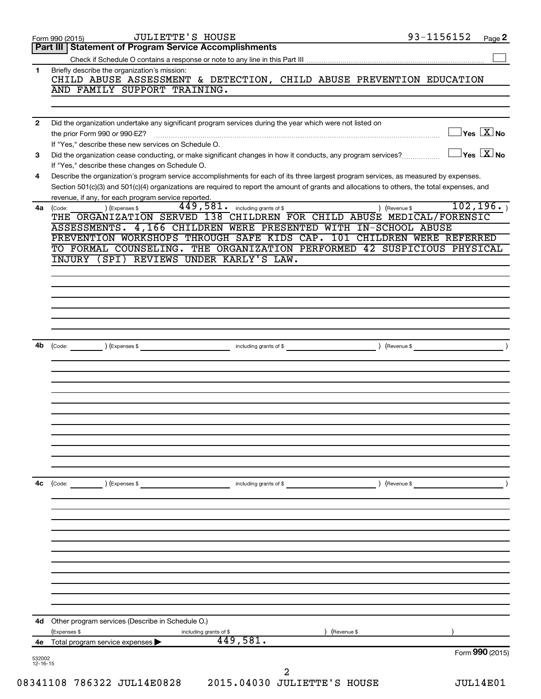|                          | 93-1156152<br><b>JULIETTE'S HOUSE</b><br>Form 990 (2015)                                                                                                                                                                                                                             |                                         | Page 2 |
|--------------------------|--------------------------------------------------------------------------------------------------------------------------------------------------------------------------------------------------------------------------------------------------------------------------------------|-----------------------------------------|--------|
|                          | <b>Statement of Program Service Accomplishments</b><br>Part III                                                                                                                                                                                                                      |                                         |        |
|                          |                                                                                                                                                                                                                                                                                      |                                         |        |
| 1                        | Briefly describe the organization's mission:<br>CHILD ABUSE ASSESSMENT & DETECTION, CHILD ABUSE PREVENTION EDUCATION<br>AND FAMILY SUPPORT TRAINING.                                                                                                                                 |                                         |        |
|                          |                                                                                                                                                                                                                                                                                      |                                         |        |
| $\mathbf{2}$             | Did the organization undertake any significant program services during the year which were not listed on                                                                                                                                                                             |                                         |        |
|                          | the prior Form 990 or 990-EZ?<br>If "Yes," describe these new services on Schedule O.                                                                                                                                                                                                | $\Box$ Yes $[\overline{\mathrm{X}}]$ No |        |
| 3                        | Did the organization cease conducting, or make significant changes in how it conducts, any program services?<br>If "Yes," describe these changes on Schedule O.                                                                                                                      | $\exists$ Yes $\boxed{\text{X}}$ No     |        |
| 4                        | Describe the organization's program service accomplishments for each of its three largest program services, as measured by expenses.<br>Section 501(c)(3) and 501(c)(4) organizations are required to report the amount of grants and allocations to others, the total expenses, and |                                         |        |
| 4a                       | revenue, if any, for each program service reported.<br>$449,581$ . including grants of \$<br>) (Revenue \$<br>) (Expenses \$                                                                                                                                                         | 102, 196.                               |        |
|                          | (Code:<br>THE ORGANIZATION SERVED 138 CHILDREN FOR CHILD ABUSE MEDICAL/FORENSIC<br>ASSESSMENTS. 4,166 CHILDREN WERE PRESENTED WITH IN-SCHOOL ABUSE                                                                                                                                   |                                         |        |
|                          | PREVENTION WORKSHOPS THROUGH SAFE KIDS CAP. 101 CHILDREN WERE REFERRED                                                                                                                                                                                                               |                                         |        |
|                          | TO FORMAL COUNSELING. THE ORGANIZATION PERFORMED 42 SUSPICIOUS PHYSICAL                                                                                                                                                                                                              |                                         |        |
|                          | INJURY (SPI) REVIEWS UNDER KARLY'S LAW.                                                                                                                                                                                                                                              |                                         |        |
|                          |                                                                                                                                                                                                                                                                                      |                                         |        |
|                          |                                                                                                                                                                                                                                                                                      |                                         |        |
|                          |                                                                                                                                                                                                                                                                                      |                                         |        |
|                          |                                                                                                                                                                                                                                                                                      |                                         |        |
|                          |                                                                                                                                                                                                                                                                                      |                                         |        |
| 4b                       | (Code: ) (Expenses \$ ) (Revenue \$ ) (Revenue \$ ) (Revenue \$ ) (Revenue \$ ) (Revenue \$ ) (Revenue \$ ) (Revenue \$ ) (Revenue \$ ) (Revenue \$ ) (Revenue \$ ) (Revenue \$ ) (Revenue \$ ) (Revenue \$ ) (Revenue \$ ) (Revenue \$ ) (Rev                                       |                                         |        |
|                          |                                                                                                                                                                                                                                                                                      |                                         |        |
|                          |                                                                                                                                                                                                                                                                                      |                                         |        |
|                          |                                                                                                                                                                                                                                                                                      |                                         |        |
|                          |                                                                                                                                                                                                                                                                                      |                                         |        |
|                          |                                                                                                                                                                                                                                                                                      |                                         |        |
|                          |                                                                                                                                                                                                                                                                                      |                                         |        |
|                          |                                                                                                                                                                                                                                                                                      |                                         |        |
|                          |                                                                                                                                                                                                                                                                                      |                                         |        |
|                          |                                                                                                                                                                                                                                                                                      |                                         |        |
|                          |                                                                                                                                                                                                                                                                                      |                                         |        |
| 4c                       | $\left(\text{Code:}\right)$<br>(Expenses \$<br>) (Revenue \$<br>including grants of \$                                                                                                                                                                                               |                                         |        |
|                          |                                                                                                                                                                                                                                                                                      |                                         |        |
|                          |                                                                                                                                                                                                                                                                                      |                                         |        |
|                          |                                                                                                                                                                                                                                                                                      |                                         |        |
|                          |                                                                                                                                                                                                                                                                                      |                                         |        |
|                          |                                                                                                                                                                                                                                                                                      |                                         |        |
|                          |                                                                                                                                                                                                                                                                                      |                                         |        |
|                          |                                                                                                                                                                                                                                                                                      |                                         |        |
|                          |                                                                                                                                                                                                                                                                                      |                                         |        |
|                          |                                                                                                                                                                                                                                                                                      |                                         |        |
| 4d                       | Other program services (Describe in Schedule O.)                                                                                                                                                                                                                                     |                                         |        |
|                          | (Expenses \$<br>(Revenue \$<br>including grants of \$                                                                                                                                                                                                                                |                                         |        |
| 4е                       | 449,581.<br>Total program service expenses >                                                                                                                                                                                                                                         | Form 990 (2015)                         |        |
| 532002<br>$12 - 16 - 15$ |                                                                                                                                                                                                                                                                                      |                                         |        |
|                          | 2                                                                                                                                                                                                                                                                                    |                                         |        |
|                          | 08341108 786322 JUL14E0828<br>2015.04030 JULIETTE'S HOUSE                                                                                                                                                                                                                            | <b>JUL14E01</b>                         |        |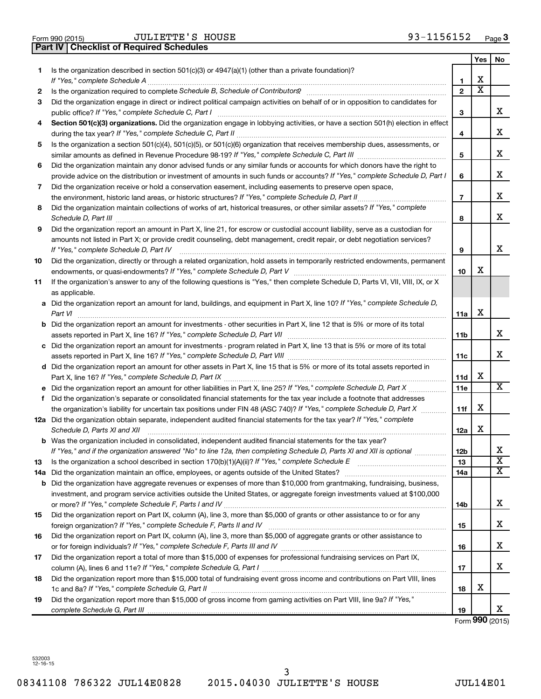| Form 990 (2015) |  |  |
|-----------------|--|--|

**Part IV Checklist of Required Schedules**

|    |                                                                                                                                                                                                                                                                |                | <b>Yes</b>              | No                           |
|----|----------------------------------------------------------------------------------------------------------------------------------------------------------------------------------------------------------------------------------------------------------------|----------------|-------------------------|------------------------------|
| 1  | Is the organization described in section 501(c)(3) or $4947(a)(1)$ (other than a private foundation)?                                                                                                                                                          |                |                         |                              |
|    |                                                                                                                                                                                                                                                                | 1              | X                       |                              |
| 2  | Is the organization required to complete Schedule B, Schedule of Contributors? [11] The organization required to complete Schedule B, Schedule of Contributors?                                                                                                | $\overline{2}$ | $\overline{\textbf{x}}$ |                              |
| 3  | Did the organization engage in direct or indirect political campaign activities on behalf of or in opposition to candidates for<br>public office? If "Yes," complete Schedule C, Part I                                                                        | 3              |                         | х                            |
| 4  | Section 501(c)(3) organizations. Did the organization engage in lobbying activities, or have a section 501(h) election in effect                                                                                                                               | 4              |                         | х                            |
| 5  | Is the organization a section 501(c)(4), 501(c)(5), or 501(c)(6) organization that receives membership dues, assessments, or                                                                                                                                   |                |                         |                              |
|    |                                                                                                                                                                                                                                                                | 5              |                         | х                            |
| 6  | Did the organization maintain any donor advised funds or any similar funds or accounts for which donors have the right to                                                                                                                                      |                |                         |                              |
|    | provide advice on the distribution or investment of amounts in such funds or accounts? If "Yes," complete Schedule D, Part I                                                                                                                                   | 6              |                         | х                            |
| 7  | Did the organization receive or hold a conservation easement, including easements to preserve open space,                                                                                                                                                      |                |                         |                              |
|    |                                                                                                                                                                                                                                                                | $\overline{7}$ |                         | х                            |
| 8  | Did the organization maintain collections of works of art, historical treasures, or other similar assets? If "Yes," complete                                                                                                                                   | 8              |                         | x                            |
| 9  | Did the organization report an amount in Part X, line 21, for escrow or custodial account liability, serve as a custodian for                                                                                                                                  |                |                         |                              |
|    | amounts not listed in Part X; or provide credit counseling, debt management, credit repair, or debt negotiation services?                                                                                                                                      |                |                         |                              |
|    | If "Yes," complete Schedule D, Part IV                                                                                                                                                                                                                         | 9              |                         | x                            |
| 10 | Did the organization, directly or through a related organization, hold assets in temporarily restricted endowments, permanent                                                                                                                                  |                |                         |                              |
|    |                                                                                                                                                                                                                                                                | 10             | x                       |                              |
| 11 | If the organization's answer to any of the following questions is "Yes," then complete Schedule D, Parts VI, VII, VIII, IX, or X                                                                                                                               |                |                         |                              |
|    | as applicable.<br>a Did the organization report an amount for land, buildings, and equipment in Part X, line 10? If "Yes," complete Schedule D,                                                                                                                |                |                         |                              |
|    | Part VI                                                                                                                                                                                                                                                        | 11a            | X                       |                              |
|    | <b>b</b> Did the organization report an amount for investments - other securities in Part X, line 12 that is 5% or more of its total                                                                                                                           |                |                         |                              |
|    |                                                                                                                                                                                                                                                                | 11b            |                         | x                            |
|    | c Did the organization report an amount for investments - program related in Part X, line 13 that is 5% or more of its total                                                                                                                                   |                |                         |                              |
|    |                                                                                                                                                                                                                                                                | 11c            |                         | x                            |
|    | d Did the organization report an amount for other assets in Part X, line 15 that is 5% or more of its total assets reported in                                                                                                                                 |                |                         |                              |
|    |                                                                                                                                                                                                                                                                | 11d            | х                       |                              |
|    | e Did the organization report an amount for other liabilities in Part X, line 25? If "Yes," complete Schedule D, Part X                                                                                                                                        | 11e            |                         | х                            |
| f  | Did the organization's separate or consolidated financial statements for the tax year include a footnote that addresses                                                                                                                                        |                |                         |                              |
|    | the organization's liability for uncertain tax positions under FIN 48 (ASC 740)? If "Yes," complete Schedule D, Part X                                                                                                                                         | 11f            | X                       |                              |
|    | 12a Did the organization obtain separate, independent audited financial statements for the tax year? If "Yes," complete<br>Schedule D, Parts XI and XII                                                                                                        | 12a            | х                       |                              |
|    | <b>b</b> Was the organization included in consolidated, independent audited financial statements for the tax year?                                                                                                                                             |                |                         |                              |
|    | If "Yes," and if the organization answered "No" to line 12a, then completing Schedule D, Parts XI and XII is optional                                                                                                                                          | סצו            |                         | 4<br>$\overline{\mathbf{X}}$ |
| 13 |                                                                                                                                                                                                                                                                | 13             |                         | x                            |
|    | 14a Did the organization maintain an office, employees, or agents outside of the United States?                                                                                                                                                                | 14a            |                         |                              |
|    | <b>b</b> Did the organization have aggregate revenues or expenses of more than \$10,000 from grantmaking, fundraising, business,<br>investment, and program service activities outside the United States, or aggregate foreign investments valued at \$100,000 |                |                         |                              |
|    |                                                                                                                                                                                                                                                                | 14b            |                         | х                            |
| 15 | Did the organization report on Part IX, column (A), line 3, more than \$5,000 of grants or other assistance to or for any                                                                                                                                      |                |                         |                              |
|    |                                                                                                                                                                                                                                                                | 15             |                         | х                            |
| 16 | Did the organization report on Part IX, column (A), line 3, more than \$5,000 of aggregate grants or other assistance to                                                                                                                                       |                |                         |                              |
|    |                                                                                                                                                                                                                                                                | 16             |                         | x                            |
| 17 | Did the organization report a total of more than \$15,000 of expenses for professional fundraising services on Part IX,                                                                                                                                        |                |                         |                              |
|    |                                                                                                                                                                                                                                                                | 17             |                         | х                            |
| 18 | Did the organization report more than \$15,000 total of fundraising event gross income and contributions on Part VIII, lines                                                                                                                                   |                |                         |                              |
|    |                                                                                                                                                                                                                                                                | 18             | х                       |                              |
| 19 | Did the organization report more than \$15,000 of gross income from gaming activities on Part VIII, line 9a? If "Yes,"                                                                                                                                         |                |                         |                              |
|    |                                                                                                                                                                                                                                                                | 19             |                         | x                            |

Form **990** (2015)

532003 12-16-15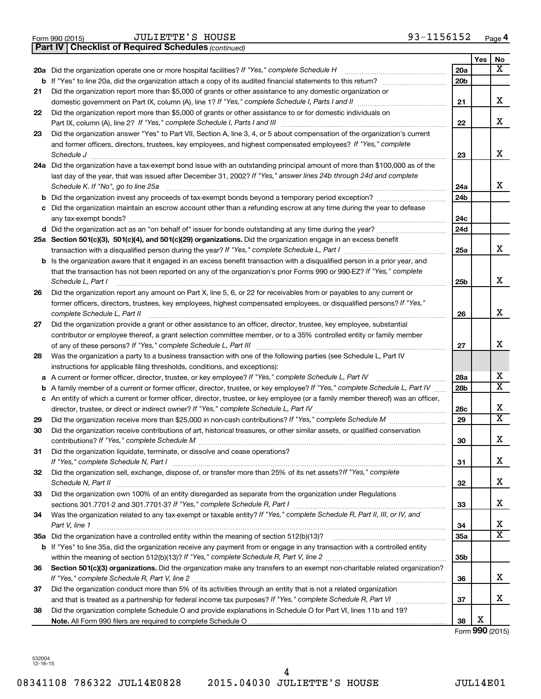|  | Form 990 (2015) |
|--|-----------------|
|  |                 |

*(continued)* **Part IV Checklist of Required Schedules**

|    |                                                                                                                                                                             |                 | Yes | No                      |
|----|-----------------------------------------------------------------------------------------------------------------------------------------------------------------------------|-----------------|-----|-------------------------|
|    | 20a Did the organization operate one or more hospital facilities? If "Yes," complete Schedule H                                                                             | 20a             |     | X                       |
|    | <b>b</b> If "Yes" to line 20a, did the organization attach a copy of its audited financial statements to this return?                                                       | 20 <sub>b</sub> |     |                         |
| 21 | Did the organization report more than \$5,000 of grants or other assistance to any domestic organization or                                                                 |                 |     |                         |
|    | domestic government on Part IX, column (A), line 1? If "Yes," complete Schedule I, Parts I and II                                                                           | 21              |     | x                       |
| 22 | Did the organization report more than \$5,000 of grants or other assistance to or for domestic individuals on                                                               |                 |     |                         |
|    |                                                                                                                                                                             | 22              |     | x                       |
| 23 | Did the organization answer "Yes" to Part VII, Section A, line 3, 4, or 5 about compensation of the organization's current                                                  |                 |     |                         |
|    | and former officers, directors, trustees, key employees, and highest compensated employees? If "Yes," complete                                                              |                 |     |                         |
|    | Schedule J                                                                                                                                                                  | 23              |     | x                       |
|    | 24a Did the organization have a tax-exempt bond issue with an outstanding principal amount of more than \$100,000 as of the                                                 |                 |     |                         |
|    | last day of the year, that was issued after December 31, 2002? If "Yes," answer lines 24b through 24d and complete                                                          |                 |     | x                       |
|    | Schedule K. If "No", go to line 25a                                                                                                                                         | 24a             |     |                         |
| b  | Did the organization invest any proceeds of tax-exempt bonds beyond a temporary period exception?                                                                           | 24b             |     |                         |
| с  | Did the organization maintain an escrow account other than a refunding escrow at any time during the year to defease                                                        | 24c             |     |                         |
|    |                                                                                                                                                                             | 24d             |     |                         |
|    | 25a Section 501(c)(3), 501(c)(4), and 501(c)(29) organizations. Did the organization engage in an excess benefit                                                            |                 |     |                         |
|    |                                                                                                                                                                             | 25a             |     | x                       |
|    | b Is the organization aware that it engaged in an excess benefit transaction with a disqualified person in a prior year, and                                                |                 |     |                         |
|    | that the transaction has not been reported on any of the organization's prior Forms 990 or 990-EZ? If "Yes," complete                                                       |                 |     | x                       |
|    | Schedule L, Part I                                                                                                                                                          | 25b             |     |                         |
| 26 | Did the organization report any amount on Part X, line 5, 6, or 22 for receivables from or payables to any current or                                                       |                 |     |                         |
|    | former officers, directors, trustees, key employees, highest compensated employees, or disqualified persons? If "Yes,"<br>complete Schedule L, Part II                      | 26              |     | x                       |
| 27 | Did the organization provide a grant or other assistance to an officer, director, trustee, key employee, substantial                                                        |                 |     |                         |
|    | contributor or employee thereof, a grant selection committee member, or to a 35% controlled entity or family member                                                         |                 |     |                         |
|    |                                                                                                                                                                             | 27              |     | x                       |
| 28 | Was the organization a party to a business transaction with one of the following parties (see Schedule L, Part IV                                                           |                 |     |                         |
|    | instructions for applicable filing thresholds, conditions, and exceptions):                                                                                                 |                 |     |                         |
| а  | A current or former officer, director, trustee, or key employee? If "Yes," complete Schedule L, Part IV                                                                     | 28a             |     | x                       |
| b  | A family member of a current or former officer, director, trustee, or key employee? If "Yes," complete Schedule L, Part IV                                                  | 28b             |     | $\overline{\mathtt{x}}$ |
| с  | An entity of which a current or former officer, director, trustee, or key employee (or a family member thereof) was an officer,                                             |                 |     |                         |
|    |                                                                                                                                                                             | 28c             |     | х                       |
| 29 | Did the organization receive more than \$25,000 in non-cash contributions? If "Yes," complete Schedule M                                                                    | 29              |     | $\overline{\mathtt{x}}$ |
| 30 | Did the organization receive contributions of art, historical treasures, or other similar assets, or qualified conservation                                                 |                 |     |                         |
|    |                                                                                                                                                                             | 30              |     | x                       |
| 31 | Did the organization liquidate, terminate, or dissolve and cease operations?                                                                                                |                 |     | x                       |
| 32 | Did the organization sell, exchange, dispose of, or transfer more than 25% of its net assets? If "Yes," complete                                                            | 31              |     |                         |
|    | Schedule N, Part II                                                                                                                                                         | 32              |     | x                       |
| 33 | Did the organization own 100% of an entity disregarded as separate from the organization under Regulations                                                                  |                 |     |                         |
|    | sections 301.7701-2 and 301.7701-3? If "Yes," complete Schedule R, Part I [1] [1] [1] [1] [1] [1] sections 301.7701-2 and 301.7701-3? If "Yes," complete Schedule R, Part I | 33              |     | x                       |
| 34 | Was the organization related to any tax-exempt or taxable entity? If "Yes," complete Schedule R, Part II, III, or IV, and                                                   |                 |     |                         |
|    | Part V, line 1                                                                                                                                                              | 34              |     | x                       |
|    |                                                                                                                                                                             | 35a             |     | $\overline{\mathtt{x}}$ |
|    | b If "Yes" to line 35a, did the organization receive any payment from or engage in any transaction with a controlled entity                                                 |                 |     |                         |
|    |                                                                                                                                                                             | 35b             |     |                         |
| 36 | Section 501(c)(3) organizations. Did the organization make any transfers to an exempt non-charitable related organization?                                                  |                 |     |                         |
|    |                                                                                                                                                                             | 36              |     | x                       |
| 37 | Did the organization conduct more than 5% of its activities through an entity that is not a related organization                                                            |                 |     | x                       |
|    |                                                                                                                                                                             | 37              |     |                         |
| 38 | Did the organization complete Schedule O and provide explanations in Schedule O for Part VI, lines 11b and 19?                                                              | 38              | х   |                         |
|    |                                                                                                                                                                             |                 |     |                         |

Form **990** (2015)

532004 12-16-15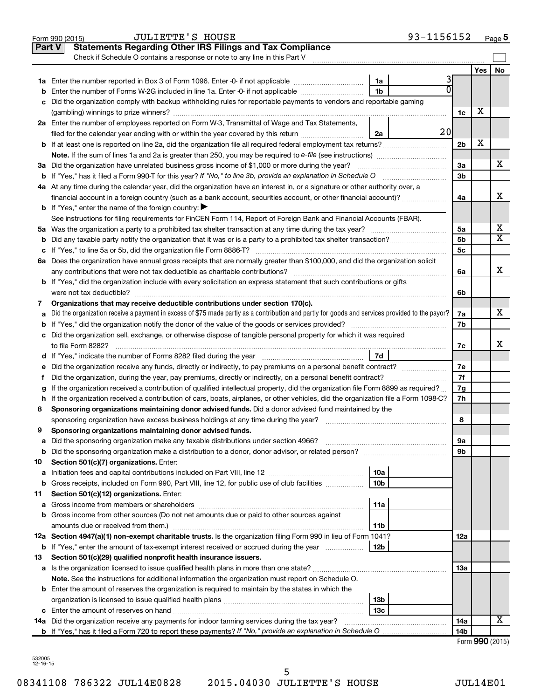|               | 93-1156152<br><b>JULIETTE'S HOUSE</b><br>Form 990 (2015)                                                                                        |                 |                 | Page 5 |
|---------------|-------------------------------------------------------------------------------------------------------------------------------------------------|-----------------|-----------------|--------|
| <b>Part V</b> | <b>Statements Regarding Other IRS Filings and Tax Compliance</b>                                                                                |                 |                 |        |
|               | Check if Schedule O contains a response or note to any line in this Part V                                                                      |                 |                 |        |
|               |                                                                                                                                                 |                 | Yes             | No     |
|               | 3<br>1a                                                                                                                                         |                 |                 |        |
| b             | 1 <sub>b</sub><br>Enter the number of Forms W-2G included in line 1a. Enter -0- if not applicable                                               |                 |                 |        |
| с             | Did the organization comply with backup withholding rules for reportable payments to vendors and reportable gaming                              |                 |                 |        |
|               |                                                                                                                                                 | 1c              | х               |        |
|               | 2a Enter the number of employees reported on Form W-3, Transmittal of Wage and Tax Statements,                                                  |                 |                 |        |
|               | 20 <sub>l</sub><br>filed for the calendar year ending with or within the year covered by this return<br>2a                                      |                 |                 |        |
|               |                                                                                                                                                 | 2 <sub>b</sub>  | X               |        |
|               |                                                                                                                                                 |                 |                 |        |
|               | 3a Did the organization have unrelated business gross income of \$1,000 or more during the year?                                                | За              |                 | x      |
|               | <b>b</b> If "Yes," has it filed a Form 990-T for this year? If "No," to line 3b, provide an explanation in Schedule O manumum                   | 3 <sub>b</sub>  |                 |        |
|               | 4a At any time during the calendar year, did the organization have an interest in, or a signature or other authority over, a                    |                 |                 |        |
|               | financial account in a foreign country (such as a bank account, securities account, or other financial account)?                                | 4a              |                 | x      |
|               | <b>b</b> If "Yes," enter the name of the foreign country: $\blacktriangleright$                                                                 |                 |                 |        |
|               | See instructions for filing requirements for FinCEN Form 114, Report of Foreign Bank and Financial Accounts (FBAR).                             |                 |                 |        |
|               |                                                                                                                                                 | 5a              |                 | х      |
|               |                                                                                                                                                 | 5 <sub>b</sub>  |                 | X      |
| b             |                                                                                                                                                 |                 |                 |        |
| с             |                                                                                                                                                 | 5c              |                 |        |
|               | 6a Does the organization have annual gross receipts that are normally greater than \$100,000, and did the organization solicit                  |                 |                 | x      |
|               |                                                                                                                                                 | 6a              |                 |        |
|               | <b>b</b> If "Yes," did the organization include with every solicitation an express statement that such contributions or gifts                   |                 |                 |        |
|               | were not tax deductible?                                                                                                                        | 6b              |                 |        |
| 7             | Organizations that may receive deductible contributions under section 170(c).                                                                   |                 |                 | x      |
| а             | Did the organization receive a payment in excess of \$75 made partly as a contribution and partly for goods and services provided to the payor? | 7a              |                 |        |
| b             |                                                                                                                                                 | 7b              |                 |        |
|               | c Did the organization sell, exchange, or otherwise dispose of tangible personal property for which it was required                             |                 |                 |        |
|               |                                                                                                                                                 | 7с              |                 | x      |
|               | 7d                                                                                                                                              |                 |                 |        |
| е             |                                                                                                                                                 | 7e              |                 |        |
| f.            | Did the organization, during the year, pay premiums, directly or indirectly, on a personal benefit contract?                                    | 7f              |                 |        |
| g             | If the organization received a contribution of qualified intellectual property, did the organization file Form 8899 as required?                | 7g              |                 |        |
| h             | If the organization received a contribution of cars, boats, airplanes, or other vehicles, did the organization file a Form 1098-C?              | 7h              |                 |        |
| 8             | Sponsoring organizations maintaining donor advised funds. Did a donor advised fund maintained by the                                            |                 |                 |        |
|               |                                                                                                                                                 | 8               |                 |        |
|               | Sponsoring organizations maintaining donor advised funds.                                                                                       |                 |                 |        |
| а             | Did the sponsoring organization make any taxable distributions under section 4966?                                                              | 9а              |                 |        |
| b             |                                                                                                                                                 | 9b              |                 |        |
| 10            | Section 501(c)(7) organizations. Enter:                                                                                                         |                 |                 |        |
| а             | 10a                                                                                                                                             |                 |                 |        |
| b             | 10 <sub>b</sub><br>Gross receipts, included on Form 990, Part VIII, line 12, for public use of club facilities                                  |                 |                 |        |
| 11            | Section 501(c)(12) organizations. Enter:                                                                                                        |                 |                 |        |
| а             | 11a                                                                                                                                             |                 |                 |        |
| b             | Gross income from other sources (Do not net amounts due or paid to other sources against                                                        |                 |                 |        |
|               | 11b                                                                                                                                             |                 |                 |        |
|               | 12a Section 4947(a)(1) non-exempt charitable trusts. Is the organization filing Form 990 in lieu of Form 1041?                                  | 12a             |                 |        |
|               | 12b<br><b>b</b> If "Yes," enter the amount of tax-exempt interest received or accrued during the year                                           |                 |                 |        |
| 13            | Section 501(c)(29) qualified nonprofit health insurance issuers.                                                                                |                 |                 |        |
|               | a Is the organization licensed to issue qualified health plans in more than one state?                                                          | 13a             |                 |        |
|               | Note. See the instructions for additional information the organization must report on Schedule O.                                               |                 |                 |        |
|               | <b>b</b> Enter the amount of reserves the organization is required to maintain by the states in which the                                       |                 |                 |        |
|               | 13b                                                                                                                                             |                 |                 |        |
|               | 13 <sub>c</sub>                                                                                                                                 |                 |                 |        |
|               | 14a Did the organization receive any payments for indoor tanning services during the tax year?                                                  | 14a             |                 | x      |
|               |                                                                                                                                                 | 14 <sub>b</sub> |                 |        |
|               |                                                                                                                                                 |                 | Form 990 (2015) |        |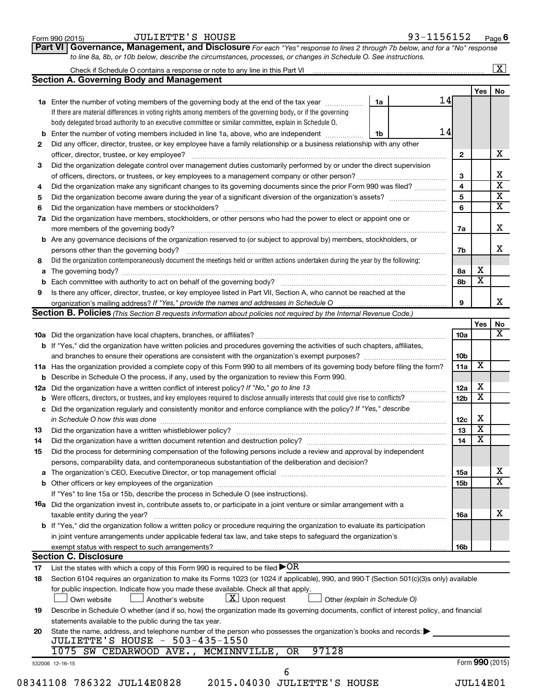|                | Check if Schedule O contains a response or note to any line in this Part VI                                                                                           |                               |                 |                         | $\overline{\mathbf{X}}$ |  |  |  |  |  |  |
|----------------|-----------------------------------------------------------------------------------------------------------------------------------------------------------------------|-------------------------------|-----------------|-------------------------|-------------------------|--|--|--|--|--|--|
|                | <b>Section A. Governing Body and Management</b>                                                                                                                       |                               |                 |                         |                         |  |  |  |  |  |  |
|                |                                                                                                                                                                       |                               |                 | Yes                     | No                      |  |  |  |  |  |  |
|                | 1a Enter the number of voting members of the governing body at the end of the tax year <i>manumum</i>                                                                 | 1a                            | 14              |                         |                         |  |  |  |  |  |  |
|                | If there are material differences in voting rights among members of the governing body, or if the governing                                                           |                               |                 |                         |                         |  |  |  |  |  |  |
|                | body delegated broad authority to an executive committee or similar committee, explain in Schedule O.                                                                 |                               |                 |                         |                         |  |  |  |  |  |  |
|                | <b>b</b> Enter the number of voting members included in line 1a, above, who are independent                                                                           | 1b                            | 14              |                         |                         |  |  |  |  |  |  |
| 2              | Did any officer, director, trustee, or key employee have a family relationship or a business relationship with any other                                              |                               |                 |                         |                         |  |  |  |  |  |  |
|                |                                                                                                                                                                       |                               |                 |                         |                         |  |  |  |  |  |  |
| 3              | Did the organization delegate control over management duties customarily performed by or under the direct supervision                                                 |                               |                 |                         |                         |  |  |  |  |  |  |
|                |                                                                                                                                                                       |                               |                 |                         |                         |  |  |  |  |  |  |
| 4              | Did the organization make any significant changes to its governing documents since the prior Form 990 was filed?                                                      |                               |                 |                         |                         |  |  |  |  |  |  |
| 5              |                                                                                                                                                                       |                               |                 |                         |                         |  |  |  |  |  |  |
| 6              |                                                                                                                                                                       |                               | 6               |                         |                         |  |  |  |  |  |  |
| 7a             | Did the organization have members, stockholders, or other persons who had the power to elect or appoint one or                                                        |                               |                 |                         |                         |  |  |  |  |  |  |
|                |                                                                                                                                                                       |                               | 7a              |                         |                         |  |  |  |  |  |  |
|                | <b>b</b> Are any governance decisions of the organization reserved to (or subject to approval by) members, stockholders, or<br>persons other than the governing body? |                               | 7b              |                         |                         |  |  |  |  |  |  |
| 8              | Did the organization contemporaneously document the meetings held or written actions undertaken during the year by the following:                                     |                               |                 |                         |                         |  |  |  |  |  |  |
| а              |                                                                                                                                                                       |                               | 8а              | х                       |                         |  |  |  |  |  |  |
| b              |                                                                                                                                                                       |                               | 8b              | $\overline{\text{x}}$   |                         |  |  |  |  |  |  |
| 9              | Is there any officer, director, trustee, or key employee listed in Part VII, Section A, who cannot be reached at the                                                  |                               |                 |                         |                         |  |  |  |  |  |  |
|                | organization's mailing address? If "Yes," provide the names and addresses in Schedule O                                                                               |                               | 9               |                         |                         |  |  |  |  |  |  |
|                | Section B. Policies (This Section B requests information about policies not required by the Internal Revenue Code.)                                                   |                               |                 |                         |                         |  |  |  |  |  |  |
|                |                                                                                                                                                                       |                               |                 | Yes                     |                         |  |  |  |  |  |  |
|                |                                                                                                                                                                       |                               | 10a             |                         |                         |  |  |  |  |  |  |
|                | b If "Yes," did the organization have written policies and procedures governing the activities of such chapters, affiliates,                                          |                               |                 |                         |                         |  |  |  |  |  |  |
|                |                                                                                                                                                                       |                               | 10b             |                         |                         |  |  |  |  |  |  |
|                | 11a Has the organization provided a complete copy of this Form 990 to all members of its governing body before filing the form?                                       |                               | 11a             | X                       |                         |  |  |  |  |  |  |
|                | <b>b</b> Describe in Schedule O the process, if any, used by the organization to review this Form 990.                                                                |                               |                 |                         |                         |  |  |  |  |  |  |
| 12a            | Did the organization have a written conflict of interest policy? If "No," go to line 13                                                                               |                               | 12a             | X                       |                         |  |  |  |  |  |  |
|                | Were officers, directors, or trustees, and key employees required to disclose annually interests that could give rise to conflicts?                                   |                               | 12 <sub>b</sub> | $\overline{\textbf{x}}$ |                         |  |  |  |  |  |  |
| b              | Did the organization regularly and consistently monitor and enforce compliance with the policy? If "Yes," describe                                                    |                               |                 |                         |                         |  |  |  |  |  |  |
| c              |                                                                                                                                                                       |                               |                 | X                       |                         |  |  |  |  |  |  |
|                | in Schedule O how this was done                                                                                                                                       |                               | 12c             | $\overline{\mathbf{X}}$ |                         |  |  |  |  |  |  |
| 13             |                                                                                                                                                                       |                               | 13<br>14        | $\overline{\textbf{x}}$ |                         |  |  |  |  |  |  |
| 14             |                                                                                                                                                                       |                               |                 |                         |                         |  |  |  |  |  |  |
| 15             | Did the process for determining compensation of the following persons include a review and approval by independent                                                    |                               |                 |                         |                         |  |  |  |  |  |  |
|                | persons, comparability data, and contemporaneous substantiation of the deliberation and decision?                                                                     |                               |                 |                         |                         |  |  |  |  |  |  |
|                |                                                                                                                                                                       |                               | <b>15a</b>      |                         |                         |  |  |  |  |  |  |
|                |                                                                                                                                                                       |                               | 15 <sub>b</sub> |                         |                         |  |  |  |  |  |  |
|                | If "Yes" to line 15a or 15b, describe the process in Schedule O (see instructions).                                                                                   |                               |                 |                         |                         |  |  |  |  |  |  |
|                | 16a Did the organization invest in, contribute assets to, or participate in a joint venture or similar arrangement with a                                             |                               |                 |                         |                         |  |  |  |  |  |  |
|                | taxable entity during the year?                                                                                                                                       |                               | <b>16a</b>      |                         |                         |  |  |  |  |  |  |
|                | <b>b</b> If "Yes," did the organization follow a written policy or procedure requiring the organization to evaluate its participation                                 |                               |                 |                         |                         |  |  |  |  |  |  |
|                | in joint venture arrangements under applicable federal tax law, and take steps to safeguard the organization's                                                        |                               |                 |                         |                         |  |  |  |  |  |  |
|                |                                                                                                                                                                       |                               | 16b             |                         |                         |  |  |  |  |  |  |
|                | <b>Section C. Disclosure</b>                                                                                                                                          |                               |                 |                         |                         |  |  |  |  |  |  |
|                |                                                                                                                                                                       |                               |                 |                         |                         |  |  |  |  |  |  |
|                | List the states with which a copy of this Form 990 is required to be filed $\blacktriangleright$ OR                                                                   |                               |                 |                         |                         |  |  |  |  |  |  |
|                | Section 6104 requires an organization to make its Forms 1023 (or 1024 if applicable), 990, and 990-T (Section 501(c)(3)s only) available                              |                               |                 |                         |                         |  |  |  |  |  |  |
|                | for public inspection. Indicate how you made these available. Check all that apply.                                                                                   |                               |                 |                         |                         |  |  |  |  |  |  |
|                | $X$ Upon request<br>Another's website<br>Own website                                                                                                                  | Other (explain in Schedule O) |                 |                         |                         |  |  |  |  |  |  |
|                | Describe in Schedule O whether (and if so, how) the organization made its governing documents, conflict of interest policy, and financial                             |                               |                 |                         |                         |  |  |  |  |  |  |
| 17<br>18<br>19 | statements available to the public during the tax year.                                                                                                               |                               |                 |                         |                         |  |  |  |  |  |  |
|                | State the name, address, and telephone number of the person who possesses the organization's books and records:<br><b>JULIETTE'S HOUSE - 503-435-1550</b>             |                               |                 |                         |                         |  |  |  |  |  |  |
| 20             | 1075 SW CEDARWOOD AVE., MCMINNVILLE,<br>97128<br>OR                                                                                                                   |                               |                 |                         |                         |  |  |  |  |  |  |
|                | 532006 12-16-15                                                                                                                                                       |                               |                 | Form 990 (2015)         |                         |  |  |  |  |  |  |

**Part VI** Governance, Management, and Disclosure For each "Yes" response to lines 2 through 7b below, and for a "No" response

Form 990 (2015)  $JULIETTE'S HOUSE$   $100SE$   $93-1156152$   $Page$ 

**6**

*to line 8a, 8b, or 10b below, describe the circumstances, processes, or changes in Schedule O. See instructions.*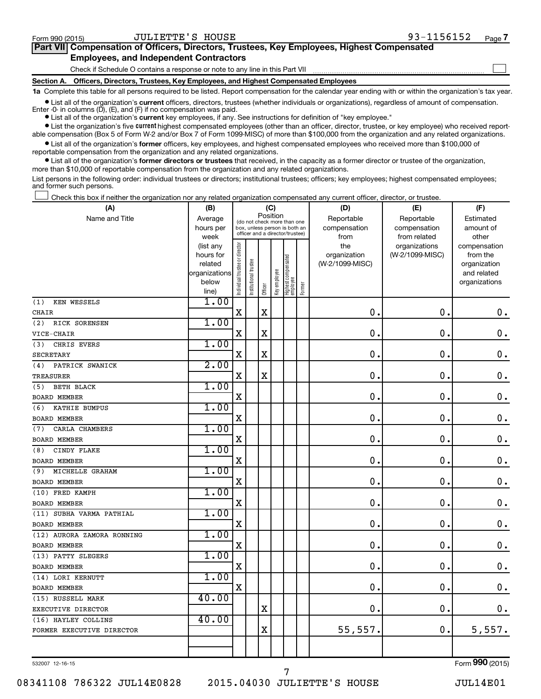$\Box$ 

| Part VII Compensation of Officers, Directors, Trustees, Key Employees, Highest Compensated |
|--------------------------------------------------------------------------------------------|
| <b>Employees, and Independent Contractors</b>                                              |

Check if Schedule O contains a response or note to any line in this Part VII

**Section A. Officers, Directors, Trustees, Key Employees, and Highest Compensated Employees**

**1a**  Complete this table for all persons required to be listed. Report compensation for the calendar year ending with or within the organization's tax year.

**•** List all of the organization's current officers, directors, trustees (whether individuals or organizations), regardless of amount of compensation. Enter -0- in columns  $(D)$ ,  $(E)$ , and  $(F)$  if no compensation was paid.

**•** List all of the organization's **current** key employees, if any. See instructions for definition of "key employee."

**•** List the organization's five current highest compensated employees (other than an officer, director, trustee, or key employee) who received reportable compensation (Box 5 of Form W-2 and/or Box 7 of Form 1099-MISC) of more than \$100,000 from the organization and any related organizations.

**•** List all of the organization's former officers, key employees, and highest compensated employees who received more than \$100,000 of reportable compensation from the organization and any related organizations.

**•** List all of the organization's former directors or trustees that received, in the capacity as a former director or trustee of the organization, more than \$10,000 of reportable compensation from the organization and any related organizations.

List persons in the following order: individual trustees or directors; institutional trustees; officers; key employees; highest compensated employees; and former such persons.

Check this box if neither the organization nor any related organization compensated any current officer, director, or trustee.  $\Box$ 

| (A)                        | (B)                    | (C)                                     |                                                                  |             |              |                                 |        | (D)                 | (E)                              | (F)                      |
|----------------------------|------------------------|-----------------------------------------|------------------------------------------------------------------|-------------|--------------|---------------------------------|--------|---------------------|----------------------------------|--------------------------|
| Name and Title             | Average                | Position<br>(do not check more than one |                                                                  |             |              |                                 |        | Reportable          | Reportable                       | Estimated                |
|                            | hours per              |                                         | box, unless person is both an<br>officer and a director/trustee) |             |              |                                 |        | compensation        | compensation                     | amount of                |
|                            | week                   |                                         |                                                                  |             |              |                                 |        | from                | from related                     | other                    |
|                            | (list any<br>hours for |                                         |                                                                  |             |              |                                 |        | the<br>organization | organizations<br>(W-2/1099-MISC) | compensation<br>from the |
|                            | related                |                                         |                                                                  |             |              |                                 |        | (W-2/1099-MISC)     |                                  | organization             |
|                            | organizations          |                                         |                                                                  |             |              |                                 |        |                     |                                  | and related              |
|                            | below                  | ndividual trustee or director           | Institutional trustee                                            |             | Key employee |                                 |        |                     |                                  | organizations            |
|                            | line)                  |                                         |                                                                  | Officer     |              | Highest compensated<br>employee | Former |                     |                                  |                          |
| <b>KEN WESSELS</b><br>(1)  | 1.00                   |                                         |                                                                  |             |              |                                 |        |                     |                                  |                          |
| <b>CHAIR</b>               |                        | $\mathbf X$                             |                                                                  | $\mathbf X$ |              |                                 |        | $\mathbf 0$         | $\mathbf 0$                      | $\mathbf 0$ .            |
| (2)<br>RICK SORENSEN       | 1.00                   |                                         |                                                                  |             |              |                                 |        |                     |                                  |                          |
| VICE-CHAIR                 |                        | X                                       |                                                                  | X           |              |                                 |        | $\mathbf 0$         | 0.                               | $\mathbf 0$ .            |
| CHRIS EVERS<br>(3)         | 1.00                   |                                         |                                                                  |             |              |                                 |        |                     |                                  |                          |
| <b>SECRETARY</b>           |                        | $\mathbf X$                             |                                                                  | X           |              |                                 |        | $\mathbf 0$         | $\mathbf 0$                      | $\mathbf 0$ .            |
| PATRICK SWANICK<br>(4)     | 2.00                   |                                         |                                                                  |             |              |                                 |        |                     |                                  |                          |
| <b>TREASURER</b>           |                        | X                                       |                                                                  | X           |              |                                 |        | $\mathbf 0$ .       | 0.                               | $\boldsymbol{0}$ .       |
| BETH BLACK<br>(5)          | 1.00                   |                                         |                                                                  |             |              |                                 |        |                     |                                  |                          |
| <b>BOARD MEMBER</b>        |                        | X                                       |                                                                  |             |              |                                 |        | 0.                  | $\mathbf 0$ .                    | $\mathbf 0$ .            |
| KATHIE BUMPUS<br>(6)       | 1.00                   |                                         |                                                                  |             |              |                                 |        |                     |                                  |                          |
| <b>BOARD MEMBER</b>        |                        | $\mathbf X$                             |                                                                  |             |              |                                 |        | $\mathbf 0$ .       | $\mathbf 0$ .                    | $\boldsymbol{0}$ .       |
| CARLA CHAMBERS<br>(7)      | 1.00                   |                                         |                                                                  |             |              |                                 |        |                     |                                  |                          |
| <b>BOARD MEMBER</b>        |                        | $\rm X$                                 |                                                                  |             |              |                                 |        | $\mathbf 0$ .       | $\mathbf 0$ .                    | $\mathbf 0$ .            |
| CINDY FLAKE<br>(8)         | 1.00                   |                                         |                                                                  |             |              |                                 |        |                     |                                  |                          |
| <b>BOARD MEMBER</b>        |                        | $\rm X$                                 |                                                                  |             |              |                                 |        | 0.                  | $\mathbf 0$ .                    | $\mathbf 0$ .            |
| MICHELLE GRAHAM<br>(9)     | 1.00                   |                                         |                                                                  |             |              |                                 |        |                     |                                  |                          |
| <b>BOARD MEMBER</b>        |                        | $\rm X$                                 |                                                                  |             |              |                                 |        | 0.                  | $\mathbf 0$ .                    | $\mathbf 0$ .            |
| (10) FRED KAMPH            | 1.00                   |                                         |                                                                  |             |              |                                 |        |                     |                                  |                          |
| <b>BOARD MEMBER</b>        |                        | X                                       |                                                                  |             |              |                                 |        | $\mathbf 0$ .       | $\mathbf 0$ .                    | $0$ .                    |
| (11) SUBHA VARMA PATHIAL   | 1.00                   |                                         |                                                                  |             |              |                                 |        |                     |                                  |                          |
| <b>BOARD MEMBER</b>        |                        | $\mathbf X$                             |                                                                  |             |              |                                 |        | $\mathbf 0$ .       | $\mathbf 0$ .                    | $0$ .                    |
| (12) AURORA ZAMORA RONNING | 1.00                   |                                         |                                                                  |             |              |                                 |        |                     |                                  |                          |
| <b>BOARD MEMBER</b>        |                        | X                                       |                                                                  |             |              |                                 |        | 0.                  | $\mathbf 0$ .                    | $\mathbf 0$ .            |
| (13) PATTY SLEGERS         | 1.00                   |                                         |                                                                  |             |              |                                 |        |                     |                                  |                          |
| <b>BOARD MEMBER</b>        |                        | $\mathbf X$                             |                                                                  |             |              |                                 |        | 0.                  | $\mathbf 0$ .                    | $\mathbf 0$ .            |
| (14) LORI KERNUTT          | 1.00                   |                                         |                                                                  |             |              |                                 |        |                     |                                  |                          |
| BOARD MEMBER               |                        | X                                       |                                                                  |             |              |                                 |        | $\mathbf 0$         | $\mathbf 0$ .                    | $\mathbf 0$ .            |
| (15) RUSSELL MARK          | 40.00                  |                                         |                                                                  |             |              |                                 |        |                     |                                  |                          |
| EXECUTIVE DIRECTOR         |                        |                                         |                                                                  | X           |              |                                 |        | 0.                  | $\mathbf 0$ .                    | $\mathbf 0$ .            |
| (16) HAYLEY COLLINS        | 40.00                  |                                         |                                                                  |             |              |                                 |        |                     |                                  |                          |
| FORMER EXECUTIVE DIRECTOR  |                        |                                         |                                                                  | X           |              |                                 |        | 55,557.             | О.                               | 5,557.                   |
|                            |                        |                                         |                                                                  |             |              |                                 |        |                     |                                  |                          |
|                            |                        |                                         |                                                                  |             |              |                                 |        |                     |                                  |                          |

532007 12-16-15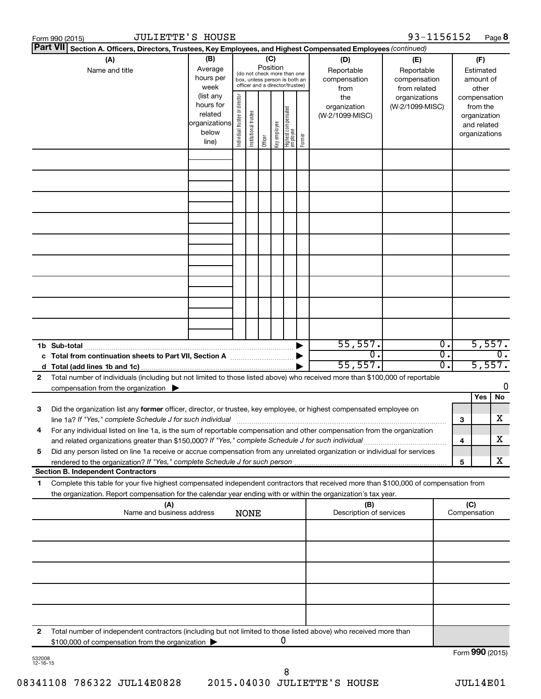|    | <b>JULIETTE'S HOUSE</b><br>Form 990 (2015)                                                                                                                                                                                             |                                                                      |                                                                                                                    |                       |         |              |                                   |        |                                           | 93-1156152                                        |                        |                 | Page 8                                                                   |                  |
|----|----------------------------------------------------------------------------------------------------------------------------------------------------------------------------------------------------------------------------------------|----------------------------------------------------------------------|--------------------------------------------------------------------------------------------------------------------|-----------------------|---------|--------------|-----------------------------------|--------|-------------------------------------------|---------------------------------------------------|------------------------|-----------------|--------------------------------------------------------------------------|------------------|
|    | <b>Part VII</b><br>Section A. Officers, Directors, Trustees, Key Employees, and Highest Compensated Employees (continued)                                                                                                              |                                                                      |                                                                                                                    |                       |         |              |                                   |        |                                           |                                                   |                        |                 |                                                                          |                  |
|    | (A)<br>Name and title                                                                                                                                                                                                                  | (B)<br>Average<br>hours per<br>week                                  | (C)<br>Position<br>(do not check more than one<br>box, unless person is both an<br>officer and a director/trustee) |                       |         |              |                                   |        | (D)<br>Reportable<br>compensation<br>from | (E)<br>Reportable<br>compensation<br>from related |                        |                 | (F)<br>Estimated<br>amount of<br>other                                   |                  |
|    |                                                                                                                                                                                                                                        | (list any<br>hours for<br>related<br>organizations<br>below<br>line) | Individual trustee or director                                                                                     | Institutional trustee | Officer | Key employee | Highest compensated<br>  employee | Former | the<br>organization<br>(W-2/1099-MISC)    | organizations<br>(W-2/1099-MISC)                  |                        |                 | compensation<br>from the<br>organization<br>and related<br>organizations |                  |
|    |                                                                                                                                                                                                                                        |                                                                      |                                                                                                                    |                       |         |              |                                   |        |                                           |                                                   |                        |                 |                                                                          |                  |
|    |                                                                                                                                                                                                                                        |                                                                      |                                                                                                                    |                       |         |              |                                   |        |                                           |                                                   |                        |                 |                                                                          |                  |
|    |                                                                                                                                                                                                                                        |                                                                      |                                                                                                                    |                       |         |              |                                   |        |                                           |                                                   |                        |                 |                                                                          |                  |
|    |                                                                                                                                                                                                                                        |                                                                      |                                                                                                                    |                       |         |              |                                   |        |                                           |                                                   |                        |                 |                                                                          |                  |
|    |                                                                                                                                                                                                                                        |                                                                      |                                                                                                                    |                       |         |              |                                   |        |                                           |                                                   |                        |                 |                                                                          |                  |
|    | 1b Sub-total                                                                                                                                                                                                                           |                                                                      |                                                                                                                    |                       |         |              |                                   |        | 55,557.<br>$\overline{0}$ .               |                                                   | $\overline{0}$ .<br>σ. |                 | 5,557.                                                                   | $\overline{0}$ . |
| 2  | c Total from continuation sheets to Part VII, Section A manufactured by<br>Total number of individuals (including but not limited to those listed above) who received more than \$100,000 of reportable                                |                                                                      |                                                                                                                    |                       |         |              |                                   |        | 55,557.                                   |                                                   | Ο.                     |                 | 5,557.                                                                   |                  |
|    | compensation from the organization $\blacktriangleright$                                                                                                                                                                               |                                                                      |                                                                                                                    |                       |         |              |                                   |        |                                           |                                                   |                        |                 | Yes                                                                      | 0<br>No          |
| 3  | Did the organization list any former officer, director, or trustee, key employee, or highest compensated employee on<br>line 1a? If "Yes," complete Schedule J for such individual manufactured content to the set of the set of the s |                                                                      |                                                                                                                    |                       |         |              |                                   |        |                                           |                                                   |                        | 3               |                                                                          | х                |
|    | For any individual listed on line 1a, is the sum of reportable compensation and other compensation from the organization<br>and related organizations greater than \$150,000? If "Yes," complete Schedule J for such individual        |                                                                      |                                                                                                                    |                       |         |              |                                   |        |                                           |                                                   |                        | 4               |                                                                          | х                |
| 5  | Did any person listed on line 1a receive or accrue compensation from any unrelated organization or individual for services<br><b>Section B. Independent Contractors</b>                                                                |                                                                      |                                                                                                                    |                       |         |              |                                   |        |                                           |                                                   |                        | 5               |                                                                          | х                |
| 1. | Complete this table for your five highest compensated independent contractors that received more than \$100,000 of compensation from                                                                                                   |                                                                      |                                                                                                                    |                       |         |              |                                   |        |                                           |                                                   |                        |                 |                                                                          |                  |
|    | the organization. Report compensation for the calendar year ending with or within the organization's tax year.<br>(A)<br>Name and business address                                                                                     |                                                                      |                                                                                                                    | <b>NONE</b>           |         |              |                                   |        | (B)<br>Description of services            |                                                   | (C)<br>Compensation    |                 |                                                                          |                  |
|    |                                                                                                                                                                                                                                        |                                                                      |                                                                                                                    |                       |         |              |                                   |        |                                           |                                                   |                        |                 |                                                                          |                  |
|    |                                                                                                                                                                                                                                        |                                                                      |                                                                                                                    |                       |         |              |                                   |        |                                           |                                                   |                        |                 |                                                                          |                  |
|    |                                                                                                                                                                                                                                        |                                                                      |                                                                                                                    |                       |         |              |                                   |        |                                           |                                                   |                        |                 |                                                                          |                  |
|    |                                                                                                                                                                                                                                        |                                                                      |                                                                                                                    |                       |         |              |                                   |        |                                           |                                                   |                        |                 |                                                                          |                  |
| 2  | Total number of independent contractors (including but not limited to those listed above) who received more than<br>\$100,000 of compensation from the organization                                                                    |                                                                      |                                                                                                                    |                       |         |              | 0                                 |        |                                           |                                                   |                        |                 |                                                                          |                  |
|    |                                                                                                                                                                                                                                        |                                                                      |                                                                                                                    |                       |         |              |                                   |        |                                           |                                                   |                        | Form 990 (2015) |                                                                          |                  |

532008 12-16-15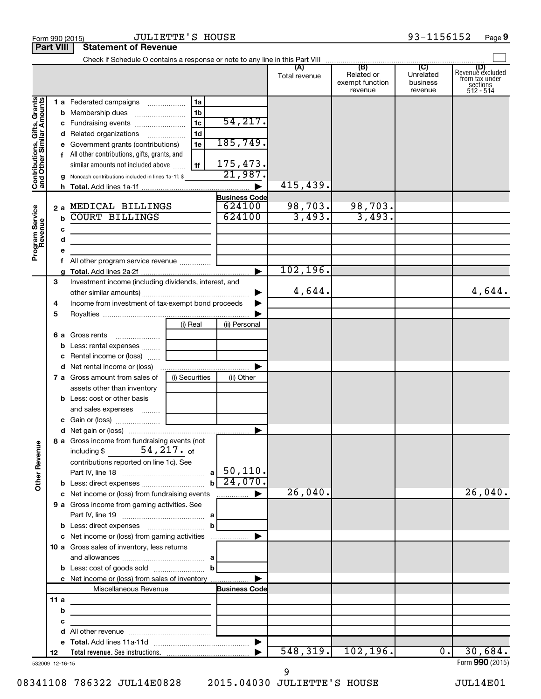|                                                           |                 |                                                             |                |                                | Total revenue | (B)<br>Related or<br>exempt function<br>revenue | (C)<br>Unrelated<br>business<br>revenue | (D)<br>Revenue excluded<br>trom tax under<br>sections<br>512 - 514 |
|-----------------------------------------------------------|-----------------|-------------------------------------------------------------|----------------|--------------------------------|---------------|-------------------------------------------------|-----------------------------------------|--------------------------------------------------------------------|
|                                                           |                 | 1 a Federated campaigns                                     | 1a             |                                |               |                                                 |                                         |                                                                    |
|                                                           |                 | <b>b</b> Membership dues                                    | 1 <sub>b</sub> |                                |               |                                                 |                                         |                                                                    |
|                                                           |                 | c Fundraising events                                        | 1 <sub>c</sub> | 54, 217.                       |               |                                                 |                                         |                                                                    |
|                                                           |                 | d Related organizations                                     | 1 <sub>d</sub> |                                |               |                                                 |                                         |                                                                    |
|                                                           |                 | e Government grants (contributions)                         | 1e             | 185,749.                       |               |                                                 |                                         |                                                                    |
|                                                           |                 | f All other contributions, gifts, grants, and               |                |                                |               |                                                 |                                         |                                                                    |
|                                                           |                 |                                                             |                | 175,473.                       |               |                                                 |                                         |                                                                    |
|                                                           |                 | similar amounts not included above                          | 1f             | 21,987.                        |               |                                                 |                                         |                                                                    |
| Contributions, Gifts, Grants<br>and Other Similar Amounts |                 | g Noncash contributions included in lines 1a-1f: \$         |                |                                | 415,439.      |                                                 |                                         |                                                                    |
|                                                           |                 |                                                             |                |                                |               |                                                 |                                         |                                                                    |
|                                                           |                 | 2 a MEDICAL BILLINGS                                        |                | <b>Business Code</b><br>624100 | 98,703.       | 98,703.                                         |                                         |                                                                    |
|                                                           |                 | <b>COURT BILLINGS</b>                                       |                | 624100                         | 3,493.        | 3,493.                                          |                                         |                                                                    |
| Program Service<br>Revenue                                | $\mathbf b$     |                                                             |                |                                |               |                                                 |                                         |                                                                    |
|                                                           | c               | the control of the control of the control of the control of |                |                                |               |                                                 |                                         |                                                                    |
|                                                           | d               |                                                             |                |                                |               |                                                 |                                         |                                                                    |
|                                                           | е               |                                                             |                |                                |               |                                                 |                                         |                                                                    |
|                                                           | f.              | All other program service revenue                           |                |                                |               |                                                 |                                         |                                                                    |
|                                                           |                 |                                                             |                | ►                              | 102, 196.     |                                                 |                                         |                                                                    |
|                                                           | 3               | Investment income (including dividends, interest, and       |                |                                |               |                                                 |                                         |                                                                    |
|                                                           |                 |                                                             |                |                                | 4,644.        |                                                 |                                         | 4,644.                                                             |
|                                                           | 4               | Income from investment of tax-exempt bond proceeds          |                |                                |               |                                                 |                                         |                                                                    |
|                                                           | 5               |                                                             |                |                                |               |                                                 |                                         |                                                                    |
|                                                           |                 |                                                             | (i) Real       | (ii) Personal                  |               |                                                 |                                         |                                                                    |
|                                                           |                 | 6 a Gross rents                                             |                |                                |               |                                                 |                                         |                                                                    |
|                                                           |                 | <b>b</b> Less: rental expenses                              |                |                                |               |                                                 |                                         |                                                                    |
|                                                           |                 | c Rental income or (loss)                                   |                |                                |               |                                                 |                                         |                                                                    |
|                                                           |                 |                                                             |                |                                |               |                                                 |                                         |                                                                    |
|                                                           |                 | <b>7 a</b> Gross amount from sales of                       | (i) Securities | (ii) Other                     |               |                                                 |                                         |                                                                    |
|                                                           |                 | assets other than inventory                                 |                |                                |               |                                                 |                                         |                                                                    |
|                                                           |                 | <b>b</b> Less: cost or other basis                          |                |                                |               |                                                 |                                         |                                                                    |
|                                                           |                 | and sales expenses                                          |                |                                |               |                                                 |                                         |                                                                    |
|                                                           |                 |                                                             |                |                                |               |                                                 |                                         |                                                                    |
|                                                           |                 |                                                             |                | ▶                              |               |                                                 |                                         |                                                                    |
|                                                           |                 | 8 a Gross income from fundraising events (not               |                |                                |               |                                                 |                                         |                                                                    |
| g                                                         |                 | including $\frac{217}{100}$ .                               |                |                                |               |                                                 |                                         |                                                                    |
|                                                           |                 | contributions reported on line 1c). See                     |                |                                |               |                                                 |                                         |                                                                    |
|                                                           |                 |                                                             | al             | 50, 110.                       |               |                                                 |                                         |                                                                    |
| Other Rever                                               |                 |                                                             | $\mathbf{b}$   | 24,070.                        |               |                                                 |                                         |                                                                    |
|                                                           |                 | c Net income or (loss) from fundraising events              |                | .                              | 26,040.       |                                                 |                                         | 26,040.                                                            |
|                                                           |                 | 9 a Gross income from gaming activities. See                |                |                                |               |                                                 |                                         |                                                                    |
|                                                           |                 |                                                             |                |                                |               |                                                 |                                         |                                                                    |
|                                                           |                 |                                                             | b              |                                |               |                                                 |                                         |                                                                    |
|                                                           |                 | c Net income or (loss) from gaming activities               |                | ▶                              |               |                                                 |                                         |                                                                    |
|                                                           |                 | 10 a Gross sales of inventory, less returns                 |                |                                |               |                                                 |                                         |                                                                    |
|                                                           |                 |                                                             |                |                                |               |                                                 |                                         |                                                                    |
|                                                           |                 |                                                             | $\mathbf{b}$   |                                |               |                                                 |                                         |                                                                    |
|                                                           |                 | c Net income or (loss) from sales of inventory              |                |                                |               |                                                 |                                         |                                                                    |
|                                                           |                 | Miscellaneous Revenue                                       |                | <b>Business Code</b>           |               |                                                 |                                         |                                                                    |
|                                                           | 11a             | the control of the control of the control of the control of |                |                                |               |                                                 |                                         |                                                                    |
|                                                           | b               |                                                             |                |                                |               |                                                 |                                         |                                                                    |
|                                                           | с               |                                                             |                |                                |               |                                                 |                                         |                                                                    |
|                                                           | d               | <u> 1990 - Johann Barbara, martxa alemaniar a</u>           |                |                                |               |                                                 |                                         |                                                                    |
|                                                           |                 |                                                             |                | $\blacktriangleright$          |               |                                                 |                                         |                                                                    |
|                                                           | 12              |                                                             |                |                                | 548, 319.     | 102, 196.                                       | $\overline{0}$ .                        | 30,684.                                                            |
|                                                           | 532009 12-16-15 |                                                             |                |                                |               |                                                 |                                         | Form 990 (2015)                                                    |

532009 12-16-15

08341108 786322 JUL14E0828 2015.04030 JULIETTE'S HOUSE JUL14E01

9

Form 990 (2015) Page JULIETTE'S HOUSE 93-1156152

**Part VIII Statement of Revenue**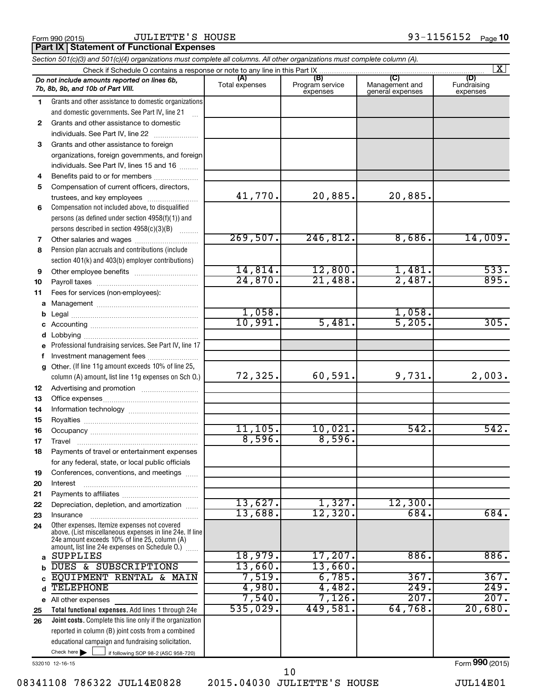Form 990 (2015)  $JULIENTE'S$   $HOUSE$   $93-1156152$   $Page$ 

**Part IX Statement of Functional Expenses** 

| Section 501(c)(3) and 501(c)(4) organizations must complete all columns. All other organizations must complete column (A). |                                                                                                                                                                                                             |                       |                                    |                                           |                                |  |  |  |  |
|----------------------------------------------------------------------------------------------------------------------------|-------------------------------------------------------------------------------------------------------------------------------------------------------------------------------------------------------------|-----------------------|------------------------------------|-------------------------------------------|--------------------------------|--|--|--|--|
|                                                                                                                            | $\vert$ X $\vert$<br>Check if Schedule O contains a response or note to any line in this Part IX                                                                                                            |                       |                                    |                                           |                                |  |  |  |  |
|                                                                                                                            | Do not include amounts reported on lines 6b,<br>7b, 8b, 9b, and 10b of Part VIII.                                                                                                                           | (A)<br>Total expenses | (B)<br>Program service<br>expenses | (C)<br>Management and<br>general expenses | (D)<br>Fundraising<br>expenses |  |  |  |  |
| 1.                                                                                                                         | Grants and other assistance to domestic organizations                                                                                                                                                       |                       |                                    |                                           |                                |  |  |  |  |
|                                                                                                                            | and domestic governments. See Part IV, line 21                                                                                                                                                              |                       |                                    |                                           |                                |  |  |  |  |
| 2                                                                                                                          | Grants and other assistance to domestic                                                                                                                                                                     |                       |                                    |                                           |                                |  |  |  |  |
|                                                                                                                            | individuals. See Part IV, line 22                                                                                                                                                                           |                       |                                    |                                           |                                |  |  |  |  |
| 3                                                                                                                          | Grants and other assistance to foreign                                                                                                                                                                      |                       |                                    |                                           |                                |  |  |  |  |
|                                                                                                                            | organizations, foreign governments, and foreign                                                                                                                                                             |                       |                                    |                                           |                                |  |  |  |  |
|                                                                                                                            | individuals. See Part IV, lines 15 and 16                                                                                                                                                                   |                       |                                    |                                           |                                |  |  |  |  |
| 4                                                                                                                          | Benefits paid to or for members                                                                                                                                                                             |                       |                                    |                                           |                                |  |  |  |  |
| 5                                                                                                                          | Compensation of current officers, directors,                                                                                                                                                                |                       |                                    |                                           |                                |  |  |  |  |
|                                                                                                                            | trustees, and key employees                                                                                                                                                                                 | 41,770.               | 20,885.                            | 20,885.                                   |                                |  |  |  |  |
| 6                                                                                                                          | Compensation not included above, to disqualified                                                                                                                                                            |                       |                                    |                                           |                                |  |  |  |  |
|                                                                                                                            | persons (as defined under section 4958(f)(1)) and                                                                                                                                                           |                       |                                    |                                           |                                |  |  |  |  |
|                                                                                                                            | persons described in section 4958(c)(3)(B)                                                                                                                                                                  | 269,507.              | 246,812.                           | 8,686.                                    | 14,009.                        |  |  |  |  |
| 7                                                                                                                          | Other salaries and wages                                                                                                                                                                                    |                       |                                    |                                           |                                |  |  |  |  |
| 8                                                                                                                          | Pension plan accruals and contributions (include                                                                                                                                                            |                       |                                    |                                           |                                |  |  |  |  |
|                                                                                                                            | section 401(k) and 403(b) employer contributions)                                                                                                                                                           | 14,814.               | 12,800.                            | 1,481.                                    | 533.                           |  |  |  |  |
| 9                                                                                                                          |                                                                                                                                                                                                             | 24,870.               | 21,488.                            | 2,487.                                    | 895.                           |  |  |  |  |
| 10                                                                                                                         |                                                                                                                                                                                                             |                       |                                    |                                           |                                |  |  |  |  |
| 11                                                                                                                         | Fees for services (non-employees):                                                                                                                                                                          |                       |                                    |                                           |                                |  |  |  |  |
| a                                                                                                                          |                                                                                                                                                                                                             | 1,058.                |                                    | 1,058.                                    |                                |  |  |  |  |
| b                                                                                                                          |                                                                                                                                                                                                             | 10,991.               | 5,481.                             | 5,205.                                    | 305.                           |  |  |  |  |
| c<br>d                                                                                                                     |                                                                                                                                                                                                             |                       |                                    |                                           |                                |  |  |  |  |
|                                                                                                                            | Professional fundraising services. See Part IV, line 17                                                                                                                                                     |                       |                                    |                                           |                                |  |  |  |  |
| f                                                                                                                          | Investment management fees                                                                                                                                                                                  |                       |                                    |                                           |                                |  |  |  |  |
| a                                                                                                                          | Other. (If line 11g amount exceeds 10% of line 25,                                                                                                                                                          |                       |                                    |                                           |                                |  |  |  |  |
|                                                                                                                            | column (A) amount, list line 11g expenses on Sch O.)                                                                                                                                                        | 72,325.               | 60,591.                            | 9,731.                                    | 2,003.                         |  |  |  |  |
| 12                                                                                                                         |                                                                                                                                                                                                             |                       |                                    |                                           |                                |  |  |  |  |
| 13                                                                                                                         |                                                                                                                                                                                                             |                       |                                    |                                           |                                |  |  |  |  |
| 14                                                                                                                         |                                                                                                                                                                                                             |                       |                                    |                                           |                                |  |  |  |  |
| 15                                                                                                                         |                                                                                                                                                                                                             |                       |                                    |                                           |                                |  |  |  |  |
| 16                                                                                                                         |                                                                                                                                                                                                             | 11,105.               | 10,021.                            | 542.                                      | 542.                           |  |  |  |  |
| 17                                                                                                                         |                                                                                                                                                                                                             | 8,596.                | 8,596.                             |                                           |                                |  |  |  |  |
| 18                                                                                                                         | Payments of travel or entertainment expenses                                                                                                                                                                |                       |                                    |                                           |                                |  |  |  |  |
|                                                                                                                            | for any federal, state, or local public officials                                                                                                                                                           |                       |                                    |                                           |                                |  |  |  |  |
| 19                                                                                                                         | Conferences, conventions, and meetings                                                                                                                                                                      |                       |                                    |                                           |                                |  |  |  |  |
| 20                                                                                                                         | Interest                                                                                                                                                                                                    |                       |                                    |                                           |                                |  |  |  |  |
| 21                                                                                                                         |                                                                                                                                                                                                             |                       |                                    |                                           |                                |  |  |  |  |
| 22                                                                                                                         | Depreciation, depletion, and amortization                                                                                                                                                                   | 13,627.               | 1,327.                             | 12,300.                                   |                                |  |  |  |  |
| 23                                                                                                                         | Insurance                                                                                                                                                                                                   | 13,688.               | 12,320.                            | 684.                                      | 684.                           |  |  |  |  |
| 24                                                                                                                         | Other expenses. Itemize expenses not covered<br>above. (List miscellaneous expenses in line 24e. If line<br>24e amount exceeds 10% of line 25, column (A)<br>amount, list line 24e expenses on Schedule O.) |                       |                                    |                                           |                                |  |  |  |  |
| a                                                                                                                          | <b>SUPPLIES</b>                                                                                                                                                                                             | 18,979.               | 17,207.                            | 886.                                      | 886.                           |  |  |  |  |
| b                                                                                                                          | DUES & SUBSCRIPTIONS                                                                                                                                                                                        | 13,660.               | 13,660.                            |                                           |                                |  |  |  |  |
| C                                                                                                                          | EQUIPMENT RENTAL & MAIN                                                                                                                                                                                     | 7,519.                | 6,785.                             | 367.                                      | 367.                           |  |  |  |  |
| d                                                                                                                          | <b>TELEPHONE</b>                                                                                                                                                                                            | 4,980.                | 4,482.                             | 249.                                      | 249.                           |  |  |  |  |
|                                                                                                                            | e All other expenses                                                                                                                                                                                        | 7,540.                | 7,126.                             | 207.                                      | 207.                           |  |  |  |  |
| 25                                                                                                                         | Total functional expenses. Add lines 1 through 24e                                                                                                                                                          | 535,029.              | 449,581.                           | 64,768.                                   | 20,680.                        |  |  |  |  |
| 26                                                                                                                         | <b>Joint costs.</b> Complete this line only if the organization                                                                                                                                             |                       |                                    |                                           |                                |  |  |  |  |
|                                                                                                                            | reported in column (B) joint costs from a combined                                                                                                                                                          |                       |                                    |                                           |                                |  |  |  |  |
|                                                                                                                            | educational campaign and fundraising solicitation.                                                                                                                                                          |                       |                                    |                                           |                                |  |  |  |  |
|                                                                                                                            | Check here $\blacktriangleright$<br>if following SOP 98-2 (ASC 958-720)                                                                                                                                     |                       |                                    |                                           |                                |  |  |  |  |
|                                                                                                                            | 532010 12-16-15                                                                                                                                                                                             |                       |                                    |                                           | Form 990 (2015)                |  |  |  |  |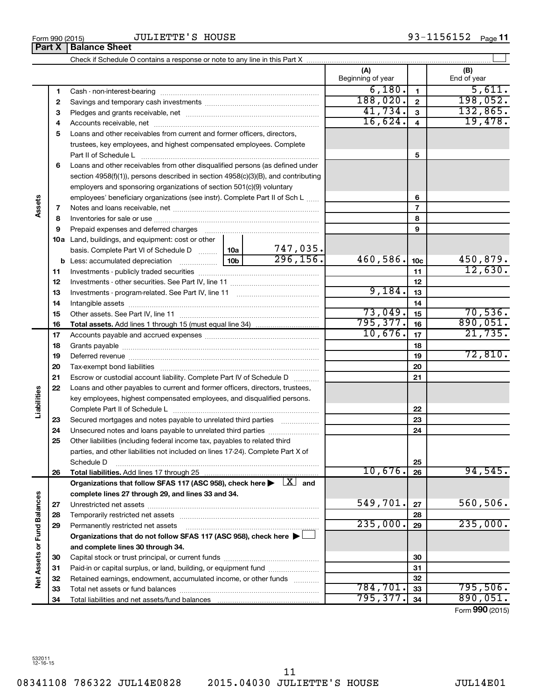**33 34**

**Net Assets or Fund Balances**

**Vet Assets or Fund Balances** 

Form 990 (2015) Page **11** JULIETTE'S HOUSE

Check if Schedule O contains a response or note to any line in this Part X

**(A) (B) 1 2 3** Pledges and grants receivable, net ~~~~~~~~~~~~~~~~~~~~~ **4** Accounts receivable, net ~~~~~~~~~~~~~~~~~~~~~~~~~~ **5** Loans and other receivables from current and former officers, directors, **6** Loans and other receivables from other disqualified persons (as defined under **7 8 9 10 a** Land, buildings, and equipment: cost or other **11** Investments - publicly traded securities ~~~~~~~~~~~~~~~~~~~ **12** Investments - other securities. See Part IV, line 11 ~~~~~~~~~~~~~~ **13 14 15 16 17 18 19 20 21 22 23 24 25 26 27 28 29 30 31 32 1 2 3 4 5 6 7 8 9 10c 11 12 13 14 15 16 17 18 19 20 21 22 23 24 25 26 b** Less: accumulated depreciation  $\ldots$  [10b basis. Complete Part VI of Schedule D  $\frac{1}{10}$  10a **Total assets.**  Add lines 1 through 15 (must equal line 34) **Total liabilities.**  Add lines 17 through 25 Organizations that follow SFAS 117 (ASC 958), check here  $\blacktriangleright$   $\boxed{X}$  and **complete lines 27 through 29, and lines 33 and 34. 27 28 29 Organizations that do not follow SFAS 117 (ASC 958), check here** | † **and complete lines 30 through 34. 30 31 32 33** Beginning of year | | End of year Cash - non-interest-bearing ~~~~~~~~~~~~~~~~~~~~~~~~~ Savings and temporary cash investments ~~~~~~~~~~~~~~~~~~ trustees, key employees, and highest compensated employees. Complete Part II of Schedule L ~~~~~~~~~~~~~~~~~~~~~~~~~~~~ section 4958(f)(1)), persons described in section 4958(c)(3)(B), and contributing employers and sponsoring organizations of section 501(c)(9) voluntary employees' beneficiary organizations (see instr). Complete Part II of Sch L ...... Notes and loans receivable, net ~~~~~~~~~~~~~~~~~~~~~~~ Inventories for sale or use ~~~~~~~~~~~~~~~~~~~~~~~~~~ Prepaid expenses and deferred charges ~~~~~~~~~~~~~~~~~~ Investments - program-related. See Part IV, line 11 ~~~~~~~~~~~~~ Intangible assets ~~~~~~~~~~~~~~~~~~~~~~~~~~~~~~ Other assets. See Part IV, line 11 ~~~~~~~~~~~~~~~~~~~~~~ Accounts payable and accrued expenses ~~~~~~~~~~~~~~~~~~ Grants payable ~~~~~~~~~~~~~~~~~~~~~~~~~~~~~~~ Deferred revenue ~~~~~~~~~~~~~~~~~~~~~~~~~~~~~~ Tax-exempt bond liabilities ~~~~~~~~~~~~~~~~~~~~~~~~~ Escrow or custodial account liability. Complete Part IV of Schedule D ........... Loans and other payables to current and former officers, directors, trustees, key employees, highest compensated employees, and disqualified persons. Complete Part II of Schedule L ~~~~~~~~~~~~~~~~~~~~~~~ Secured mortgages and notes payable to unrelated third parties  $\ldots$  ................. Unsecured notes and loans payable to unrelated third parties ~~~~~~~~ Other liabilities (including federal income tax, payables to related third parties, and other liabilities not included on lines 17-24). Complete Part X of Schedule D ~~~~~~~~~~~~~~~~~~~~~~~~~~~~~~~~ Unrestricted net assets ~~~~~~~~~~~~~~~~~~~~~~~~~~~ Temporarily restricted net assets ~~~~~~~~~~~~~~~~~~~~~~ Permanently restricted net assets ~~~~~~~~~~~~~~~~~~~~~ Capital stock or trust principal, or current funds ~~~~~~~~~~~~~~~ Paid-in or capital surplus, or land, building, or equipment fund ....................... Retained earnings, endowment, accumulated income, or other funds ............ Total net assets or fund balances ~~~~~~~~~~~~~~~~~~~~~~  $6,180.$   $1$   $1$   $5,611.$  $188,020$ .  $2$  | 198,052. 41,734. 132,865. 16,624. 19,478. 747,035.  $296, 156.$  460,586.  $10c$  450,879. 12,630. 9,184. 73,049. 70,536.  $\overline{795,377.}$  16 890,051. 10,676. 21,735. 72,810. 10,676. 94,545.  $549,701$ .  $27$  560,506.  $235,000$ .  $235,000$ . 784,701. 795,506.

 $\perp$ 

Form (2015) **990**

**34**

795,377**.** <sub>34</sub> 890,051.

Total liabilities and net assets/fund balances

**Part X** | **Balance Sheet** 

**Assets**

**Liabilities**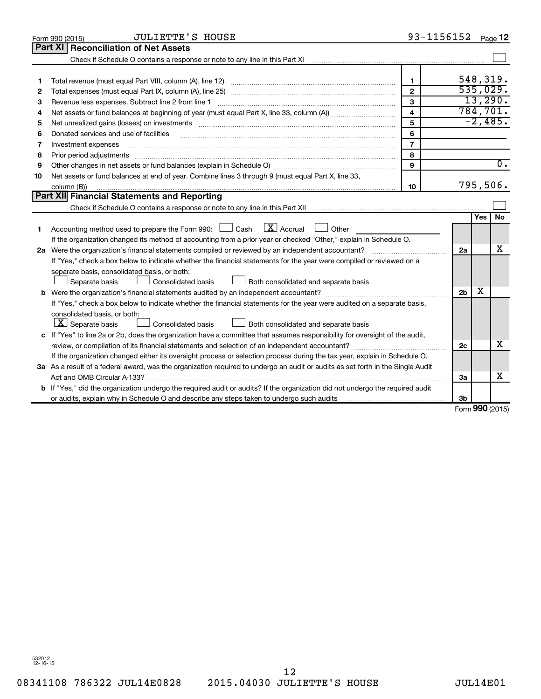|    | <b>JULIETTE'S HOUSE</b><br>Form 990 (2015)                                                                                                                                                                                                                                                                                                                                                                                                                                                          |                         | 93-1156152     |               | Page 12          |
|----|-----------------------------------------------------------------------------------------------------------------------------------------------------------------------------------------------------------------------------------------------------------------------------------------------------------------------------------------------------------------------------------------------------------------------------------------------------------------------------------------------------|-------------------------|----------------|---------------|------------------|
|    | <b>Part XI   Reconciliation of Net Assets</b>                                                                                                                                                                                                                                                                                                                                                                                                                                                       |                         |                |               |                  |
|    | Check if Schedule O contains a response or note to any line in this Part XI [11] [12] Check if Schedule O contains a response or note to any line in this Part XI                                                                                                                                                                                                                                                                                                                                   |                         |                |               |                  |
|    |                                                                                                                                                                                                                                                                                                                                                                                                                                                                                                     |                         |                |               |                  |
| 1  |                                                                                                                                                                                                                                                                                                                                                                                                                                                                                                     | $\mathbf{1}$            |                |               | 548,319.         |
| 2  |                                                                                                                                                                                                                                                                                                                                                                                                                                                                                                     | $\overline{2}$          |                |               | 535,029.         |
| З  | Revenue less expenses. Subtract line 2 from line 1                                                                                                                                                                                                                                                                                                                                                                                                                                                  | 3                       |                |               | 13,290.          |
| 4  |                                                                                                                                                                                                                                                                                                                                                                                                                                                                                                     | $\overline{\mathbf{4}}$ |                |               | 784, 701.        |
| 5  |                                                                                                                                                                                                                                                                                                                                                                                                                                                                                                     | 5                       |                |               | $-2,485.$        |
| 6  | Donated services and use of facilities                                                                                                                                                                                                                                                                                                                                                                                                                                                              | 6                       |                |               |                  |
| 7  | Investment expenses                                                                                                                                                                                                                                                                                                                                                                                                                                                                                 | $\overline{7}$          |                |               |                  |
| 8  | Prior period adjustments                                                                                                                                                                                                                                                                                                                                                                                                                                                                            | 8                       |                |               |                  |
| 9  |                                                                                                                                                                                                                                                                                                                                                                                                                                                                                                     | 9                       |                |               | $\overline{0}$ . |
| 10 | Net assets or fund balances at end of year. Combine lines 3 through 9 (must equal Part X, line 33,                                                                                                                                                                                                                                                                                                                                                                                                  |                         |                |               |                  |
|    | column (B))<br>$\begin{minipage}{0.9\linewidth} \begin{tabular}{l} \hline \textbf{0.01} \end{tabular} \end{minipage} \begin{tabular}{l} \hline \textbf{1.01} \end{tabular} \end{minipage} \begin{tabular}{l} \hline \textbf{1.01} \end{tabular} \end{minipage} \begin{minipage}{0.9\linewidth} \textbf{1.01} \end{minipage} \begin{tabular}{l} \hline \textbf{1.01} \end{tabular} \end{minipage} \begin{minipage}{0.9\linewidth} \textbf{1.01} \end{minipage} \begin{tabular}{l} \hline \textbf{1.$ | 10                      |                |               | 795,506.         |
|    | Part XII Financial Statements and Reporting                                                                                                                                                                                                                                                                                                                                                                                                                                                         |                         |                |               |                  |
|    |                                                                                                                                                                                                                                                                                                                                                                                                                                                                                                     |                         |                |               |                  |
|    |                                                                                                                                                                                                                                                                                                                                                                                                                                                                                                     |                         |                | <b>Yes</b>    | <b>No</b>        |
| 1  | Accounting method used to prepare the Form 990: $\Box$ Cash $\Box X$ Accrual<br>$\Box$ Other                                                                                                                                                                                                                                                                                                                                                                                                        |                         |                |               |                  |
|    | If the organization changed its method of accounting from a prior year or checked "Other," explain in Schedule O.                                                                                                                                                                                                                                                                                                                                                                                   |                         |                |               |                  |
|    |                                                                                                                                                                                                                                                                                                                                                                                                                                                                                                     |                         | 2a             |               | х                |
|    | If "Yes," check a box below to indicate whether the financial statements for the year were compiled or reviewed on a                                                                                                                                                                                                                                                                                                                                                                                |                         |                |               |                  |
|    | separate basis, consolidated basis, or both:                                                                                                                                                                                                                                                                                                                                                                                                                                                        |                         |                |               |                  |
|    | Both consolidated and separate basis<br>Separate basis<br>Consolidated basis                                                                                                                                                                                                                                                                                                                                                                                                                        |                         |                |               |                  |
|    |                                                                                                                                                                                                                                                                                                                                                                                                                                                                                                     |                         | 2 <sub>b</sub> | х             |                  |
|    | If "Yes," check a box below to indicate whether the financial statements for the year were audited on a separate basis,                                                                                                                                                                                                                                                                                                                                                                             |                         |                |               |                  |
|    | consolidated basis, or both:                                                                                                                                                                                                                                                                                                                                                                                                                                                                        |                         |                |               |                  |
|    | $ \mathbf{X} $ Separate basis<br>Consolidated basis<br>Both consolidated and separate basis                                                                                                                                                                                                                                                                                                                                                                                                         |                         |                |               |                  |
|    | c If "Yes" to line 2a or 2b, does the organization have a committee that assumes responsibility for oversight of the audit,                                                                                                                                                                                                                                                                                                                                                                         |                         |                |               |                  |
|    | review, or compilation of its financial statements and selection of an independent accountant?                                                                                                                                                                                                                                                                                                                                                                                                      |                         | 2c             |               | x                |
|    | If the organization changed either its oversight process or selection process during the tax year, explain in Schedule O.                                                                                                                                                                                                                                                                                                                                                                           |                         |                |               |                  |
|    | 3a As a result of a federal award, was the organization required to undergo an audit or audits as set forth in the Single Audit                                                                                                                                                                                                                                                                                                                                                                     |                         |                |               |                  |
|    |                                                                                                                                                                                                                                                                                                                                                                                                                                                                                                     |                         | За             |               | x                |
|    | <b>b</b> If "Yes," did the organization undergo the required audit or audits? If the organization did not undergo the required audit                                                                                                                                                                                                                                                                                                                                                                |                         |                |               |                  |
|    |                                                                                                                                                                                                                                                                                                                                                                                                                                                                                                     |                         | 3b             | $000 \approx$ |                  |
|    |                                                                                                                                                                                                                                                                                                                                                                                                                                                                                                     |                         |                |               |                  |

Form (2015) **990**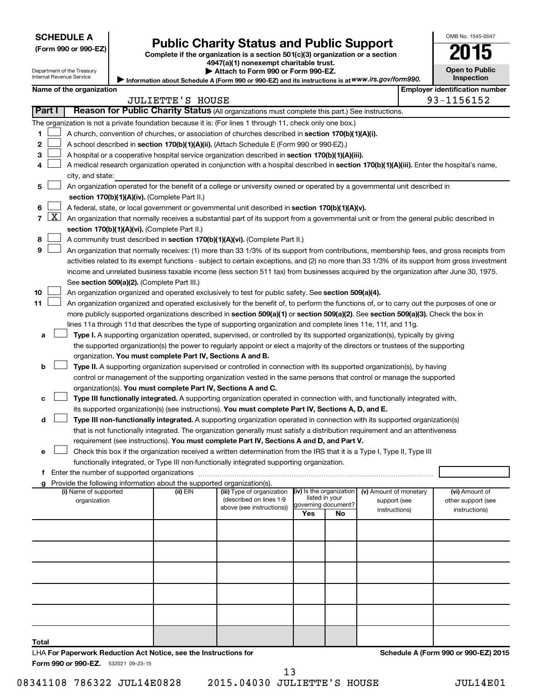| (Form 990 or 990-EZ |  |  |  |  |
|---------------------|--|--|--|--|
|---------------------|--|--|--|--|

# **Public Charity Status and Public Support**<br> **Public Charity Status and Public Support**<br> **2015**

**(Form 990 or 990-EZ) Complete if the organization is a section 501(c)(3) organization or a section**

**4947(a)(1) nonexempt charitable trust. | Attach to Form 990 or Form 990-EZ.** 

|  | <b>Open to Public</b> |
|--|-----------------------|
|  |                       |
|  | Inspection            |

OMB No. 1545-0047

| Department of the Treasury<br>Internal Revenue Service |                          | Attach to Form 990 or Form 990-EZ.<br>Information about Schedule A (Form 990 or 990-EZ) and its instructions is at WWW.irs.gov/form990. |                                                                                        |                                                                                                                                                                                                                                               |     |                           |                                        | <b>Open to Public</b><br><b>Inspection</b> |                                       |
|--------------------------------------------------------|--------------------------|-----------------------------------------------------------------------------------------------------------------------------------------|----------------------------------------------------------------------------------------|-----------------------------------------------------------------------------------------------------------------------------------------------------------------------------------------------------------------------------------------------|-----|---------------------------|----------------------------------------|--------------------------------------------|---------------------------------------|
|                                                        | Name of the organization |                                                                                                                                         |                                                                                        |                                                                                                                                                                                                                                               |     |                           |                                        |                                            | <b>Employer identification number</b> |
|                                                        |                          |                                                                                                                                         | <b>JULIETTE'S HOUSE</b>                                                                |                                                                                                                                                                                                                                               |     |                           |                                        |                                            | 93-1156152                            |
| Part I                                                 |                          |                                                                                                                                         |                                                                                        | Reason for Public Charity Status (All organizations must complete this part.) See instructions.                                                                                                                                               |     |                           |                                        |                                            |                                       |
|                                                        |                          |                                                                                                                                         |                                                                                        | The organization is not a private foundation because it is: (For lines 1 through 11, check only one box.)                                                                                                                                     |     |                           |                                        |                                            |                                       |
| 1                                                      |                          |                                                                                                                                         |                                                                                        | A church, convention of churches, or association of churches described in section 170(b)(1)(A)(i).                                                                                                                                            |     |                           |                                        |                                            |                                       |
| 2                                                      |                          |                                                                                                                                         |                                                                                        | A school described in section 170(b)(1)(A)(ii). (Attach Schedule E (Form 990 or 990-EZ).)                                                                                                                                                     |     |                           |                                        |                                            |                                       |
| 3                                                      |                          |                                                                                                                                         |                                                                                        | A hospital or a cooperative hospital service organization described in section 170(b)(1)(A)(iii).                                                                                                                                             |     |                           |                                        |                                            |                                       |
| 4                                                      |                          |                                                                                                                                         |                                                                                        | A medical research organization operated in conjunction with a hospital described in section 170(b)(1)(A)(iii). Enter the hospital's name,                                                                                                    |     |                           |                                        |                                            |                                       |
|                                                        | city, and state:         |                                                                                                                                         |                                                                                        |                                                                                                                                                                                                                                               |     |                           |                                        |                                            |                                       |
| 5                                                      |                          |                                                                                                                                         |                                                                                        | An organization operated for the benefit of a college or university owned or operated by a governmental unit described in                                                                                                                     |     |                           |                                        |                                            |                                       |
|                                                        |                          |                                                                                                                                         | section 170(b)(1)(A)(iv). (Complete Part II.)                                          |                                                                                                                                                                                                                                               |     |                           |                                        |                                            |                                       |
| 6                                                      |                          |                                                                                                                                         |                                                                                        | A federal, state, or local government or governmental unit described in section 170(b)(1)(A)(v).                                                                                                                                              |     |                           |                                        |                                            |                                       |
| $\overline{7}$                                         | <u>X  </u>               |                                                                                                                                         |                                                                                        | An organization that normally receives a substantial part of its support from a governmental unit or from the general public described in                                                                                                     |     |                           |                                        |                                            |                                       |
|                                                        |                          |                                                                                                                                         | section 170(b)(1)(A)(vi). (Complete Part II.)                                          |                                                                                                                                                                                                                                               |     |                           |                                        |                                            |                                       |
| 8                                                      |                          |                                                                                                                                         |                                                                                        | A community trust described in section 170(b)(1)(A)(vi). (Complete Part II.)                                                                                                                                                                  |     |                           |                                        |                                            |                                       |
| 9                                                      |                          |                                                                                                                                         |                                                                                        | An organization that normally receives: (1) more than 33 1/3% of its support from contributions, membership fees, and gross receipts from                                                                                                     |     |                           |                                        |                                            |                                       |
|                                                        |                          |                                                                                                                                         |                                                                                        | activities related to its exempt functions - subject to certain exceptions, and (2) no more than 33 1/3% of its support from gross investment                                                                                                 |     |                           |                                        |                                            |                                       |
|                                                        |                          |                                                                                                                                         |                                                                                        | income and unrelated business taxable income (less section 511 tax) from businesses acquired by the organization after June 30, 1975.                                                                                                         |     |                           |                                        |                                            |                                       |
|                                                        |                          |                                                                                                                                         | See section 509(a)(2). (Complete Part III.)                                            |                                                                                                                                                                                                                                               |     |                           |                                        |                                            |                                       |
| 10                                                     |                          |                                                                                                                                         |                                                                                        | An organization organized and operated exclusively to test for public safety. See section 509(a)(4).                                                                                                                                          |     |                           |                                        |                                            |                                       |
| 11                                                     |                          |                                                                                                                                         |                                                                                        | An organization organized and operated exclusively for the benefit of, to perform the functions of, or to carry out the purposes of one or                                                                                                    |     |                           |                                        |                                            |                                       |
|                                                        |                          |                                                                                                                                         |                                                                                        | more publicly supported organizations described in section 509(a)(1) or section 509(a)(2). See section 509(a)(3). Check the box in                                                                                                            |     |                           |                                        |                                            |                                       |
| а                                                      |                          |                                                                                                                                         |                                                                                        | lines 11a through 11d that describes the type of supporting organization and complete lines 11e, 11f, and 11g.<br>Type I. A supporting organization operated, supervised, or controlled by its supported organization(s), typically by giving |     |                           |                                        |                                            |                                       |
|                                                        |                          |                                                                                                                                         |                                                                                        | the supported organization(s) the power to regularly appoint or elect a majority of the directors or trustees of the supporting                                                                                                               |     |                           |                                        |                                            |                                       |
|                                                        |                          |                                                                                                                                         | organization. You must complete Part IV, Sections A and B.                             |                                                                                                                                                                                                                                               |     |                           |                                        |                                            |                                       |
| b                                                      |                          |                                                                                                                                         |                                                                                        | Type II. A supporting organization supervised or controlled in connection with its supported organization(s), by having                                                                                                                       |     |                           |                                        |                                            |                                       |
|                                                        |                          |                                                                                                                                         |                                                                                        | control or management of the supporting organization vested in the same persons that control or manage the supported                                                                                                                          |     |                           |                                        |                                            |                                       |
|                                                        |                          |                                                                                                                                         | organization(s). You must complete Part IV, Sections A and C.                          |                                                                                                                                                                                                                                               |     |                           |                                        |                                            |                                       |
| с                                                      |                          |                                                                                                                                         |                                                                                        | Type III functionally integrated. A supporting organization operated in connection with, and functionally integrated with,                                                                                                                    |     |                           |                                        |                                            |                                       |
|                                                        |                          |                                                                                                                                         |                                                                                        | its supported organization(s) (see instructions). You must complete Part IV, Sections A, D, and E.                                                                                                                                            |     |                           |                                        |                                            |                                       |
| d                                                      |                          |                                                                                                                                         |                                                                                        | Type III non-functionally integrated. A supporting organization operated in connection with its supported organization(s)                                                                                                                     |     |                           |                                        |                                            |                                       |
|                                                        |                          |                                                                                                                                         |                                                                                        | that is not functionally integrated. The organization generally must satisfy a distribution requirement and an attentiveness                                                                                                                  |     |                           |                                        |                                            |                                       |
|                                                        |                          |                                                                                                                                         |                                                                                        | requirement (see instructions). You must complete Part IV, Sections A and D, and Part V.                                                                                                                                                      |     |                           |                                        |                                            |                                       |
| е                                                      |                          |                                                                                                                                         |                                                                                        | Check this box if the organization received a written determination from the IRS that it is a Type I, Type II, Type III                                                                                                                       |     |                           |                                        |                                            |                                       |
|                                                        |                          |                                                                                                                                         |                                                                                        | functionally integrated, or Type III non-functionally integrated supporting organization.                                                                                                                                                     |     |                           |                                        |                                            |                                       |
|                                                        |                          |                                                                                                                                         |                                                                                        |                                                                                                                                                                                                                                               |     |                           |                                        |                                            |                                       |
|                                                        | (i) Name of supported    |                                                                                                                                         | g Provide the following information about the supported organization(s).<br>$(ii)$ EIN |                                                                                                                                                                                                                                               |     | (iv) Is the organization  |                                        |                                            |                                       |
|                                                        | organization             |                                                                                                                                         |                                                                                        | (iii) Type of organization<br>(described on lines 1-9                                                                                                                                                                                         |     | listed in your            | (v) Amount of monetary<br>support (see |                                            | (vi) Amount of<br>other support (see  |
|                                                        |                          |                                                                                                                                         |                                                                                        | above (see instructions))                                                                                                                                                                                                                     | Yes | governing document?<br>No | instructions)                          |                                            | instructions)                         |
|                                                        |                          |                                                                                                                                         |                                                                                        |                                                                                                                                                                                                                                               |     |                           |                                        |                                            |                                       |
|                                                        |                          |                                                                                                                                         |                                                                                        |                                                                                                                                                                                                                                               |     |                           |                                        |                                            |                                       |
|                                                        |                          |                                                                                                                                         |                                                                                        |                                                                                                                                                                                                                                               |     |                           |                                        |                                            |                                       |
|                                                        |                          |                                                                                                                                         |                                                                                        |                                                                                                                                                                                                                                               |     |                           |                                        |                                            |                                       |
|                                                        |                          |                                                                                                                                         |                                                                                        |                                                                                                                                                                                                                                               |     |                           |                                        |                                            |                                       |
|                                                        |                          |                                                                                                                                         |                                                                                        |                                                                                                                                                                                                                                               |     |                           |                                        |                                            |                                       |
|                                                        |                          |                                                                                                                                         |                                                                                        |                                                                                                                                                                                                                                               |     |                           |                                        |                                            |                                       |
|                                                        |                          |                                                                                                                                         |                                                                                        |                                                                                                                                                                                                                                               |     |                           |                                        |                                            |                                       |
|                                                        |                          |                                                                                                                                         |                                                                                        |                                                                                                                                                                                                                                               |     |                           |                                        |                                            |                                       |
|                                                        |                          |                                                                                                                                         |                                                                                        |                                                                                                                                                                                                                                               |     |                           |                                        |                                            |                                       |
|                                                        |                          |                                                                                                                                         |                                                                                        |                                                                                                                                                                                                                                               |     |                           |                                        |                                            |                                       |
| Total                                                  |                          |                                                                                                                                         |                                                                                        |                                                                                                                                                                                                                                               |     |                           |                                        |                                            |                                       |

LHA **For Paperwork Reduction Act Notice, see the Instructions for** 

Form 990 or 990-EZ. 532021 09-23-15

08341108 786322 JUL14E0828 2015.04030 JULIETTE'S HOUSE JUL14E01 13

**Schedule A (Form 990 or 990-EZ) 2015**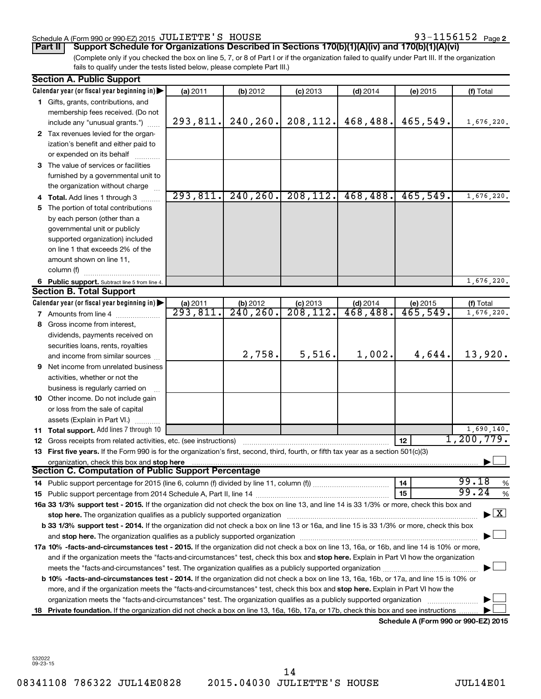# Schedule A (Form 990 or 990-EZ) 2015  $JULIETTE'S$   $HOUSE$   $93-1156152$   $Page$

93-1156152 Page 2

**Part II Support Schedule for Organizations Described in Sections 170(b)(1)(A)(iv) and 170(b)(1)(A)(vi)**

(Complete only if you checked the box on line 5, 7, or 8 of Part I or if the organization failed to qualify under Part III. If the organization fails to qualify under the tests listed below, please complete Part III.)

|    | <b>Section A. Public Support</b>                                                                                                               |                                |                          |                     |                                     |          |                                          |
|----|------------------------------------------------------------------------------------------------------------------------------------------------|--------------------------------|--------------------------|---------------------|-------------------------------------|----------|------------------------------------------|
|    | Calendar year (or fiscal year beginning in)                                                                                                    | (a) 2011                       | (b) 2012                 | $(c)$ 2013          | $(d)$ 2014                          | (e) 2015 | (f) Total                                |
|    | 1 Gifts, grants, contributions, and                                                                                                            |                                |                          |                     |                                     |          |                                          |
|    | membership fees received. (Do not                                                                                                              |                                |                          |                     |                                     |          |                                          |
|    | include any "unusual grants.")                                                                                                                 | 293, 811.                      | 240, 260.                | 208, 112.           | 468,488.                            | 465,549. | 1,676,220.                               |
|    | 2 Tax revenues levied for the organ-                                                                                                           |                                |                          |                     |                                     |          |                                          |
|    | ization's benefit and either paid to                                                                                                           |                                |                          |                     |                                     |          |                                          |
|    | or expended on its behalf                                                                                                                      |                                |                          |                     |                                     |          |                                          |
|    | 3 The value of services or facilities                                                                                                          |                                |                          |                     |                                     |          |                                          |
|    | furnished by a governmental unit to                                                                                                            |                                |                          |                     |                                     |          |                                          |
|    | the organization without charge                                                                                                                |                                |                          |                     |                                     |          |                                          |
|    | 4 Total. Add lines 1 through 3                                                                                                                 | 293,811.                       | 240, 260.                | 208, 112.           | 468,488.                            | 465,549. | 1,676,220.                               |
| 5. | The portion of total contributions                                                                                                             |                                |                          |                     |                                     |          |                                          |
|    | by each person (other than a                                                                                                                   |                                |                          |                     |                                     |          |                                          |
|    | governmental unit or publicly                                                                                                                  |                                |                          |                     |                                     |          |                                          |
|    | supported organization) included                                                                                                               |                                |                          |                     |                                     |          |                                          |
|    | on line 1 that exceeds 2% of the                                                                                                               |                                |                          |                     |                                     |          |                                          |
|    | amount shown on line 11,                                                                                                                       |                                |                          |                     |                                     |          |                                          |
|    | column (f)                                                                                                                                     |                                |                          |                     |                                     |          |                                          |
|    | 6 Public support. Subtract line 5 from line 4.                                                                                                 |                                |                          |                     |                                     |          | 1,676,220.                               |
|    | <b>Section B. Total Support</b>                                                                                                                |                                |                          |                     |                                     |          |                                          |
|    | Calendar year (or fiscal year beginning in)                                                                                                    |                                |                          |                     | $(d)$ 2014                          | (e) 2015 | (f) Total                                |
|    | <b>7</b> Amounts from line 4                                                                                                                   | $\frac{$ (a) 2011<br>293, 811. | (b) $2012$<br>$240, 260$ | $\frac{c}{208,112}$ | $\overline{468}$ , $\overline{488}$ | 465,549. | 1,676,220.                               |
|    | 8 Gross income from interest,                                                                                                                  |                                |                          |                     |                                     |          |                                          |
|    | dividends, payments received on                                                                                                                |                                |                          |                     |                                     |          |                                          |
|    | securities loans, rents, royalties                                                                                                             |                                |                          |                     |                                     |          |                                          |
|    | and income from similar sources                                                                                                                |                                | 2,758.                   | 5,516.              | 1,002.                              | 4,644.   | 13,920.                                  |
|    | <b>9</b> Net income from unrelated business                                                                                                    |                                |                          |                     |                                     |          |                                          |
|    | activities, whether or not the                                                                                                                 |                                |                          |                     |                                     |          |                                          |
|    | business is regularly carried on                                                                                                               |                                |                          |                     |                                     |          |                                          |
|    | 10 Other income. Do not include gain                                                                                                           |                                |                          |                     |                                     |          |                                          |
|    | or loss from the sale of capital                                                                                                               |                                |                          |                     |                                     |          |                                          |
|    | assets (Explain in Part VI.)                                                                                                                   |                                |                          |                     |                                     |          |                                          |
|    | 11 Total support. Add lines 7 through 10                                                                                                       |                                |                          |                     |                                     |          | 1,690,140.                               |
|    | <b>12</b> Gross receipts from related activities, etc. (see instructions)                                                                      |                                |                          |                     |                                     | 12       | 1, 200, 779.                             |
|    | 13 First five years. If the Form 990 is for the organization's first, second, third, fourth, or fifth tax year as a section 501(c)(3)          |                                |                          |                     |                                     |          |                                          |
|    | organization, check this box and stop here                                                                                                     |                                |                          |                     |                                     |          |                                          |
|    | <b>Section C. Computation of Public Support Percentage</b>                                                                                     |                                |                          |                     |                                     |          |                                          |
|    |                                                                                                                                                |                                |                          |                     |                                     | 14       | 99.18<br>%                               |
|    |                                                                                                                                                |                                |                          |                     |                                     | 15       | 99.24<br>%                               |
|    | 16a 33 1/3% support test - 2015. If the organization did not check the box on line 13, and line 14 is 33 1/3% or more, check this box and      |                                |                          |                     |                                     |          |                                          |
|    | stop here. The organization qualifies as a publicly supported organization manufaction manufacture or the organization                         |                                |                          |                     |                                     |          | $\blacktriangleright$ $\boxed{\text{X}}$ |
|    | b 33 1/3% support test - 2014. If the organization did not check a box on line 13 or 16a, and line 15 is 33 1/3% or more, check this box       |                                |                          |                     |                                     |          |                                          |
|    |                                                                                                                                                |                                |                          |                     |                                     |          |                                          |
|    | 17a 10% -facts-and-circumstances test - 2015. If the organization did not check a box on line 13, 16a, or 16b, and line 14 is 10% or more,     |                                |                          |                     |                                     |          |                                          |
|    | and if the organization meets the "facts-and-circumstances" test, check this box and stop here. Explain in Part VI how the organization        |                                |                          |                     |                                     |          |                                          |
|    |                                                                                                                                                |                                |                          |                     |                                     |          |                                          |
|    | <b>b 10%</b> -facts-and-circumstances test - 2014. If the organization did not check a box on line 13, 16a, 16b, or 17a, and line 15 is 10% or |                                |                          |                     |                                     |          |                                          |
|    | more, and if the organization meets the "facts-and-circumstances" test, check this box and stop here. Explain in Part VI how the               |                                |                          |                     |                                     |          |                                          |
|    | organization meets the "facts-and-circumstances" test. The organization qualifies as a publicly supported organization                         |                                |                          |                     |                                     |          |                                          |
| 18 | Private foundation. If the organization did not check a box on line 13, 16a, 16b, 17a, or 17b, check this box and see instructions             |                                |                          |                     |                                     |          |                                          |
|    |                                                                                                                                                |                                |                          |                     |                                     |          | $000 - 000 F21004F$                      |

**Schedule A (Form 990 or 990-EZ) 2015**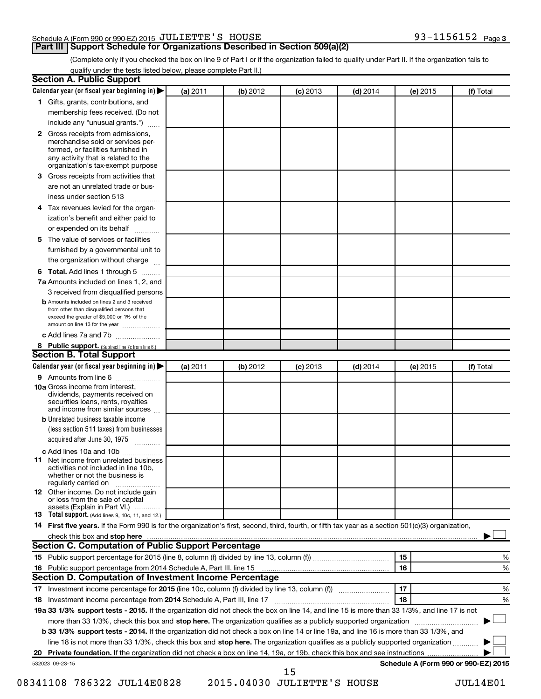# Schedule A (Form 990 or 990-EZ) 2015  $JULIETTE'S$   $HOUSE$   $93-1156152$   $Page$

# **Part III Support Schedule for Organizations Described in Section 509(a)(2)**

(Complete only if you checked the box on line 9 of Part I or if the organization failed to qualify under Part II. If the organization fails to qualify under the tests listed below, please complete Part II.)

| <b>Section A. Public Support</b>                                                                                                                                                                                                    |          |          |            |            |          |                                      |
|-------------------------------------------------------------------------------------------------------------------------------------------------------------------------------------------------------------------------------------|----------|----------|------------|------------|----------|--------------------------------------|
| Calendar year (or fiscal year beginning in)                                                                                                                                                                                         | (a) 2011 | (b) 2012 | $(c)$ 2013 | $(d)$ 2014 | (e) 2015 | (f) Total                            |
| 1 Gifts, grants, contributions, and                                                                                                                                                                                                 |          |          |            |            |          |                                      |
| membership fees received. (Do not                                                                                                                                                                                                   |          |          |            |            |          |                                      |
| include any "unusual grants.")                                                                                                                                                                                                      |          |          |            |            |          |                                      |
| 2 Gross receipts from admissions,<br>merchandise sold or services per-<br>formed, or facilities furnished in<br>any activity that is related to the                                                                                 |          |          |            |            |          |                                      |
| organization's tax-exempt purpose                                                                                                                                                                                                   |          |          |            |            |          |                                      |
| <b>3</b> Gross receipts from activities that                                                                                                                                                                                        |          |          |            |            |          |                                      |
| are not an unrelated trade or bus-                                                                                                                                                                                                  |          |          |            |            |          |                                      |
| iness under section 513                                                                                                                                                                                                             |          |          |            |            |          |                                      |
| 4 Tax revenues levied for the organ-<br>ization's benefit and either paid to                                                                                                                                                        |          |          |            |            |          |                                      |
| or expended on its behalf                                                                                                                                                                                                           |          |          |            |            |          |                                      |
| 5 The value of services or facilities                                                                                                                                                                                               |          |          |            |            |          |                                      |
| furnished by a governmental unit to                                                                                                                                                                                                 |          |          |            |            |          |                                      |
| the organization without charge                                                                                                                                                                                                     |          |          |            |            |          |                                      |
| <b>6 Total.</b> Add lines 1 through 5                                                                                                                                                                                               |          |          |            |            |          |                                      |
| 7a Amounts included on lines 1, 2, and                                                                                                                                                                                              |          |          |            |            |          |                                      |
| 3 received from disqualified persons                                                                                                                                                                                                |          |          |            |            |          |                                      |
| <b>b</b> Amounts included on lines 2 and 3 received<br>from other than disqualified persons that<br>exceed the greater of \$5,000 or 1% of the<br>amount on line 13 for the year                                                    |          |          |            |            |          |                                      |
| c Add lines 7a and 7b                                                                                                                                                                                                               |          |          |            |            |          |                                      |
| 8 Public support. (Subtract line 7c from line 6.)                                                                                                                                                                                   |          |          |            |            |          |                                      |
| <b>Section B. Total Support</b>                                                                                                                                                                                                     |          |          |            |            |          |                                      |
| Calendar year (or fiscal year beginning in)                                                                                                                                                                                         | (a) 2011 | (b) 2012 | $(c)$ 2013 | $(d)$ 2014 | (e) 2015 | (f) Total                            |
| <b>9</b> Amounts from line 6                                                                                                                                                                                                        |          |          |            |            |          |                                      |
| <b>10a</b> Gross income from interest,<br>dividends, payments received on<br>securities loans, rents, royalties<br>and income from similar sources                                                                                  |          |          |            |            |          |                                      |
| <b>b</b> Unrelated business taxable income                                                                                                                                                                                          |          |          |            |            |          |                                      |
| (less section 511 taxes) from businesses<br>acquired after June 30, 1975                                                                                                                                                            |          |          |            |            |          |                                      |
| c Add lines 10a and 10b                                                                                                                                                                                                             |          |          |            |            |          |                                      |
| <b>11</b> Net income from unrelated business<br>activities not included in line 10b.<br>whether or not the business is<br>regularly carried on                                                                                      |          |          |            |            |          |                                      |
| <b>12</b> Other income. Do not include gain<br>or loss from the sale of capital<br>assets (Explain in Part VI.)                                                                                                                     |          |          |            |            |          |                                      |
| <b>13</b> Total support. (Add lines 9, 10c, 11, and 12.)                                                                                                                                                                            |          |          |            |            |          |                                      |
| 14 First five years. If the Form 990 is for the organization's first, second, third, fourth, or fifth tax year as a section 501(c)(3) organization,                                                                                 |          |          |            |            |          |                                      |
| check this box and stop here <i>macuum content and a content and a content and stop here</i> and stop here and stop here and stop the state of the state of the state of the state of the state of the state of the state of the st |          |          |            |            |          |                                      |
| Section C. Computation of Public Support Percentage                                                                                                                                                                                 |          |          |            |            |          |                                      |
|                                                                                                                                                                                                                                     |          |          |            |            | 15       | ℅                                    |
| 16 Public support percentage from 2014 Schedule A, Part III, line 15                                                                                                                                                                |          |          |            |            | 16       | %                                    |
| Section D. Computation of Investment Income Percentage                                                                                                                                                                              |          |          |            |            |          |                                      |
|                                                                                                                                                                                                                                     |          |          |            |            | 17       | %                                    |
| 18 Investment income percentage from 2014 Schedule A, Part III, line 17                                                                                                                                                             |          |          |            |            | 18       | %                                    |
| 19a 33 1/3% support tests - 2015. If the organization did not check the box on line 14, and line 15 is more than 33 1/3%, and line 17 is not                                                                                        |          |          |            |            |          |                                      |
| more than 33 1/3%, check this box and stop here. The organization qualifies as a publicly supported organization                                                                                                                    |          |          |            |            |          |                                      |
| b 33 1/3% support tests - 2014. If the organization did not check a box on line 14 or line 19a, and line 16 is more than 33 1/3%, and                                                                                               |          |          |            |            |          |                                      |
| line 18 is not more than 33 1/3%, check this box and stop here. The organization qualifies as a publicly supported organization                                                                                                     |          |          |            |            |          |                                      |
|                                                                                                                                                                                                                                     |          |          |            |            |          |                                      |
| 532023 09-23-15                                                                                                                                                                                                                     |          |          |            |            |          | Schedule A (Form 990 or 990-EZ) 2015 |
|                                                                                                                                                                                                                                     |          |          | 15         |            |          |                                      |

08341108 786322 JUL14E0828 2015.04030 JULIETTE'S HOUSE JUL14E01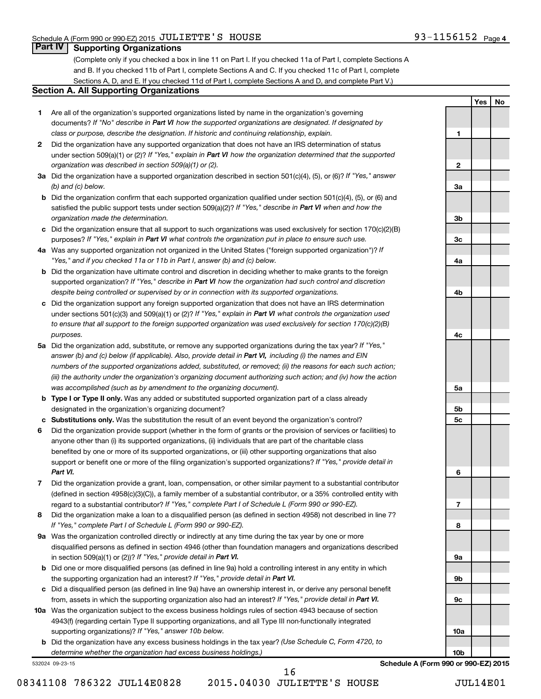**1**

**2**

**3a**

**3b**

**3c**

**4a**

**4b**

**4c**

**5a**

**5b 5c**

**6**

**7**

**8**

**9a**

**9b**

**9c**

**10a**

**10b**

**Yes No**

# **Part IV Supporting Organizations**

(Complete only if you checked a box in line 11 on Part I. If you checked 11a of Part I, complete Sections A and B. If you checked 11b of Part I, complete Sections A and C. If you checked 11c of Part I, complete Sections A, D, and E. If you checked 11d of Part I, complete Sections A and D, and complete Part V.)

# **Section A. All Supporting Organizations**

- **1** Are all of the organization's supported organizations listed by name in the organization's governing documents? If "No" describe in Part VI how the supported organizations are designated. If designated by *class or purpose, describe the designation. If historic and continuing relationship, explain.*
- **2** Did the organization have any supported organization that does not have an IRS determination of status under section 509(a)(1) or (2)? If "Yes," explain in Part VI how the organization determined that the supported *organization was described in section 509(a)(1) or (2).*
- **3a** Did the organization have a supported organization described in section 501(c)(4), (5), or (6)? If "Yes," answer *(b) and (c) below.*
- **b** Did the organization confirm that each supported organization qualified under section 501(c)(4), (5), or (6) and satisfied the public support tests under section 509(a)(2)? If "Yes," describe in Part VI when and how the *organization made the determination.*
- **c** Did the organization ensure that all support to such organizations was used exclusively for section 170(c)(2)(B) purposes? If "Yes," explain in Part VI what controls the organization put in place to ensure such use.
- **4 a** *If* Was any supported organization not organized in the United States ("foreign supported organization")? *"Yes," and if you checked 11a or 11b in Part I, answer (b) and (c) below.*
- **b** Did the organization have ultimate control and discretion in deciding whether to make grants to the foreign supported organization? If "Yes," describe in Part VI how the organization had such control and discretion *despite being controlled or supervised by or in connection with its supported organizations.*
- **c** Did the organization support any foreign supported organization that does not have an IRS determination under sections 501(c)(3) and 509(a)(1) or (2)? If "Yes," explain in Part VI what controls the organization used *to ensure that all support to the foreign supported organization was used exclusively for section 170(c)(2)(B) purposes.*
- **5a** Did the organization add, substitute, or remove any supported organizations during the tax year? If "Yes," answer (b) and (c) below (if applicable). Also, provide detail in Part VI, including (i) the names and EIN *numbers of the supported organizations added, substituted, or removed; (ii) the reasons for each such action; (iii) the authority under the organization's organizing document authorizing such action; and (iv) how the action was accomplished (such as by amendment to the organizing document).*
- **b Type I or Type II only.** Was any added or substituted supported organization part of a class already designated in the organization's organizing document?
- **c Substitutions only.**  Was the substitution the result of an event beyond the organization's control?
- **6** Did the organization provide support (whether in the form of grants or the provision of services or facilities) to support or benefit one or more of the filing organization's supported organizations? If "Yes," provide detail in anyone other than (i) its supported organizations, (ii) individuals that are part of the charitable class benefited by one or more of its supported organizations, or (iii) other supporting organizations that also *Part VI.*
- **7** Did the organization provide a grant, loan, compensation, or other similar payment to a substantial contributor regard to a substantial contributor? If "Yes," complete Part I of Schedule L (Form 990 or 990-EZ). (defined in section 4958(c)(3)(C)), a family member of a substantial contributor, or a 35% controlled entity with
- **8** Did the organization make a loan to a disqualified person (as defined in section 4958) not described in line 7? *If "Yes," complete Part I of Schedule L (Form 990 or 990-EZ).*
- **9 a** Was the organization controlled directly or indirectly at any time during the tax year by one or more in section 509(a)(1) or (2))? If "Yes," provide detail in Part VI. disqualified persons as defined in section 4946 (other than foundation managers and organizations described
- **b** Did one or more disqualified persons (as defined in line 9a) hold a controlling interest in any entity in which the supporting organization had an interest? If "Yes," provide detail in Part VI.
- **c** Did a disqualified person (as defined in line 9a) have an ownership interest in, or derive any personal benefit from, assets in which the supporting organization also had an interest? If "Yes," provide detail in Part VI.
- **10 a** Was the organization subject to the excess business holdings rules of section 4943 because of section supporting organizations)? If "Yes," answer 10b below. 4943(f) (regarding certain Type II supporting organizations, and all Type III non-functionally integrated
	- **b** Did the organization have any excess business holdings in the tax year? (Use Schedule C, Form 4720, to *determine whether the organization had excess business holdings.)*

532024 09-23-15

**Schedule A (Form 990 or 990-EZ) 2015**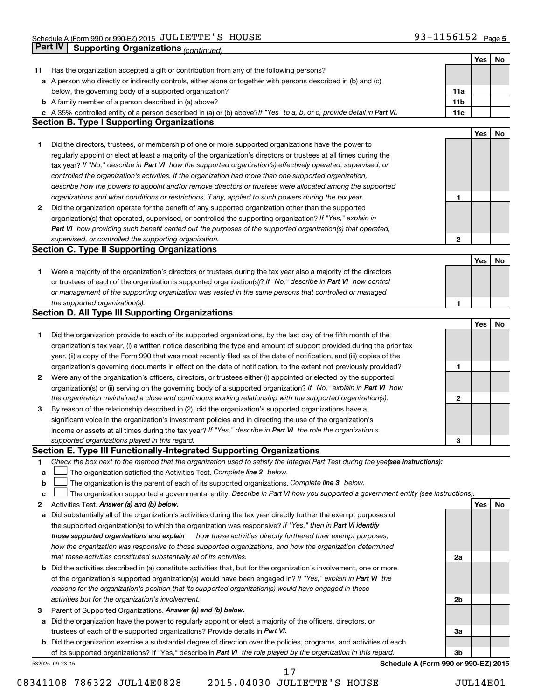|             | Part IV<br><b>Supporting Organizations (continued)</b>                                                                                                                        |                 |     |    |
|-------------|-------------------------------------------------------------------------------------------------------------------------------------------------------------------------------|-----------------|-----|----|
|             |                                                                                                                                                                               |                 | Yes | No |
| 11          | Has the organization accepted a gift or contribution from any of the following persons?                                                                                       |                 |     |    |
|             | a A person who directly or indirectly controls, either alone or together with persons described in (b) and (c)                                                                |                 |     |    |
|             | below, the governing body of a supported organization?                                                                                                                        | 11a             |     |    |
|             | <b>b</b> A family member of a person described in (a) above?                                                                                                                  | 11 <sub>b</sub> |     |    |
|             | c A 35% controlled entity of a person described in (a) or (b) above? If "Yes" to a, b, or c, provide detail in Part VI.                                                       | 11c             |     |    |
|             | <b>Section B. Type I Supporting Organizations</b>                                                                                                                             |                 |     |    |
|             |                                                                                                                                                                               |                 | Yes | No |
| 1           | Did the directors, trustees, or membership of one or more supported organizations have the power to                                                                           |                 |     |    |
|             | regularly appoint or elect at least a majority of the organization's directors or trustees at all times during the                                                            |                 |     |    |
|             | tax year? If "No," describe in Part VI how the supported organization(s) effectively operated, supervised, or                                                                 |                 |     |    |
|             | controlled the organization's activities. If the organization had more than one supported organization,                                                                       |                 |     |    |
|             | describe how the powers to appoint and/or remove directors or trustees were allocated among the supported                                                                     |                 |     |    |
|             | organizations and what conditions or restrictions, if any, applied to such powers during the tax year.                                                                        | 1               |     |    |
| 2           | Did the organization operate for the benefit of any supported organization other than the supported                                                                           |                 |     |    |
|             | organization(s) that operated, supervised, or controlled the supporting organization? If "Yes," explain in                                                                    |                 |     |    |
|             | Part VI how providing such benefit carried out the purposes of the supported organization(s) that operated,                                                                   |                 |     |    |
|             | supervised, or controlled the supporting organization.                                                                                                                        | 2               |     |    |
|             | <b>Section C. Type II Supporting Organizations</b>                                                                                                                            |                 |     |    |
|             |                                                                                                                                                                               |                 | Yes | No |
| 1           | Were a majority of the organization's directors or trustees during the tax year also a majority of the directors                                                              |                 |     |    |
|             | or trustees of each of the organization's supported organization(s)? If "No," describe in Part VI how control                                                                 |                 |     |    |
|             | or management of the supporting organization was vested in the same persons that controlled or managed                                                                        |                 |     |    |
|             | the supported organization(s).                                                                                                                                                | 1               |     |    |
|             | <b>Section D. All Type III Supporting Organizations</b>                                                                                                                       |                 |     |    |
|             |                                                                                                                                                                               |                 | Yes | No |
| 1           | Did the organization provide to each of its supported organizations, by the last day of the fifth month of the                                                                |                 |     |    |
|             | organization's tax year, (i) a written notice describing the type and amount of support provided during the prior tax                                                         |                 |     |    |
|             | year, (ii) a copy of the Form 990 that was most recently filed as of the date of notification, and (iii) copies of the                                                        |                 |     |    |
|             | organization's governing documents in effect on the date of notification, to the extent not previously provided?                                                              | 1               |     |    |
| 2           | Were any of the organization's officers, directors, or trustees either (i) appointed or elected by the supported                                                              |                 |     |    |
|             | organization(s) or (ii) serving on the governing body of a supported organization? If "No," explain in Part VI how                                                            |                 |     |    |
|             |                                                                                                                                                                               | 2               |     |    |
|             | the organization maintained a close and continuous working relationship with the supported organization(s).                                                                   |                 |     |    |
| 3           | By reason of the relationship described in (2), did the organization's supported organizations have a                                                                         |                 |     |    |
|             | significant voice in the organization's investment policies and in directing the use of the organization's                                                                    |                 |     |    |
|             | income or assets at all times during the tax year? If "Yes," describe in Part VI the role the organization's                                                                  |                 |     |    |
|             | supported organizations played in this regard.<br>Section E. Type III Functionally-Integrated Supporting Organizations                                                        | з               |     |    |
| 1           | Check the box next to the method that the organization used to satisfy the Integral Part Test during the yealsee instructions):                                               |                 |     |    |
| a           | The organization satisfied the Activities Test. Complete line 2 below.                                                                                                        |                 |     |    |
| $\mathbf b$ | The organization is the parent of each of its supported organizations. Complete line 3 below.                                                                                 |                 |     |    |
|             |                                                                                                                                                                               |                 |     |    |
| c<br>2      | The organization supported a governmental entity. Describe in Part VI how you supported a government entity (see instructions).<br>Activities Test. Answer (a) and (b) below. |                 | Yes | No |
| а           | Did substantially all of the organization's activities during the tax year directly further the exempt purposes of                                                            |                 |     |    |
|             | the supported organization(s) to which the organization was responsive? If "Yes," then in Part VI identify                                                                    |                 |     |    |
|             | those supported organizations and explain<br>how these activities directly furthered their exempt purposes,                                                                   |                 |     |    |
|             | how the organization was responsive to those supported organizations, and how the organization determined                                                                     |                 |     |    |
|             | that these activities constituted substantially all of its activities.                                                                                                        | 2a              |     |    |
|             |                                                                                                                                                                               |                 |     |    |
|             | b Did the activities described in (a) constitute activities that, but for the organization's involvement, one or more                                                         |                 |     |    |
|             | of the organization's supported organization(s) would have been engaged in? If "Yes," explain in Part VI the                                                                  |                 |     |    |
|             | reasons for the organization's position that its supported organization(s) would have engaged in these                                                                        |                 |     |    |
|             | activities but for the organization's involvement.                                                                                                                            | 2b              |     |    |
| з           | Parent of Supported Organizations. Answer (a) and (b) below.                                                                                                                  |                 |     |    |
|             | a Did the organization have the power to regularly appoint or elect a majority of the officers, directors, or                                                                 |                 |     |    |
|             | trustees of each of the supported organizations? Provide details in Part VI.                                                                                                  | За              |     |    |
|             | <b>b</b> Did the organization exercise a substantial degree of direction over the policies, programs, and activities of each                                                  |                 |     |    |
|             | of its supported organizations? If "Yes," describe in Part VI the role played by the organization in this regard.                                                             | 3b              |     |    |
|             | Schedule A (Form 990 or 990-EZ) 2015<br>532025 09-23-15<br>17                                                                                                                 |                 |     |    |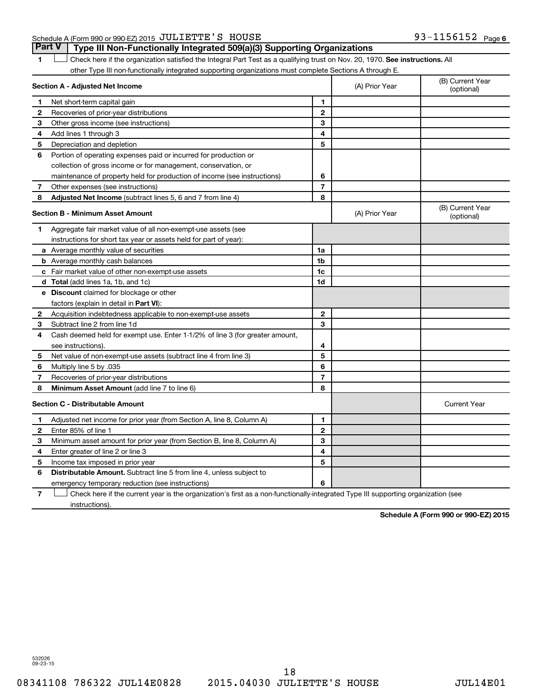# Schedule A (Form 990 or 990-EZ) 2015  $JULIETTE'S$   $HOUSE$   $93-1156152$   $Page$

1 **Letter on Reck here if the organization satisfied the Integral Part Test as a qualifying trust on Nov. 20, 1970. See instructions. All** other Type III non-functionally integrated supporting organizations must complete Sections A through E. **Part V Type III Non-Functionally Integrated 509(a)(3) Supporting Organizations** 

|              | Section A - Adjusted Net Income                                                                                                   | (A) Prior Year | (B) Current Year<br>(optional) |                                |
|--------------|-----------------------------------------------------------------------------------------------------------------------------------|----------------|--------------------------------|--------------------------------|
| 1            | Net short-term capital gain                                                                                                       | 1              |                                |                                |
| $\mathbf{2}$ | Recoveries of prior-year distributions                                                                                            | $\mathbf{2}$   |                                |                                |
| З            | Other gross income (see instructions)                                                                                             | 3              |                                |                                |
| 4            | Add lines 1 through 3                                                                                                             | 4              |                                |                                |
| 5            | Depreciation and depletion                                                                                                        | 5              |                                |                                |
| 6            | Portion of operating expenses paid or incurred for production or                                                                  |                |                                |                                |
|              | collection of gross income or for management, conservation, or                                                                    |                |                                |                                |
|              | maintenance of property held for production of income (see instructions)                                                          | 6              |                                |                                |
| 7            | Other expenses (see instructions)                                                                                                 | $\overline{7}$ |                                |                                |
| 8            | Adjusted Net Income (subtract lines 5, 6 and 7 from line 4)                                                                       | 8              |                                |                                |
|              | <b>Section B - Minimum Asset Amount</b>                                                                                           |                | (A) Prior Year                 | (B) Current Year<br>(optional) |
| 1            | Aggregate fair market value of all non-exempt-use assets (see                                                                     |                |                                |                                |
|              | instructions for short tax year or assets held for part of year):                                                                 |                |                                |                                |
|              | <b>a</b> Average monthly value of securities                                                                                      | 1a             |                                |                                |
|              | <b>b</b> Average monthly cash balances                                                                                            | 1 <sub>b</sub> |                                |                                |
|              | c Fair market value of other non-exempt-use assets                                                                                | 1c             |                                |                                |
|              | d Total (add lines 1a, 1b, and 1c)                                                                                                | 1d             |                                |                                |
|              | e Discount claimed for blockage or other                                                                                          |                |                                |                                |
|              | factors (explain in detail in Part VI):                                                                                           |                |                                |                                |
| 2            | Acquisition indebtedness applicable to non-exempt-use assets                                                                      | $\mathbf{2}$   |                                |                                |
| З            | Subtract line 2 from line 1d                                                                                                      | 3              |                                |                                |
| 4            | Cash deemed held for exempt use. Enter 1-1/2% of line 3 (for greater amount,                                                      |                |                                |                                |
|              | see instructions).                                                                                                                | 4              |                                |                                |
| 5            | Net value of non-exempt-use assets (subtract line 4 from line 3)                                                                  | 5              |                                |                                |
| 6            | Multiply line 5 by .035                                                                                                           | 6              |                                |                                |
| 7            | Recoveries of prior-year distributions                                                                                            | $\overline{7}$ |                                |                                |
| 8            | <b>Minimum Asset Amount (add line 7 to line 6)</b>                                                                                | 8              |                                |                                |
|              | <b>Section C - Distributable Amount</b>                                                                                           |                |                                | <b>Current Year</b>            |
| 1            | Adjusted net income for prior year (from Section A, line 8, Column A)                                                             | 1              |                                |                                |
| $\mathbf{2}$ | Enter 85% of line 1                                                                                                               | $\mathbf{2}$   |                                |                                |
| З            | Minimum asset amount for prior year (from Section B, line 8, Column A)                                                            | 3              |                                |                                |
| 4            | Enter greater of line 2 or line 3                                                                                                 | 4              |                                |                                |
| 5            | Income tax imposed in prior year                                                                                                  | 5              |                                |                                |
| 6            | <b>Distributable Amount.</b> Subtract line 5 from line 4, unless subject to                                                       |                |                                |                                |
|              | emergency temporary reduction (see instructions)                                                                                  | 6              |                                |                                |
| 7            | Check here if the current year is the organization's first as a non-functionally-integrated Type III supporting organization (see |                |                                |                                |

instructions).

**Schedule A (Form 990 or 990-EZ) 2015**

532026 09-23-15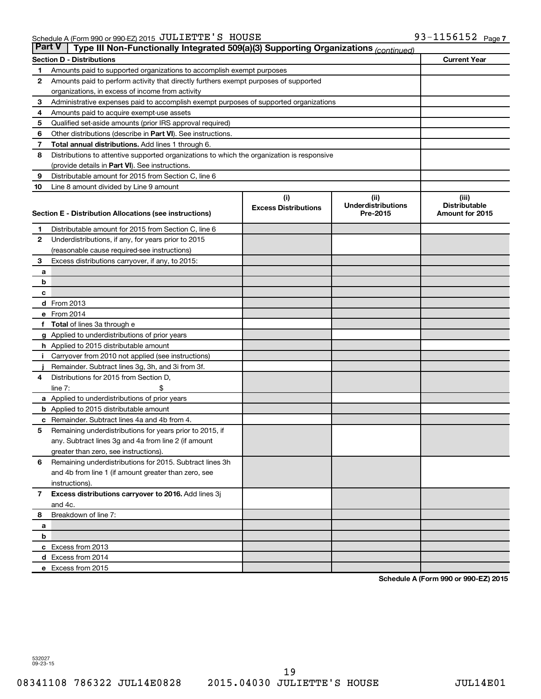| ∣ Part V∣<br>Type III Non-Functionally Integrated 509(a)(3) Supporting Organizations (continued) |                                                                                            |                             |                                       |                                         |  |  |  |
|--------------------------------------------------------------------------------------------------|--------------------------------------------------------------------------------------------|-----------------------------|---------------------------------------|-----------------------------------------|--|--|--|
|                                                                                                  | <b>Section D - Distributions</b>                                                           |                             |                                       | <b>Current Year</b>                     |  |  |  |
| 1                                                                                                | Amounts paid to supported organizations to accomplish exempt purposes                      |                             |                                       |                                         |  |  |  |
| 2                                                                                                | Amounts paid to perform activity that directly furthers exempt purposes of supported       |                             |                                       |                                         |  |  |  |
|                                                                                                  | organizations, in excess of income from activity                                           |                             |                                       |                                         |  |  |  |
| 3                                                                                                | Administrative expenses paid to accomplish exempt purposes of supported organizations      |                             |                                       |                                         |  |  |  |
| 4                                                                                                | Amounts paid to acquire exempt-use assets                                                  |                             |                                       |                                         |  |  |  |
| 5                                                                                                | Qualified set-aside amounts (prior IRS approval required)                                  |                             |                                       |                                         |  |  |  |
| 6                                                                                                | Other distributions (describe in <b>Part VI</b> ). See instructions.                       |                             |                                       |                                         |  |  |  |
| 7                                                                                                | <b>Total annual distributions.</b> Add lines 1 through 6.                                  |                             |                                       |                                         |  |  |  |
| 8                                                                                                | Distributions to attentive supported organizations to which the organization is responsive |                             |                                       |                                         |  |  |  |
|                                                                                                  | (provide details in Part VI). See instructions.                                            |                             |                                       |                                         |  |  |  |
| 9                                                                                                | Distributable amount for 2015 from Section C, line 6                                       |                             |                                       |                                         |  |  |  |
| 10                                                                                               | Line 8 amount divided by Line 9 amount                                                     |                             |                                       |                                         |  |  |  |
|                                                                                                  |                                                                                            | (i)                         | (ii)                                  | (iii)                                   |  |  |  |
|                                                                                                  | Section E - Distribution Allocations (see instructions)                                    | <b>Excess Distributions</b> | <b>Underdistributions</b><br>Pre-2015 | <b>Distributable</b><br>Amount for 2015 |  |  |  |
|                                                                                                  |                                                                                            |                             |                                       |                                         |  |  |  |
| 1                                                                                                | Distributable amount for 2015 from Section C, line 6                                       |                             |                                       |                                         |  |  |  |
| $\mathbf{2}$                                                                                     | Underdistributions, if any, for years prior to 2015                                        |                             |                                       |                                         |  |  |  |
|                                                                                                  | (reasonable cause required-see instructions)                                               |                             |                                       |                                         |  |  |  |
| 3                                                                                                | Excess distributions carryover, if any, to 2015:                                           |                             |                                       |                                         |  |  |  |
| a                                                                                                |                                                                                            |                             |                                       |                                         |  |  |  |
| b                                                                                                |                                                                                            |                             |                                       |                                         |  |  |  |
| c                                                                                                |                                                                                            |                             |                                       |                                         |  |  |  |
|                                                                                                  | <b>d</b> From 2013<br>e From 2014                                                          |                             |                                       |                                         |  |  |  |
| f                                                                                                | <b>Total</b> of lines 3a through e                                                         |                             |                                       |                                         |  |  |  |
|                                                                                                  | g Applied to underdistributions of prior years                                             |                             |                                       |                                         |  |  |  |
|                                                                                                  | h Applied to 2015 distributable amount                                                     |                             |                                       |                                         |  |  |  |
|                                                                                                  | Carryover from 2010 not applied (see instructions)                                         |                             |                                       |                                         |  |  |  |
|                                                                                                  | Remainder. Subtract lines 3g, 3h, and 3i from 3f.                                          |                             |                                       |                                         |  |  |  |
| 4                                                                                                | Distributions for 2015 from Section D,                                                     |                             |                                       |                                         |  |  |  |
|                                                                                                  | line $7:$                                                                                  |                             |                                       |                                         |  |  |  |
|                                                                                                  | a Applied to underdistributions of prior years                                             |                             |                                       |                                         |  |  |  |
|                                                                                                  | <b>b</b> Applied to 2015 distributable amount                                              |                             |                                       |                                         |  |  |  |
| с                                                                                                | Remainder. Subtract lines 4a and 4b from 4.                                                |                             |                                       |                                         |  |  |  |
| 5                                                                                                | Remaining underdistributions for years prior to 2015, if                                   |                             |                                       |                                         |  |  |  |
|                                                                                                  | any. Subtract lines 3g and 4a from line 2 (if amount                                       |                             |                                       |                                         |  |  |  |
|                                                                                                  | greater than zero, see instructions).                                                      |                             |                                       |                                         |  |  |  |
| 6                                                                                                | Remaining underdistributions for 2015. Subtract lines 3h                                   |                             |                                       |                                         |  |  |  |
|                                                                                                  | and 4b from line 1 (if amount greater than zero, see                                       |                             |                                       |                                         |  |  |  |
|                                                                                                  | instructions).                                                                             |                             |                                       |                                         |  |  |  |
| $\mathbf{7}$                                                                                     | Excess distributions carryover to 2016. Add lines 3j                                       |                             |                                       |                                         |  |  |  |
|                                                                                                  | and 4c.                                                                                    |                             |                                       |                                         |  |  |  |
| 8                                                                                                | Breakdown of line 7:                                                                       |                             |                                       |                                         |  |  |  |
| а                                                                                                |                                                                                            |                             |                                       |                                         |  |  |  |
| b                                                                                                |                                                                                            |                             |                                       |                                         |  |  |  |
|                                                                                                  | c Excess from 2013                                                                         |                             |                                       |                                         |  |  |  |
|                                                                                                  | d Excess from 2014                                                                         |                             |                                       |                                         |  |  |  |
|                                                                                                  | e Excess from 2015                                                                         |                             |                                       |                                         |  |  |  |

**Schedule A (Form 990 or 990-EZ) 2015**

532027 09-23-15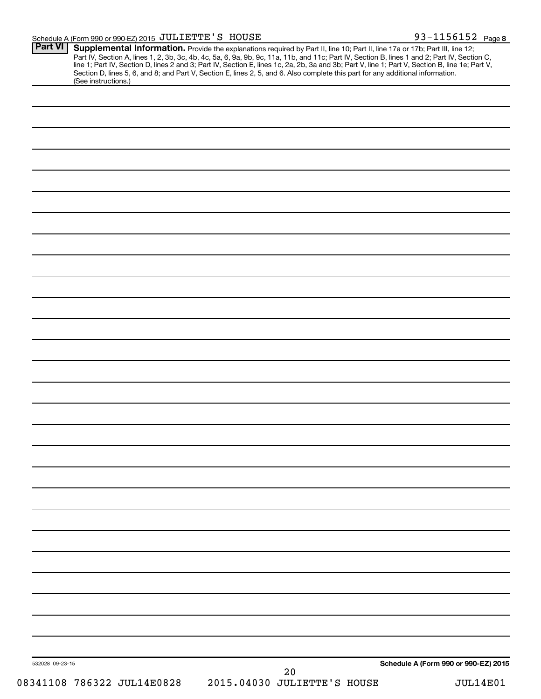#### Schedule A (Form 990 or 990-EZ) 2015 Page JULIETTE'S HOUSE 93-1156152

| <b>Part VI</b><br>(See instructions.) | Supplemental Information. Provide the explanations required by Part II, line 10; Part II, line 17a or 17b; Part III, line 12;<br>Part IV, Section A, lines 1, 2, 3b, 3c, 4b, 4c, 5a, 6, 9a, 9b, 9c, 11a, 11b, and 11c; Part IV, Section B, lines 1 and 2; Part IV, Section C, line 1; Part IV, Section D, lines 2 and 3; Part IV, Section E, lines 1c, 2a, 2b,<br>Section D, lines 5, 6, and 8; and Part V, Section E, lines 2, 5, and 6. Also complete this part for any additional information. |
|---------------------------------------|---------------------------------------------------------------------------------------------------------------------------------------------------------------------------------------------------------------------------------------------------------------------------------------------------------------------------------------------------------------------------------------------------------------------------------------------------------------------------------------------------|
|                                       |                                                                                                                                                                                                                                                                                                                                                                                                                                                                                                   |
|                                       |                                                                                                                                                                                                                                                                                                                                                                                                                                                                                                   |
|                                       |                                                                                                                                                                                                                                                                                                                                                                                                                                                                                                   |
|                                       |                                                                                                                                                                                                                                                                                                                                                                                                                                                                                                   |
|                                       |                                                                                                                                                                                                                                                                                                                                                                                                                                                                                                   |
|                                       |                                                                                                                                                                                                                                                                                                                                                                                                                                                                                                   |
|                                       |                                                                                                                                                                                                                                                                                                                                                                                                                                                                                                   |
|                                       |                                                                                                                                                                                                                                                                                                                                                                                                                                                                                                   |
|                                       |                                                                                                                                                                                                                                                                                                                                                                                                                                                                                                   |
|                                       |                                                                                                                                                                                                                                                                                                                                                                                                                                                                                                   |
|                                       |                                                                                                                                                                                                                                                                                                                                                                                                                                                                                                   |
|                                       |                                                                                                                                                                                                                                                                                                                                                                                                                                                                                                   |
|                                       |                                                                                                                                                                                                                                                                                                                                                                                                                                                                                                   |
|                                       |                                                                                                                                                                                                                                                                                                                                                                                                                                                                                                   |
|                                       |                                                                                                                                                                                                                                                                                                                                                                                                                                                                                                   |
|                                       |                                                                                                                                                                                                                                                                                                                                                                                                                                                                                                   |
|                                       |                                                                                                                                                                                                                                                                                                                                                                                                                                                                                                   |
|                                       |                                                                                                                                                                                                                                                                                                                                                                                                                                                                                                   |
|                                       |                                                                                                                                                                                                                                                                                                                                                                                                                                                                                                   |
|                                       |                                                                                                                                                                                                                                                                                                                                                                                                                                                                                                   |
|                                       |                                                                                                                                                                                                                                                                                                                                                                                                                                                                                                   |
|                                       |                                                                                                                                                                                                                                                                                                                                                                                                                                                                                                   |
|                                       |                                                                                                                                                                                                                                                                                                                                                                                                                                                                                                   |
|                                       |                                                                                                                                                                                                                                                                                                                                                                                                                                                                                                   |
|                                       |                                                                                                                                                                                                                                                                                                                                                                                                                                                                                                   |
|                                       |                                                                                                                                                                                                                                                                                                                                                                                                                                                                                                   |
|                                       |                                                                                                                                                                                                                                                                                                                                                                                                                                                                                                   |
|                                       |                                                                                                                                                                                                                                                                                                                                                                                                                                                                                                   |
|                                       |                                                                                                                                                                                                                                                                                                                                                                                                                                                                                                   |
|                                       |                                                                                                                                                                                                                                                                                                                                                                                                                                                                                                   |
|                                       |                                                                                                                                                                                                                                                                                                                                                                                                                                                                                                   |
|                                       |                                                                                                                                                                                                                                                                                                                                                                                                                                                                                                   |
|                                       |                                                                                                                                                                                                                                                                                                                                                                                                                                                                                                   |
| 532028 09-23-15                       | Schedule A (Form 990 or 990-EZ) 2015<br>20                                                                                                                                                                                                                                                                                                                                                                                                                                                        |
| 08341108 786322 JUL14E0828            | 2015.04030 JULIETTE'S HOUSE<br><b>JUL14E01</b>                                                                                                                                                                                                                                                                                                                                                                                                                                                    |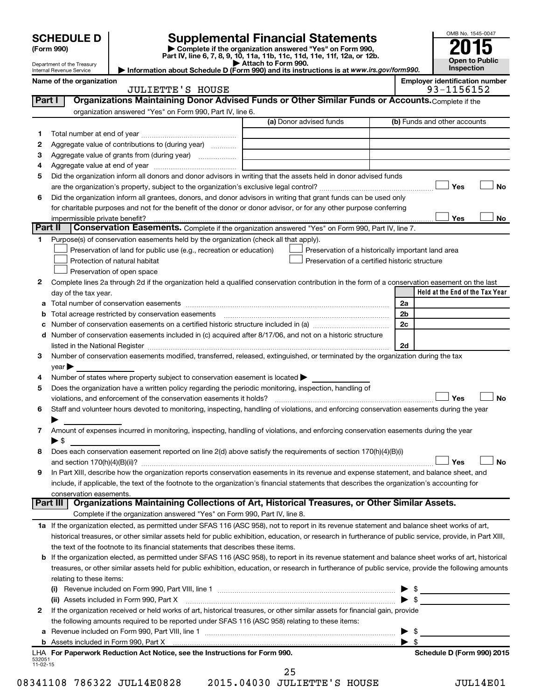|         | <b>SCHEDULE D</b>                                                                                                   |                                                                                                        | <b>Supplemental Financial Statements</b>                                                                                                                  |                          | OMB No. 1545-0047                   |  |  |  |  |  |
|---------|---------------------------------------------------------------------------------------------------------------------|--------------------------------------------------------------------------------------------------------|-----------------------------------------------------------------------------------------------------------------------------------------------------------|--------------------------|-------------------------------------|--|--|--|--|--|
|         | (Form 990)                                                                                                          |                                                                                                        |                                                                                                                                                           |                          |                                     |  |  |  |  |  |
|         | Department of the Treasury                                                                                          |                                                                                                        | Part IV, line 6, 7, 8, 9, 10, 11a, 11b, 11c, 11d, 11e, 11f, 12a, or 12b.<br>Attach to Form 990.                                                           |                          | <b>Open to Public</b><br>Inspection |  |  |  |  |  |
|         | Information about Schedule D (Form 990) and its instructions is at www.irs.gov/form990.<br>Internal Revenue Service |                                                                                                        |                                                                                                                                                           |                          |                                     |  |  |  |  |  |
|         | <b>Employer identification number</b><br>Name of the organization<br>93-1156152<br><b>JULIETTE'S HOUSE</b>          |                                                                                                        |                                                                                                                                                           |                          |                                     |  |  |  |  |  |
|         | Organizations Maintaining Donor Advised Funds or Other Similar Funds or Accounts. Complete if the<br>Part I         |                                                                                                        |                                                                                                                                                           |                          |                                     |  |  |  |  |  |
|         |                                                                                                                     | organization answered "Yes" on Form 990, Part IV, line 6.                                              |                                                                                                                                                           |                          |                                     |  |  |  |  |  |
|         | (a) Donor advised funds<br>(b) Funds and other accounts                                                             |                                                                                                        |                                                                                                                                                           |                          |                                     |  |  |  |  |  |
| 1       |                                                                                                                     |                                                                                                        |                                                                                                                                                           |                          |                                     |  |  |  |  |  |
| 2       |                                                                                                                     | Aggregate value of contributions to (during year)                                                      |                                                                                                                                                           |                          |                                     |  |  |  |  |  |
| З       |                                                                                                                     | Aggregate value of grants from (during year)                                                           |                                                                                                                                                           |                          |                                     |  |  |  |  |  |
| 4       |                                                                                                                     |                                                                                                        |                                                                                                                                                           |                          |                                     |  |  |  |  |  |
| 5       |                                                                                                                     |                                                                                                        | Did the organization inform all donors and donor advisors in writing that the assets held in donor advised funds                                          |                          |                                     |  |  |  |  |  |
|         |                                                                                                                     |                                                                                                        |                                                                                                                                                           |                          | <b>No</b><br>Yes                    |  |  |  |  |  |
| 6       |                                                                                                                     |                                                                                                        | Did the organization inform all grantees, donors, and donor advisors in writing that grant funds can be used only                                         |                          |                                     |  |  |  |  |  |
|         |                                                                                                                     |                                                                                                        | for charitable purposes and not for the benefit of the donor or donor advisor, or for any other purpose conferring                                        |                          |                                     |  |  |  |  |  |
|         | impermissible private benefit?                                                                                      |                                                                                                        |                                                                                                                                                           |                          | Yes<br>No                           |  |  |  |  |  |
| Part II |                                                                                                                     |                                                                                                        | Conservation Easements. Complete if the organization answered "Yes" on Form 990, Part IV, line 7.                                                         |                          |                                     |  |  |  |  |  |
| 1       |                                                                                                                     | Purpose(s) of conservation easements held by the organization (check all that apply).                  |                                                                                                                                                           |                          |                                     |  |  |  |  |  |
|         |                                                                                                                     | Preservation of land for public use (e.g., recreation or education)                                    | Preservation of a historically important land area                                                                                                        |                          |                                     |  |  |  |  |  |
|         |                                                                                                                     | Protection of natural habitat                                                                          | Preservation of a certified historic structure                                                                                                            |                          |                                     |  |  |  |  |  |
|         |                                                                                                                     | Preservation of open space                                                                             |                                                                                                                                                           |                          |                                     |  |  |  |  |  |
| 2       | day of the tax year.                                                                                                |                                                                                                        | Complete lines 2a through 2d if the organization held a qualified conservation contribution in the form of a conservation easement on the last            |                          | Held at the End of the Tax Year     |  |  |  |  |  |
| а       |                                                                                                                     |                                                                                                        |                                                                                                                                                           | 2a                       |                                     |  |  |  |  |  |
| b       |                                                                                                                     |                                                                                                        |                                                                                                                                                           | 2 <sub>b</sub>           |                                     |  |  |  |  |  |
| c       |                                                                                                                     |                                                                                                        |                                                                                                                                                           | 2c                       |                                     |  |  |  |  |  |
| d       |                                                                                                                     |                                                                                                        | Number of conservation easements included in (c) acquired after 8/17/06, and not on a historic structure                                                  |                          |                                     |  |  |  |  |  |
|         |                                                                                                                     |                                                                                                        |                                                                                                                                                           | 2d                       |                                     |  |  |  |  |  |
| З       |                                                                                                                     |                                                                                                        | Number of conservation easements modified, transferred, released, extinguished, or terminated by the organization during the tax                          |                          |                                     |  |  |  |  |  |
|         | year                                                                                                                |                                                                                                        |                                                                                                                                                           |                          |                                     |  |  |  |  |  |
| 4       |                                                                                                                     | Number of states where property subject to conservation easement is located $\blacktriangleright$      |                                                                                                                                                           |                          |                                     |  |  |  |  |  |
| 5       |                                                                                                                     | Does the organization have a written policy regarding the periodic monitoring, inspection, handling of |                                                                                                                                                           |                          |                                     |  |  |  |  |  |
|         |                                                                                                                     | violations, and enforcement of the conservation easements it holds?                                    |                                                                                                                                                           |                          | Yes<br><b>No</b>                    |  |  |  |  |  |
| 6       |                                                                                                                     |                                                                                                        | Staff and volunteer hours devoted to monitoring, inspecting, handling of violations, and enforcing conservation easements during the year                 |                          |                                     |  |  |  |  |  |
|         |                                                                                                                     |                                                                                                        |                                                                                                                                                           |                          |                                     |  |  |  |  |  |
| 7       |                                                                                                                     |                                                                                                        | Amount of expenses incurred in monitoring, inspecting, handling of violations, and enforcing conservation easements during the year                       |                          |                                     |  |  |  |  |  |
|         | $\blacktriangleright$ \$                                                                                            |                                                                                                        |                                                                                                                                                           |                          |                                     |  |  |  |  |  |
| 8       |                                                                                                                     |                                                                                                        | Does each conservation easement reported on line 2(d) above satisfy the requirements of section 170(h)(4)(B)(i)                                           |                          |                                     |  |  |  |  |  |
|         |                                                                                                                     |                                                                                                        |                                                                                                                                                           |                          | No<br>Yes                           |  |  |  |  |  |
| 9       |                                                                                                                     |                                                                                                        | In Part XIII, describe how the organization reports conservation easements in its revenue and expense statement, and balance sheet, and                   |                          |                                     |  |  |  |  |  |
|         |                                                                                                                     |                                                                                                        | include, if applicable, the text of the footnote to the organization's financial statements that describes the organization's accounting for              |                          |                                     |  |  |  |  |  |
|         | conservation easements.                                                                                             |                                                                                                        | Part III   Organizations Maintaining Collections of Art, Historical Treasures, or Other Similar Assets.                                                   |                          |                                     |  |  |  |  |  |
|         |                                                                                                                     | Complete if the organization answered "Yes" on Form 990, Part IV, line 8.                              |                                                                                                                                                           |                          |                                     |  |  |  |  |  |
|         |                                                                                                                     |                                                                                                        | 1a If the organization elected, as permitted under SFAS 116 (ASC 958), not to report in its revenue statement and balance sheet works of art,             |                          |                                     |  |  |  |  |  |
|         |                                                                                                                     |                                                                                                        | historical treasures, or other similar assets held for public exhibition, education, or research in furtherance of public service, provide, in Part XIII, |                          |                                     |  |  |  |  |  |
|         |                                                                                                                     | the text of the footnote to its financial statements that describes these items.                       |                                                                                                                                                           |                          |                                     |  |  |  |  |  |
|         |                                                                                                                     |                                                                                                        | b If the organization elected, as permitted under SFAS 116 (ASC 958), to report in its revenue statement and balance sheet works of art, historical       |                          |                                     |  |  |  |  |  |
|         |                                                                                                                     |                                                                                                        | treasures, or other similar assets held for public exhibition, education, or research in furtherance of public service, provide the following amounts     |                          |                                     |  |  |  |  |  |
|         | relating to these items:                                                                                            |                                                                                                        |                                                                                                                                                           |                          |                                     |  |  |  |  |  |
|         |                                                                                                                     |                                                                                                        |                                                                                                                                                           |                          | $\blacktriangleright$ \$            |  |  |  |  |  |
|         |                                                                                                                     | (ii) Assets included in Form 990, Part X                                                               |                                                                                                                                                           |                          | $\triangleright$ \$                 |  |  |  |  |  |
| 2       |                                                                                                                     |                                                                                                        | If the organization received or held works of art, historical treasures, or other similar assets for financial gain, provide                              |                          |                                     |  |  |  |  |  |
|         |                                                                                                                     | the following amounts required to be reported under SFAS 116 (ASC 958) relating to these items:        |                                                                                                                                                           |                          |                                     |  |  |  |  |  |
| а       |                                                                                                                     |                                                                                                        |                                                                                                                                                           | - \$                     |                                     |  |  |  |  |  |
|         |                                                                                                                     |                                                                                                        |                                                                                                                                                           | $\blacktriangleright$ \$ |                                     |  |  |  |  |  |

|                          |  | LHA For Paperwork Reduction Act Notice, see the Instructions for Form 990. |
|--------------------------|--|----------------------------------------------------------------------------|
| 532051<br>$11 - 02 - 15$ |  |                                                                            |

25

08341108 786322 JUL14E0828 2015.04030 JULIETTE'S HOUSE JUL14E01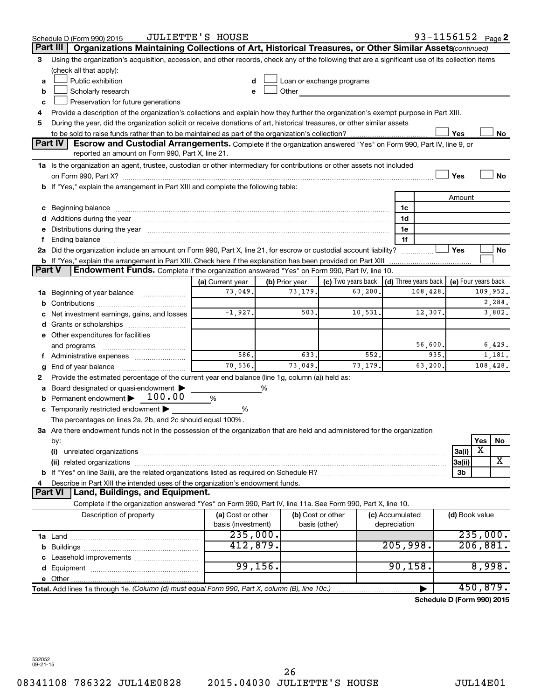|               | Schedule D (Form 990) 2015                                                                                                                                                                                                     | JULIETTE'S HOUSE   |          |                |                           |      |                 | 93-1156152 <sub>Page</sub> 2         |                     |          |           |
|---------------|--------------------------------------------------------------------------------------------------------------------------------------------------------------------------------------------------------------------------------|--------------------|----------|----------------|---------------------------|------|-----------------|--------------------------------------|---------------------|----------|-----------|
|               | Part III<br>Organizations Maintaining Collections of Art, Historical Treasures, or Other Similar Assets(continued)                                                                                                             |                    |          |                |                           |      |                 |                                      |                     |          |           |
| 3             | Using the organization's acquisition, accession, and other records, check any of the following that are a significant use of its collection items                                                                              |                    |          |                |                           |      |                 |                                      |                     |          |           |
|               | (check all that apply):                                                                                                                                                                                                        |                    |          |                |                           |      |                 |                                      |                     |          |           |
| a             | Public exhibition                                                                                                                                                                                                              | d                  |          |                | Loan or exchange programs |      |                 |                                      |                     |          |           |
| b             | Scholarly research                                                                                                                                                                                                             | e                  |          | Other          |                           |      |                 |                                      |                     |          |           |
| c             | Preservation for future generations                                                                                                                                                                                            |                    |          |                |                           |      |                 |                                      |                     |          |           |
| 4             | Provide a description of the organization's collections and explain how they further the organization's exempt purpose in Part XIII.                                                                                           |                    |          |                |                           |      |                 |                                      |                     |          |           |
| 5             | During the year, did the organization solicit or receive donations of art, historical treasures, or other similar assets                                                                                                       |                    |          |                |                           |      |                 |                                      |                     |          |           |
|               | Yes<br>No                                                                                                                                                                                                                      |                    |          |                |                           |      |                 |                                      |                     |          |           |
|               | <b>Part IV</b><br>Escrow and Custodial Arrangements. Complete if the organization answered "Yes" on Form 990, Part IV, line 9, or<br>reported an amount on Form 990, Part X, line 21.                                          |                    |          |                |                           |      |                 |                                      |                     |          |           |
|               | 1a Is the organization an agent, trustee, custodian or other intermediary for contributions or other assets not included                                                                                                       |                    |          |                |                           |      |                 |                                      |                     |          |           |
|               |                                                                                                                                                                                                                                |                    |          |                |                           |      |                 |                                      | Yes                 |          | <b>No</b> |
|               | <b>b</b> If "Yes," explain the arrangement in Part XIII and complete the following table:                                                                                                                                      |                    |          |                |                           |      |                 |                                      |                     |          |           |
|               |                                                                                                                                                                                                                                |                    |          |                |                           |      |                 |                                      | Amount              |          |           |
| с             | Beginning balance measure communications and all the contract of the contract of the contract of the contract o                                                                                                                |                    |          |                |                           |      | 1c              |                                      |                     |          |           |
|               |                                                                                                                                                                                                                                |                    |          |                |                           |      | 1d              |                                      |                     |          |           |
|               | Distributions during the year manufactured and an account of the year manufactured and the year manufactured and the year manufactured and the year manufactured and the year manufactured and the state of the state of the s |                    |          |                |                           |      | 1e              |                                      |                     |          |           |
|               |                                                                                                                                                                                                                                |                    |          |                |                           |      | 1f              |                                      |                     |          |           |
|               | 2a Did the organization include an amount on Form 990, Part X, line 21, for escrow or custodial account liability?                                                                                                             |                    |          |                |                           |      |                 |                                      | Yes                 |          | No        |
|               | <b>b</b> If "Yes," explain the arrangement in Part XIII. Check here if the explanation has been provided on Part XIII                                                                                                          |                    |          |                |                           |      |                 |                                      |                     |          |           |
| <b>Part V</b> | Endowment Funds. Complete if the organization answered "Yes" on Form 990, Part IV, line 10.                                                                                                                                    |                    |          |                |                           |      |                 |                                      |                     |          |           |
|               |                                                                                                                                                                                                                                | (a) Current year   |          | (b) Prior year | (c) Two years back        |      |                 | $\vert$ (d) Three years back $\vert$ | (e) Four years back |          |           |
| 1a            | Beginning of year balance                                                                                                                                                                                                      | 73,049.            |          | 73,179.        | 63,200                    |      |                 | 108,428                              |                     |          | 109,952.  |
| b             |                                                                                                                                                                                                                                |                    |          |                |                           |      |                 |                                      |                     |          | 2,284.    |
|               | Net investment earnings, gains, and losses                                                                                                                                                                                     | $-1,927.$          |          | 503.           | 10,531.                   |      |                 | 12,307.                              |                     |          | 3,802.    |
| d             | Grants or scholarships                                                                                                                                                                                                         |                    |          |                |                           |      |                 |                                      |                     |          |           |
|               | e Other expenditures for facilities                                                                                                                                                                                            |                    |          |                |                           |      |                 |                                      |                     |          |           |
|               | and programs                                                                                                                                                                                                                   |                    |          |                |                           |      |                 | 56,600.                              |                     |          | 6,429.    |
|               | f Administrative expenses                                                                                                                                                                                                      | 586.               |          | 633.           |                           | 552. |                 | 935.                                 |                     |          | 1,181.    |
| g             | End of year balance                                                                                                                                                                                                            | 70,536.            |          | 73,049.        | 73,179.                   |      |                 | 63,200.                              |                     |          | 108,428.  |
| 2             | Provide the estimated percentage of the current year end balance (line 1g, column (a)) held as:                                                                                                                                |                    |          |                |                           |      |                 |                                      |                     |          |           |
|               | Board designated or quasi-endowment<br>Permanent endowment > 100.00                                                                                                                                                            |                    | %        |                |                           |      |                 |                                      |                     |          |           |
|               | Temporarily restricted endowment                                                                                                                                                                                               | %                  |          |                |                           |      |                 |                                      |                     |          |           |
| с             | The percentages on lines 2a, 2b, and 2c should equal 100%.                                                                                                                                                                     | %                  |          |                |                           |      |                 |                                      |                     |          |           |
|               | 3a Are there endowment funds not in the possession of the organization that are held and administered for the organization                                                                                                     |                    |          |                |                           |      |                 |                                      |                     |          |           |
|               | by:                                                                                                                                                                                                                            |                    |          |                |                           |      |                 |                                      |                     | Yes      | No        |
|               | (i)                                                                                                                                                                                                                            |                    |          |                |                           |      |                 |                                      | 3a(i)               | х        |           |
|               | (ii) related organizations                                                                                                                                                                                                     |                    |          |                |                           |      |                 |                                      | 3a(ii)              |          | x         |
|               |                                                                                                                                                                                                                                |                    |          |                |                           |      |                 |                                      | 3b                  |          |           |
|               | Describe in Part XIII the intended uses of the organization's endowment funds.                                                                                                                                                 |                    |          |                |                           |      |                 |                                      |                     |          |           |
|               | Land, Buildings, and Equipment.<br><b>Part VI</b>                                                                                                                                                                              |                    |          |                |                           |      |                 |                                      |                     |          |           |
|               | Complete if the organization answered "Yes" on Form 990, Part IV, line 11a. See Form 990, Part X, line 10.                                                                                                                     |                    |          |                |                           |      |                 |                                      |                     |          |           |
|               | Description of property                                                                                                                                                                                                        | (a) Cost or other  |          |                | (b) Cost or other         |      | (c) Accumulated |                                      | (d) Book value      |          |           |
|               |                                                                                                                                                                                                                                | basis (investment) |          |                | basis (other)             |      | depreciation    |                                      |                     |          |           |
|               |                                                                                                                                                                                                                                | 235,000.           |          |                |                           |      |                 |                                      |                     | 235,000. |           |
| b             |                                                                                                                                                                                                                                | 412,879.           |          |                |                           |      | 205,998.        |                                      |                     | 206,881. |           |
|               |                                                                                                                                                                                                                                |                    |          |                |                           |      |                 |                                      |                     |          |           |
|               |                                                                                                                                                                                                                                |                    | 99, 156. |                |                           |      | 90, 158.        |                                      |                     | 8,998.   |           |
|               | e Other                                                                                                                                                                                                                        |                    |          |                |                           |      |                 |                                      |                     |          |           |
|               | Total. Add lines 1a through 1e. (Column (d) must equal Form 990, Part X, column (B), line 10c.)                                                                                                                                |                    |          |                |                           |      |                 |                                      |                     | 450,879. |           |
|               |                                                                                                                                                                                                                                |                    |          |                |                           |      |                 | Schedule D (Form 990) 2015           |                     |          |           |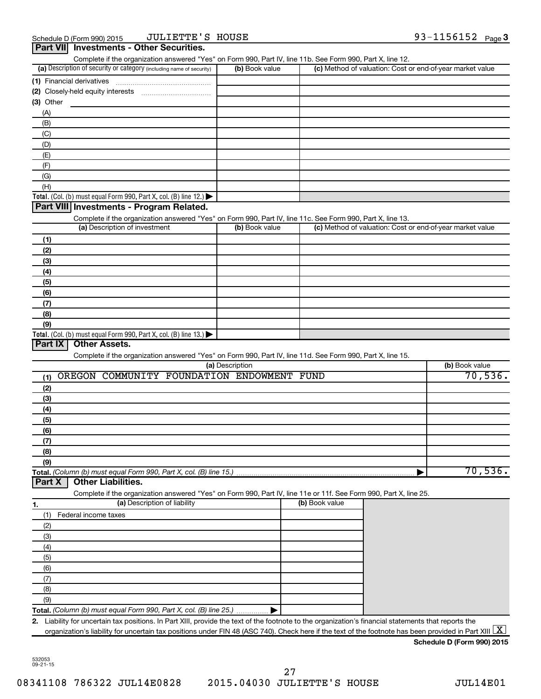|                                                                                                                   | (b) Book value  |                | (c) Method of valuation: Cost or end-of-year market value |
|-------------------------------------------------------------------------------------------------------------------|-----------------|----------------|-----------------------------------------------------------|
| (1) Financial derivatives                                                                                         |                 |                |                                                           |
|                                                                                                                   |                 |                |                                                           |
| $(3)$ Other                                                                                                       |                 |                |                                                           |
| (A)                                                                                                               |                 |                |                                                           |
| (B)                                                                                                               |                 |                |                                                           |
| (C)                                                                                                               |                 |                |                                                           |
| (D)                                                                                                               |                 |                |                                                           |
| (E)                                                                                                               |                 |                |                                                           |
| (F)                                                                                                               |                 |                |                                                           |
| (G)                                                                                                               |                 |                |                                                           |
| (H)                                                                                                               |                 |                |                                                           |
| Total. (Col. (b) must equal Form 990, Part X, col. (B) line 12.) $\blacktriangleright$                            |                 |                |                                                           |
| Part VIII Investments - Program Related.                                                                          |                 |                |                                                           |
| Complete if the organization answered "Yes" on Form 990, Part IV, line 11c. See Form 990, Part X, line 13.        |                 |                |                                                           |
| (a) Description of investment                                                                                     | (b) Book value  |                | (c) Method of valuation: Cost or end-of-year market value |
| (1)                                                                                                               |                 |                |                                                           |
| (2)                                                                                                               |                 |                |                                                           |
| (3)                                                                                                               |                 |                |                                                           |
| (4)                                                                                                               |                 |                |                                                           |
| (5)                                                                                                               |                 |                |                                                           |
| (6)                                                                                                               |                 |                |                                                           |
| (7)                                                                                                               |                 |                |                                                           |
|                                                                                                                   |                 |                |                                                           |
| (8)                                                                                                               |                 |                |                                                           |
| (9)<br>Total. (Col. (b) must equal Form 990, Part X, col. (B) line 13.) $\blacktriangleright$                     |                 |                |                                                           |
| Part IX                                                                                                           |                 |                |                                                           |
| Complete if the organization answered "Yes" on Form 990, Part IV, line 11d. See Form 990, Part X, line 15.        | (a) Description |                | (b) Book value                                            |
| OREGON COMMUNITY FOUNDATION ENDOWMENT FUND<br>(1)                                                                 |                 |                |                                                           |
| (2)                                                                                                               |                 |                |                                                           |
| (3)                                                                                                               |                 |                |                                                           |
| (4)                                                                                                               |                 |                |                                                           |
| (5)                                                                                                               |                 |                |                                                           |
| (6)                                                                                                               |                 |                |                                                           |
| (7)                                                                                                               |                 |                |                                                           |
| (8)                                                                                                               |                 |                |                                                           |
| (9)                                                                                                               |                 |                |                                                           |
| Total. (Column (b) must equal Form 990, Part X, col. (B) line 15.)                                                |                 |                | 70,536.<br>70,536.                                        |
| <b>Other Liabilities.</b><br>Part X                                                                               |                 |                |                                                           |
| Complete if the organization answered "Yes" on Form 990, Part IV, line 11e or 11f. See Form 990, Part X, line 25. |                 |                |                                                           |
| (a) Description of liability<br>1.                                                                                |                 | (b) Book value |                                                           |
| Federal income taxes<br>(1)                                                                                       |                 |                |                                                           |
| (2)                                                                                                               |                 |                |                                                           |
|                                                                                                                   |                 |                |                                                           |
| (3)                                                                                                               |                 |                |                                                           |
| (4)                                                                                                               |                 |                |                                                           |
| (5)                                                                                                               |                 |                |                                                           |
| (6)                                                                                                               |                 |                |                                                           |
| (7)                                                                                                               |                 |                |                                                           |
| (8)                                                                                                               |                 |                |                                                           |
| (9)<br>Total. (Column (b) must equal Form 990, Part X, col. (B) line 25.)                                         |                 |                |                                                           |

**Schedule D (Form 990) 2015**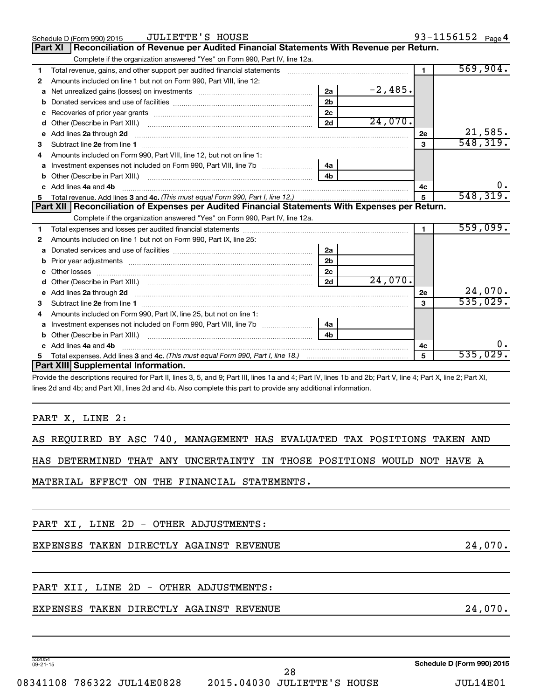|                | <b>JULIETTE'S HOUSE</b><br>Schedule D (Form 990) 2015                                                                                                          |                |           |                      | 93-1156152 Page 4 |
|----------------|----------------------------------------------------------------------------------------------------------------------------------------------------------------|----------------|-----------|----------------------|-------------------|
| <b>Part XI</b> | Reconciliation of Revenue per Audited Financial Statements With Revenue per Return.                                                                            |                |           |                      |                   |
|                | Complete if the organization answered "Yes" on Form 990, Part IV, line 12a.                                                                                    |                |           |                      |                   |
| 1              | Total revenue, gains, and other support per audited financial statements                                                                                       |                |           | $\blacksquare$       | 569,904.          |
| 2              | Amounts included on line 1 but not on Form 990, Part VIII, line 12:                                                                                            |                |           |                      |                   |
| a              | Net unrealized gains (losses) on investments [111] Met unrealized gains (losses) on investments [11] Metamanian                                                | 2a             | $-2,485.$ |                      |                   |
| b              |                                                                                                                                                                | 2 <sub>b</sub> |           |                      |                   |
| с              |                                                                                                                                                                | 2c             |           |                      |                   |
| d              |                                                                                                                                                                | 2d             | 24,070.   |                      |                   |
| е              | Add lines 2a through 2d                                                                                                                                        |                |           | 2е                   | 21,585.           |
| 3              |                                                                                                                                                                |                |           | 3                    | 548, 319.         |
|                | Amounts included on Form 990, Part VIII, line 12, but not on line 1:                                                                                           |                |           |                      |                   |
| a              | Investment expenses not included on Form 990, Part VIII, line 7b [100] [100] [100] [100] [100] [100] [100] [10                                                 | 4a             |           |                      |                   |
| b              | Other (Describe in Part XIII.)                                                                                                                                 | 4 <sub>h</sub> |           |                      |                   |
|                | c Add lines 4a and 4b                                                                                                                                          |                |           | 4с                   | 0.                |
| 5              |                                                                                                                                                                |                |           | 5                    | 548, 319.         |
|                | Part XII   Reconciliation of Expenses per Audited Financial Statements With Expenses per Return.                                                               |                |           |                      |                   |
|                | Complete if the organization answered "Yes" on Form 990, Part IV, line 12a.                                                                                    |                |           |                      |                   |
| 1              |                                                                                                                                                                |                |           | $\blacktriangleleft$ | 559,099.          |
| 2              | Amounts included on line 1 but not on Form 990, Part IX, line 25:                                                                                              |                |           |                      |                   |
| a              |                                                                                                                                                                | 2a             |           |                      |                   |
| b              |                                                                                                                                                                | 2 <sub>b</sub> |           |                      |                   |
|                | Other losses                                                                                                                                                   | 2c             |           |                      |                   |
|                |                                                                                                                                                                | 2d             | 24,070.   |                      |                   |
|                |                                                                                                                                                                |                |           | 2e                   | 24,070.           |
| 3              | Subtract line 2e from line 1 <b>Manual Community of the Community of the Community Community</b> Subtract line 2e from line 1                                  |                |           | 3                    | 535,029.          |
| 4              | Amounts included on Form 990, Part IX, line 25, but not on line 1:                                                                                             |                |           |                      |                   |
| a              |                                                                                                                                                                | 4a             |           |                      |                   |
|                | Other (Describe in Part XIII.)                                                                                                                                 | 4 <sub>h</sub> |           |                      |                   |
| c              | Add lines 4a and 4b                                                                                                                                            |                |           | 4c                   | 0.                |
| 5              |                                                                                                                                                                |                |           | 5                    | 535,029.          |
|                | <b>Part XIII Supplemental Information.</b>                                                                                                                     |                |           |                      |                   |
|                | Provide the descriptions required for Part II, lines 3, 5, and 9; Part III, lines 1a and 4; Part IV, lines 1b and 2b; Part V, line 4; Part X, line 2; Part XI, |                |           |                      |                   |
|                | lines 2d and 4b; and Part XII, lines 2d and 4b. Also complete this part to provide any additional information.                                                 |                |           |                      |                   |
|                |                                                                                                                                                                |                |           |                      |                   |

PART X, LINE 2:

|  |  |  |  |  | AS REQUIRED BY ASC 740, MANAGEMENT HAS EVALUATED TAX POSITIONS TAKEN AND |  |  |  |  |  |  |
|--|--|--|--|--|--------------------------------------------------------------------------|--|--|--|--|--|--|
|--|--|--|--|--|--------------------------------------------------------------------------|--|--|--|--|--|--|

HAS DETERMINED THAT ANY UNCERTAINTY IN THOSE POSITIONS WOULD NOT HAVE A

MATERIAL EFFECT ON THE FINANCIAL STATEMENTS.

PART XI, LINE 2D - OTHER ADJUSTMENTS:

EXPENSES TAKEN DIRECTLY AGAINST REVENUE 24,070.

PART XII, LINE 2D - OTHER ADJUSTMENTS:

# EXPENSES TAKEN DIRECTLY AGAINST REVENUE 24,070.

08341108 786322 JUL14E0828 2015.04030 JULIETTE'S HOUSE JUL14E01 28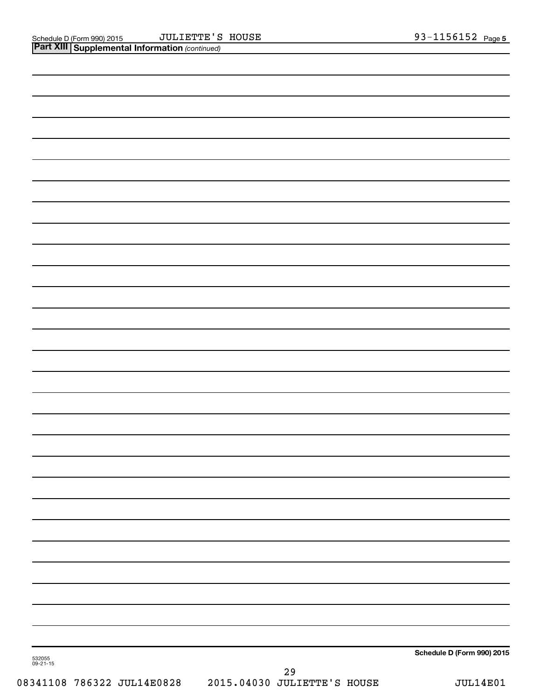| 532055<br>09-21-15 | $\Omega$ | Schedule D (Form 990) 2015 |
|--------------------|----------|----------------------------|
|                    |          |                            |
|                    |          |                            |
|                    |          |                            |
|                    |          |                            |
|                    |          |                            |
|                    |          |                            |
|                    |          |                            |
|                    |          |                            |
|                    |          |                            |
|                    |          |                            |
|                    |          |                            |
|                    |          |                            |
|                    |          |                            |
|                    |          |                            |
|                    |          |                            |
|                    |          |                            |
|                    |          |                            |
|                    |          |                            |
|                    |          |                            |
|                    |          |                            |
|                    |          |                            |
|                    |          |                            |
|                    |          |                            |
|                    |          |                            |
|                    |          |                            |
|                    |          |                            |
|                    |          |                            |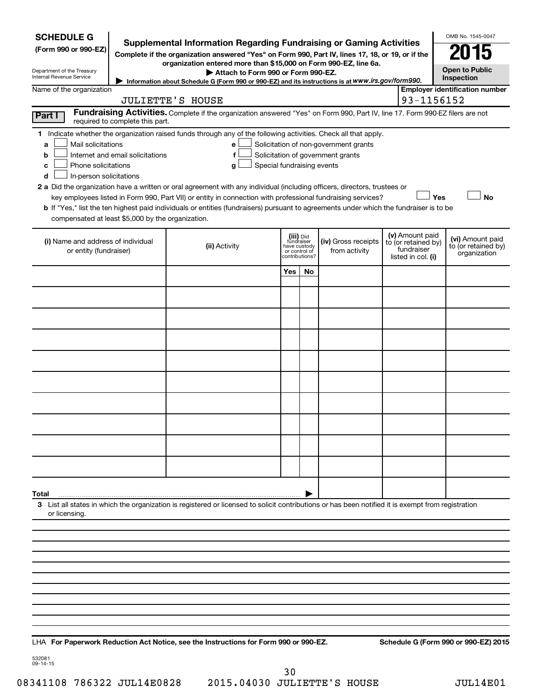| <b>SCHEDULE G</b><br>(Form 990 or 990-EZ)<br>Department of the Treasury<br>Internal Revenue Service |                                  | <b>Supplemental Information Regarding Fundraising or Gaming Activities</b><br>Complete if the organization answered "Yes" on Form 990, Part IV, lines 17, 18, or 19, or if the<br>organization entered more than \$15,000 on Form 990-EZ, line 6a.<br>Attach to Form 990 or Form 990-EZ.<br>Information about Schedule G (Form 990 or 990-EZ) and its instructions is at WWW.irs.gov/form990.            |                                                                            |    |                                                                            |                                                                            | OMB No. 1545-0047<br>N 15<br><b>Open to Public</b><br>Inspection |           |
|-----------------------------------------------------------------------------------------------------|----------------------------------|----------------------------------------------------------------------------------------------------------------------------------------------------------------------------------------------------------------------------------------------------------------------------------------------------------------------------------------------------------------------------------------------------------|----------------------------------------------------------------------------|----|----------------------------------------------------------------------------|----------------------------------------------------------------------------|------------------------------------------------------------------|-----------|
| Name of the organization                                                                            |                                  |                                                                                                                                                                                                                                                                                                                                                                                                          |                                                                            |    |                                                                            |                                                                            | <b>Employer identification number</b>                            |           |
|                                                                                                     |                                  | <b>JULIETTE'S HOUSE</b>                                                                                                                                                                                                                                                                                                                                                                                  |                                                                            |    |                                                                            | 93-1156152                                                                 |                                                                  |           |
| Part I                                                                                              | required to complete this part.  | Fundraising Activities. Complete if the organization answered "Yes" on Form 990, Part IV, line 17. Form 990-EZ filers are not                                                                                                                                                                                                                                                                            |                                                                            |    |                                                                            |                                                                            |                                                                  |           |
| Mail solicitations<br>a<br>b<br>Phone solicitations<br>c<br>In-person solicitations<br>d            | Internet and email solicitations | 1 Indicate whether the organization raised funds through any of the following activities. Check all that apply.<br>е<br>f<br>Special fundraising events<br>g<br>2 a Did the organization have a written or oral agreement with any individual (including officers, directors, trustees or<br>key employees listed in Form 990, Part VII) or entity in connection with professional fundraising services? |                                                                            |    | Solicitation of non-government grants<br>Solicitation of government grants |                                                                            | Yes                                                              | <b>No</b> |
| compensated at least \$5,000 by the organization.                                                   |                                  | b If "Yes," list the ten highest paid individuals or entities (fundraisers) pursuant to agreements under which the fundraiser is to be                                                                                                                                                                                                                                                                   |                                                                            |    |                                                                            |                                                                            |                                                                  |           |
| (i) Name and address of individual<br>or entity (fundraiser)                                        |                                  | (ii) Activity                                                                                                                                                                                                                                                                                                                                                                                            | (iii) Did<br>fundraiser<br>have custody<br>or control of<br>contributions? |    | (iv) Gross receipts<br>from activity                                       | (v) Amount paid<br>to (or retained by)<br>fundraiser<br>listed in col. (i) | (vi) Amount paid<br>to (or retained by)<br>organization          |           |
|                                                                                                     |                                  |                                                                                                                                                                                                                                                                                                                                                                                                          | Yes                                                                        | No |                                                                            |                                                                            |                                                                  |           |
|                                                                                                     |                                  |                                                                                                                                                                                                                                                                                                                                                                                                          |                                                                            |    |                                                                            |                                                                            |                                                                  |           |
|                                                                                                     |                                  |                                                                                                                                                                                                                                                                                                                                                                                                          |                                                                            |    |                                                                            |                                                                            |                                                                  |           |
|                                                                                                     |                                  |                                                                                                                                                                                                                                                                                                                                                                                                          |                                                                            |    |                                                                            |                                                                            |                                                                  |           |
|                                                                                                     |                                  |                                                                                                                                                                                                                                                                                                                                                                                                          |                                                                            |    |                                                                            |                                                                            |                                                                  |           |
|                                                                                                     |                                  |                                                                                                                                                                                                                                                                                                                                                                                                          |                                                                            |    |                                                                            |                                                                            |                                                                  |           |
|                                                                                                     |                                  |                                                                                                                                                                                                                                                                                                                                                                                                          |                                                                            |    |                                                                            |                                                                            |                                                                  |           |
|                                                                                                     |                                  |                                                                                                                                                                                                                                                                                                                                                                                                          |                                                                            |    |                                                                            |                                                                            |                                                                  |           |
|                                                                                                     |                                  |                                                                                                                                                                                                                                                                                                                                                                                                          |                                                                            |    |                                                                            |                                                                            |                                                                  |           |
|                                                                                                     |                                  |                                                                                                                                                                                                                                                                                                                                                                                                          |                                                                            |    |                                                                            |                                                                            |                                                                  |           |
| Total                                                                                               |                                  |                                                                                                                                                                                                                                                                                                                                                                                                          |                                                                            |    |                                                                            |                                                                            |                                                                  |           |
| or licensing.                                                                                       |                                  | 3 List all states in which the organization is registered or licensed to solicit contributions or has been notified it is exempt from registration                                                                                                                                                                                                                                                       |                                                                            |    |                                                                            |                                                                            |                                                                  |           |
|                                                                                                     |                                  |                                                                                                                                                                                                                                                                                                                                                                                                          |                                                                            |    |                                                                            |                                                                            |                                                                  |           |
|                                                                                                     |                                  |                                                                                                                                                                                                                                                                                                                                                                                                          |                                                                            |    |                                                                            |                                                                            |                                                                  |           |
|                                                                                                     |                                  |                                                                                                                                                                                                                                                                                                                                                                                                          |                                                                            |    |                                                                            |                                                                            |                                                                  |           |
|                                                                                                     |                                  |                                                                                                                                                                                                                                                                                                                                                                                                          |                                                                            |    |                                                                            |                                                                            |                                                                  |           |
|                                                                                                     |                                  |                                                                                                                                                                                                                                                                                                                                                                                                          |                                                                            |    |                                                                            |                                                                            |                                                                  |           |
|                                                                                                     |                                  |                                                                                                                                                                                                                                                                                                                                                                                                          |                                                                            |    |                                                                            |                                                                            |                                                                  |           |
|                                                                                                     |                                  |                                                                                                                                                                                                                                                                                                                                                                                                          |                                                                            |    |                                                                            |                                                                            |                                                                  |           |
|                                                                                                     |                                  |                                                                                                                                                                                                                                                                                                                                                                                                          |                                                                            |    |                                                                            |                                                                            |                                                                  |           |

532081 09-14-15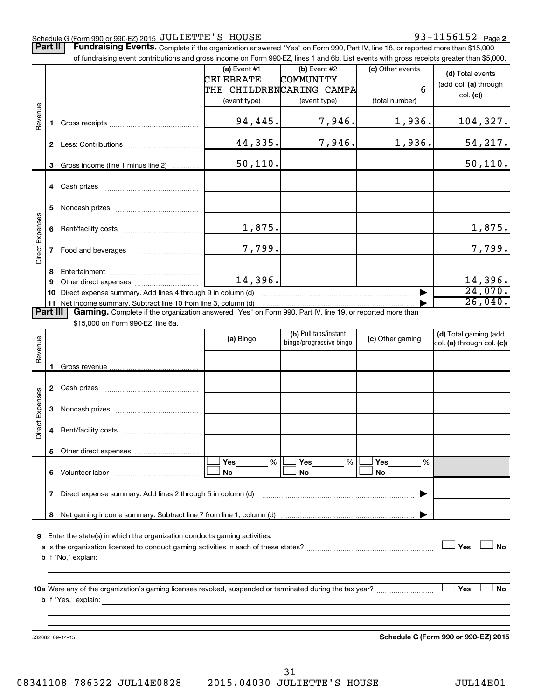#### Schedule G (Form 990 or 990-EZ) 2015 Page JULIETTE'S HOUSE 93-1156152

Part II | Fundraising Events. Complete if the organization answered "Yes" on Form 990, Part IV, line 18, or reported more than \$15,000 of fundraising event contributions and gross income on Form 990-EZ, lines 1 and 6b. List events with gross receipts greater than \$5,000.

|                        |              | of fundraising event contributions and gross income on Form 990-EZ, lines 1 and 6b. List events with gross receipts greater than \$5,000.                                                                                                                                                                                                             |                                    |                                                  |                  |                                                     |
|------------------------|--------------|-------------------------------------------------------------------------------------------------------------------------------------------------------------------------------------------------------------------------------------------------------------------------------------------------------------------------------------------------------|------------------------------------|--------------------------------------------------|------------------|-----------------------------------------------------|
|                        |              |                                                                                                                                                                                                                                                                                                                                                       | (a) Event $#1$<br><b>CELEBRATE</b> | (b) Event #2<br>COMMUNITY                        | (c) Other events | (d) Total events                                    |
|                        |              |                                                                                                                                                                                                                                                                                                                                                       |                                    | THE CHILDRENCARING CAMPA                         | 6                | (add col. (a) through                               |
|                        |              |                                                                                                                                                                                                                                                                                                                                                       | (event type)                       | (event type)                                     | (total number)   | col. (c)                                            |
|                        |              |                                                                                                                                                                                                                                                                                                                                                       |                                    |                                                  |                  |                                                     |
| Revenue                | 1.           |                                                                                                                                                                                                                                                                                                                                                       | 94,445.                            | 7,946.                                           | 1,936.           | 104,327.                                            |
|                        |              |                                                                                                                                                                                                                                                                                                                                                       | 44,335.                            | 7,946.                                           | 1,936.           | <u>54,217.</u>                                      |
|                        | 3            | Gross income (line 1 minus line 2)                                                                                                                                                                                                                                                                                                                    | 50, 110.                           |                                                  |                  | 50, 110.                                            |
|                        |              |                                                                                                                                                                                                                                                                                                                                                       |                                    |                                                  |                  |                                                     |
|                        | 5            |                                                                                                                                                                                                                                                                                                                                                       |                                    |                                                  |                  |                                                     |
| Direct Expenses        |              |                                                                                                                                                                                                                                                                                                                                                       | 1,875.                             |                                                  |                  | 1,875.                                              |
|                        | $\mathbf{7}$ |                                                                                                                                                                                                                                                                                                                                                       | 7,799.                             |                                                  |                  | 7,799.                                              |
|                        |              |                                                                                                                                                                                                                                                                                                                                                       |                                    |                                                  |                  |                                                     |
|                        | 8<br>9       |                                                                                                                                                                                                                                                                                                                                                       | 14,396.                            |                                                  |                  | 14,396.                                             |
|                        |              | 10 Direct expense summary. Add lines 4 through 9 in column (d)                                                                                                                                                                                                                                                                                        |                                    |                                                  |                  | 24,070.                                             |
|                        |              | 11 Net income summary. Subtract line 10 from line 3, column (d)                                                                                                                                                                                                                                                                                       |                                    |                                                  |                  | 26,040.                                             |
| <b>Part III</b>        |              | Gaming. Complete if the organization answered "Yes" on Form 990, Part IV, line 19, or reported more than                                                                                                                                                                                                                                              |                                    |                                                  |                  |                                                     |
|                        |              | \$15,000 on Form 990-EZ, line 6a.                                                                                                                                                                                                                                                                                                                     |                                    |                                                  |                  |                                                     |
| Revenue                |              |                                                                                                                                                                                                                                                                                                                                                       | (a) Bingo                          | (b) Pull tabs/instant<br>bingo/progressive bingo | (c) Other gaming | (d) Total gaming (add<br>col. (a) through col. (c)) |
|                        | 1            |                                                                                                                                                                                                                                                                                                                                                       |                                    |                                                  |                  |                                                     |
|                        |              |                                                                                                                                                                                                                                                                                                                                                       |                                    |                                                  |                  |                                                     |
|                        |              |                                                                                                                                                                                                                                                                                                                                                       |                                    |                                                  |                  |                                                     |
| <b>Direct Expenses</b> | 3            |                                                                                                                                                                                                                                                                                                                                                       |                                    |                                                  |                  |                                                     |
|                        | 4            |                                                                                                                                                                                                                                                                                                                                                       |                                    |                                                  |                  |                                                     |
|                        |              | 5 Other direct expenses                                                                                                                                                                                                                                                                                                                               |                                    |                                                  |                  |                                                     |
|                        |              |                                                                                                                                                                                                                                                                                                                                                       | Yes<br>%                           | Yes<br>%                                         | Yes<br>%         |                                                     |
|                        |              |                                                                                                                                                                                                                                                                                                                                                       | No                                 | No                                               | No               |                                                     |
|                        | 7            | Direct expense summary. Add lines 2 through 5 in column (d)                                                                                                                                                                                                                                                                                           |                                    |                                                  |                  |                                                     |
|                        | 8            |                                                                                                                                                                                                                                                                                                                                                       |                                    |                                                  |                  |                                                     |
|                        |              |                                                                                                                                                                                                                                                                                                                                                       |                                    |                                                  |                  |                                                     |
|                        |              | 9 Enter the state(s) in which the organization conducts gaming activities:                                                                                                                                                                                                                                                                            |                                    |                                                  |                  |                                                     |
|                        |              |                                                                                                                                                                                                                                                                                                                                                       |                                    |                                                  |                  | Yes<br>No                                           |
|                        |              | <b>b</b> If "No," explain:<br><u> 1989 - John Stein, Amerikaansk politiker († 1908)</u>                                                                                                                                                                                                                                                               |                                    |                                                  |                  |                                                     |
|                        |              |                                                                                                                                                                                                                                                                                                                                                       |                                    |                                                  |                  |                                                     |
|                        |              | 10a Were any of the organization's gaming licenses revoked, suspended or terminated during the tax year?<br><b>b</b> If "Yes," explain: <u>All and the set of the set of the set of the set of the set of the set of the set of the set of the set of the set of the set of the set of the set of the set of the set of the set of the set of the</u> |                                    |                                                  |                  | Yes<br>No                                           |
|                        |              |                                                                                                                                                                                                                                                                                                                                                       |                                    |                                                  |                  |                                                     |
|                        |              |                                                                                                                                                                                                                                                                                                                                                       |                                    |                                                  |                  |                                                     |
|                        |              | 532082 09-14-15                                                                                                                                                                                                                                                                                                                                       |                                    |                                                  |                  | Schedule G (Form 990 or 990-EZ) 2015                |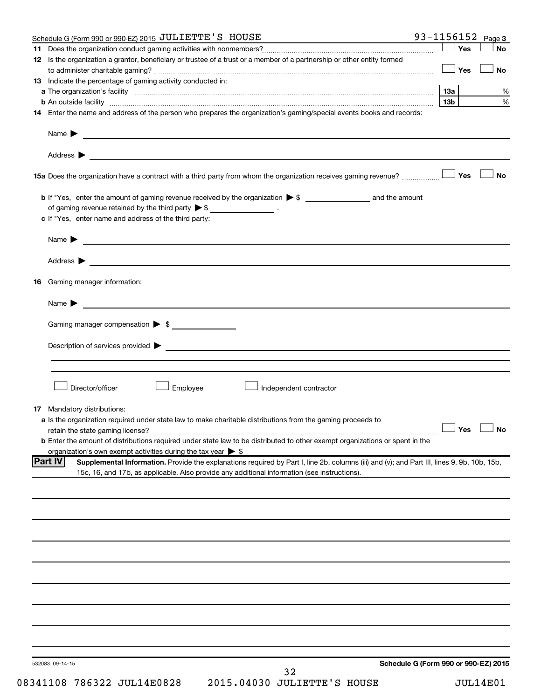|    | Schedule G (Form 990 or 990-EZ) 2015 JULIETTE'S HOUSE                                                                                                         |                 |       | 93-1156152 $Page 3$  |
|----|---------------------------------------------------------------------------------------------------------------------------------------------------------------|-----------------|-------|----------------------|
|    |                                                                                                                                                               |                 | ∣ Yes | <b>No</b>            |
|    | 12 Is the organization a grantor, beneficiary or trustee of a trust or a member of a partnership or other entity formed                                       |                 |       |                      |
|    |                                                                                                                                                               |                 | ∣ Yes | <b>No</b>            |
|    | 13 Indicate the percentage of gaming activity conducted in:                                                                                                   |                 |       |                      |
|    |                                                                                                                                                               |                 |       | %<br>%               |
|    |                                                                                                                                                               | 13 <sub>b</sub> |       |                      |
|    | 14 Enter the name and address of the person who prepares the organization's gaming/special events books and records:                                          |                 |       |                      |
|    | Name $\blacktriangleright$<br><u>and the contract of the contract of the contract of the contract of the contract of the contract of the contract of</u>      |                 |       |                      |
|    |                                                                                                                                                               |                 |       |                      |
|    |                                                                                                                                                               |                 |       | <b>No</b>            |
|    |                                                                                                                                                               |                 |       |                      |
|    | of gaming revenue retained by the third party $\triangleright$ \$ _________________.                                                                          |                 |       |                      |
|    | c If "Yes," enter name and address of the third party:                                                                                                        |                 |       |                      |
|    |                                                                                                                                                               |                 |       |                      |
|    | Address ><br><u>some started and the started and the started and the started and the started and the started and the started and</u>                          |                 |       |                      |
|    | 16 Gaming manager information:                                                                                                                                |                 |       |                      |
|    |                                                                                                                                                               |                 |       |                      |
|    | Name $\blacktriangleright$<br><u> 1989 - Johann Barnett, fransk politiker (d. 1989)</u>                                                                       |                 |       |                      |
|    | Gaming manager compensation > \$                                                                                                                              |                 |       |                      |
|    |                                                                                                                                                               |                 |       |                      |
|    |                                                                                                                                                               |                 |       |                      |
|    |                                                                                                                                                               |                 |       |                      |
|    | Director/officer<br>Employee<br>Independent contractor                                                                                                        |                 |       |                      |
|    |                                                                                                                                                               |                 |       |                      |
| 17 | Mandatory distributions:                                                                                                                                      |                 |       |                      |
|    | a Is the organization required under state law to make charitable distributions from the gaming proceeds to                                                   |                 |       |                      |
|    |                                                                                                                                                               |                 |       | $\Box$ Yes $\Box$ No |
|    | <b>b</b> Enter the amount of distributions required under state law to be distributed to other exempt organizations or spent in the                           |                 |       |                      |
|    | organization's own exempt activities during the tax year $\triangleright$ \$                                                                                  |                 |       |                      |
|    | <b>Part IV</b><br>Supplemental Information. Provide the explanations required by Part I, line 2b, columns (iii) and (v); and Part III, lines 9, 9b, 10b, 15b, |                 |       |                      |
|    | 15c, 16, and 17b, as applicable. Also provide any additional information (see instructions).                                                                  |                 |       |                      |
|    |                                                                                                                                                               |                 |       |                      |
|    |                                                                                                                                                               |                 |       |                      |
|    |                                                                                                                                                               |                 |       |                      |
|    |                                                                                                                                                               |                 |       |                      |
|    |                                                                                                                                                               |                 |       |                      |
|    |                                                                                                                                                               |                 |       |                      |
|    |                                                                                                                                                               |                 |       |                      |
|    |                                                                                                                                                               |                 |       |                      |
|    |                                                                                                                                                               |                 |       |                      |
|    |                                                                                                                                                               |                 |       |                      |
|    |                                                                                                                                                               |                 |       |                      |
|    |                                                                                                                                                               |                 |       |                      |
|    | Schedule G (Form 990 or 990-EZ) 2015<br>532083 09-14-15                                                                                                       |                 |       |                      |
|    | 32                                                                                                                                                            |                 |       |                      |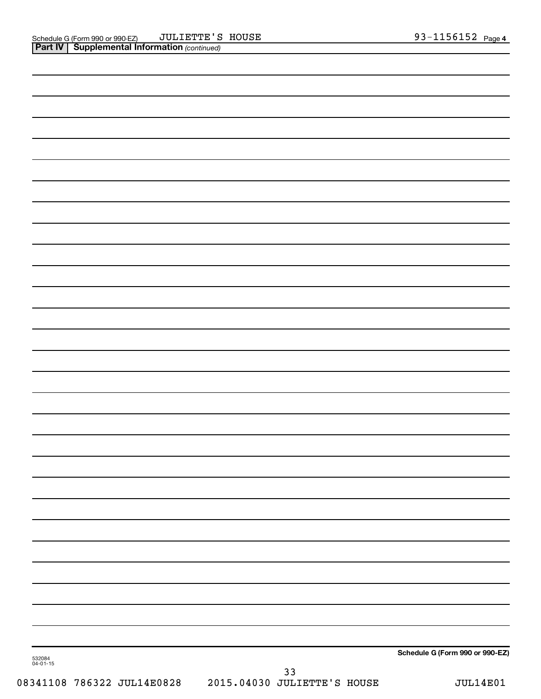|                    | Schedule G (Form 990 or 990-EZ) |
|--------------------|---------------------------------|
| 532084<br>04-01-15 |                                 |